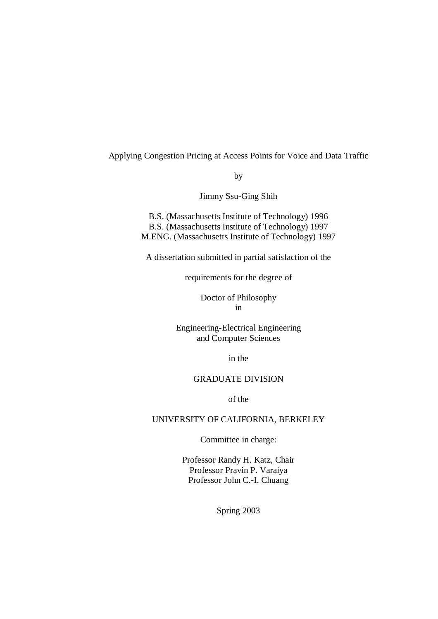Applying Congestion Pricing at Access Points for Voice and Data Traffic

by

Jimmy Ssu-Ging Shih

B.S. (Massachusetts Institute of Technology) 1996 B.S. (Massachusetts Institute of Technology) 1997 M.ENG. (Massachusetts Institute of Technology) 1997

A dissertation submitted in partial satisfaction of the

requirements for the degree of

Doctor of Philosophy in

Engineering-Electrical Engineering and Computer Sciences

in the

## GRADUATE DIVISION

of the

## UNIVERSITY OF CALIFORNIA, BERKELEY

Committee in charge:

Professor Randy H. Katz, Chair Professor Pravin P. Varaiya Professor John C.-I. Chuang

Spring 2003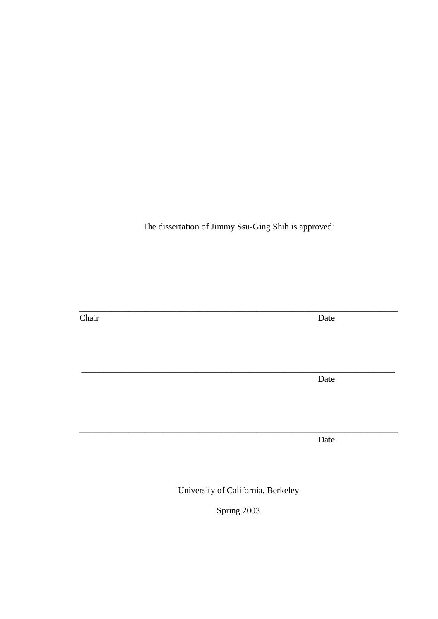The dissertation of Jimmy Ssu-Ging Shih is approved:

Chair Date

\_\_\_\_\_\_\_\_\_\_\_\_\_\_\_\_\_\_\_\_\_\_\_\_\_\_\_\_\_\_\_\_\_\_\_\_\_\_\_\_\_\_\_\_\_\_\_\_\_\_\_\_\_\_\_\_\_\_\_\_\_\_\_\_\_\_\_\_\_\_\_\_

Date

Date

University of California, Berkeley

\_\_\_\_\_\_\_\_\_\_\_\_\_\_\_\_\_\_\_\_\_\_\_\_\_\_\_\_\_\_\_\_\_\_\_\_\_\_\_\_\_\_\_\_\_\_\_\_\_\_\_\_\_\_\_\_\_\_\_\_\_\_\_\_\_\_\_\_\_\_\_

\_\_\_\_\_\_\_\_\_\_\_\_\_\_\_\_\_\_\_\_\_\_\_\_\_\_\_\_\_\_\_\_\_\_\_\_\_\_\_\_\_\_\_\_\_\_\_\_\_\_\_\_\_\_\_\_\_\_\_\_\_\_\_\_\_\_\_\_\_\_\_\_

Spring 2003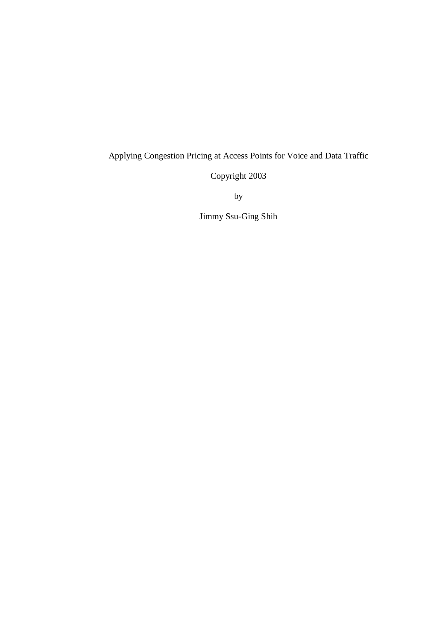## Applying Congestion Pricing at Access Points for Voice and Data Traffic

Copyright 2003

by

Jimmy Ssu-Ging Shih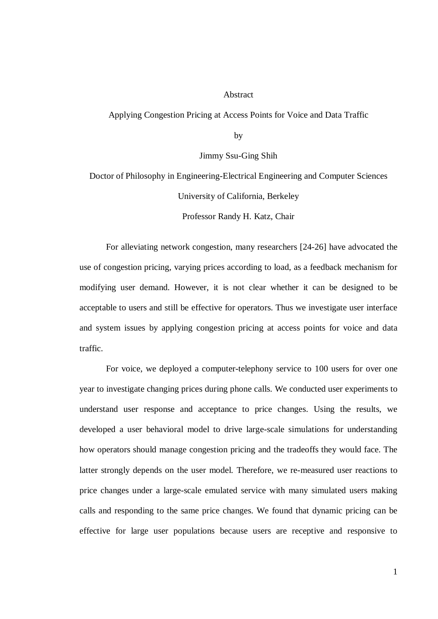#### Abstract

Applying Congestion Pricing at Access Points for Voice and Data Traffic

by

Jimmy Ssu-Ging Shih

Doctor of Philosophy in Engineering-Electrical Engineering and Computer Sciences University of California, Berkeley

Professor Randy H. Katz, Chair

For alleviating network congestion, many researchers [24-26] have advocated the use of congestion pricing, varying prices according to load, as a feedback mechanism for modifying user demand. However, it is not clear whether it can be designed to be acceptable to users and still be effective for operators. Thus we investigate user interface and system issues by applying congestion pricing at access points for voice and data traffic.

For voice, we deployed a computer-telephony service to 100 users for over one year to investigate changing prices during phone calls. We conducted user experiments to understand user response and acceptance to price changes. Using the results, we developed a user behavioral model to drive large-scale simulations for understanding how operators should manage congestion pricing and the tradeoffs they would face. The latter strongly depends on the user model. Therefore, we re-measured user reactions to price changes under a large-scale emulated service with many simulated users making calls and responding to the same price changes. We found that dynamic pricing can be effective for large user populations because users are receptive and responsive to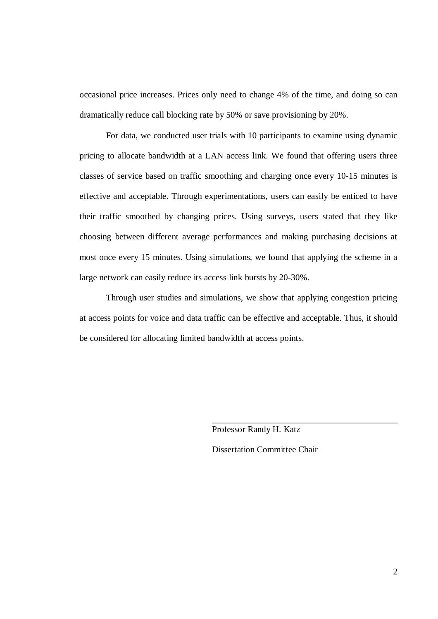occasional price increases. Prices only need to change 4% of the time, and doing so can dramatically reduce call blocking rate by 50% or save provisioning by 20%.

For data, we conducted user trials with 10 participants to examine using dynamic pricing to allocate bandwidth at a LAN access link. We found that offering users three classes of service based on traffic smoothing and charging once every 10-15 minutes is effective and acceptable. Through experimentations, users can easily be enticed to have their traffic smoothed by changing prices. Using surveys, users stated that they like choosing between different average performances and making purchasing decisions at most once every 15 minutes. Using simulations, we found that applying the scheme in a large network can easily reduce its access link bursts by 20-30%.

Through user studies and simulations, we show that applying congestion pricing at access points for voice and data traffic can be effective and acceptable. Thus, it should be considered for allocating limited bandwidth at access points.

Professor Randy H. Katz

Dissertation Committee Chair

\_\_\_\_\_\_\_\_\_\_\_\_\_\_\_\_\_\_\_\_\_\_\_\_\_\_\_\_\_\_\_\_\_\_\_\_\_\_\_\_\_\_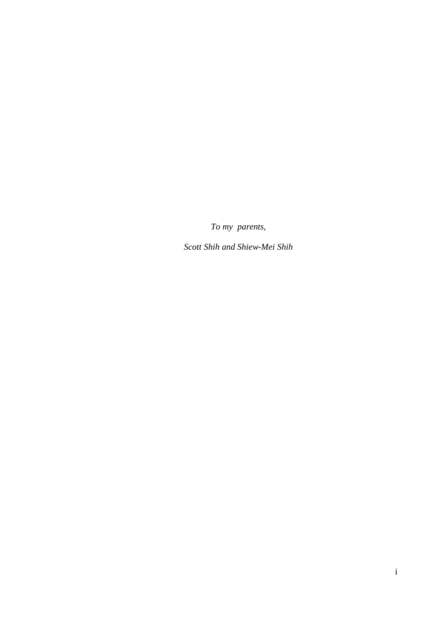*To my parents,*

*Scott Shih and Shiew-Mei Shih*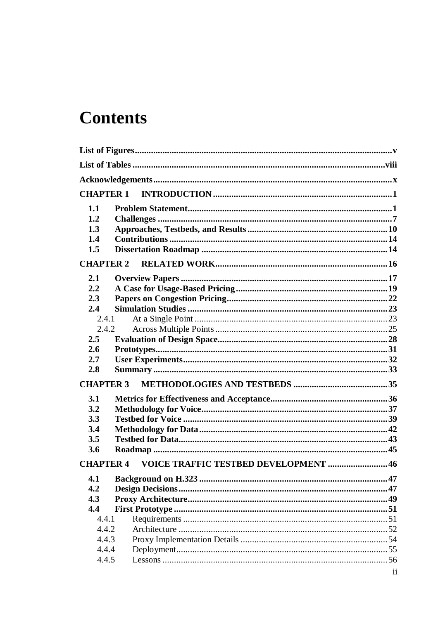# **Contents**

| 1.1<br>1.2<br>1.3<br>1.4<br>1.5                                       |                                      |
|-----------------------------------------------------------------------|--------------------------------------|
| <b>CHAPTER 2</b>                                                      |                                      |
| 2.1<br>2.2<br>2.3<br>2.4<br>2.4.1                                     |                                      |
| 2.4.2                                                                 |                                      |
| 2.5<br>2.6                                                            |                                      |
| 2.7                                                                   |                                      |
| 2.8                                                                   |                                      |
| <b>CHAPTER 3</b>                                                      |                                      |
| 3.1                                                                   |                                      |
| 3.2                                                                   |                                      |
| 3.3                                                                   |                                      |
| 3.4                                                                   |                                      |
| 3.5                                                                   |                                      |
| 3.6                                                                   |                                      |
| <b>CHAPTER 4</b>                                                      | VOICE TRAFFIC TESTBED DEVELOPMENT 46 |
| 4.1<br>4.2<br>4.3<br>4.4<br>4.4.1<br>4.4.2<br>4.4.3<br>4.4.4<br>4.4.5 |                                      |
|                                                                       | $\mathbf{ii}$                        |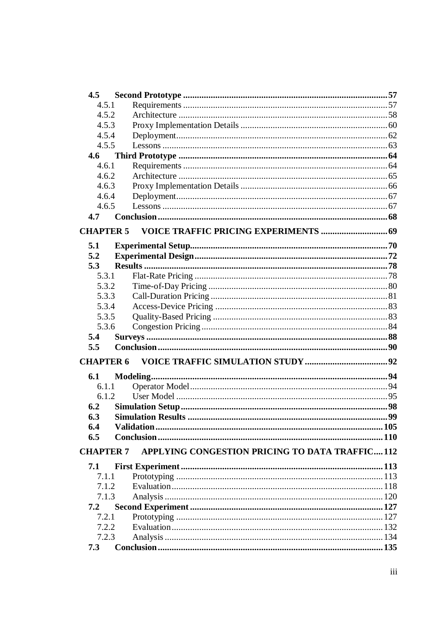| 4.5              |                                                |  |
|------------------|------------------------------------------------|--|
| 4.5.1            |                                                |  |
| 4.5.2            |                                                |  |
| 4.5.3            |                                                |  |
| 4.5.4            |                                                |  |
| 4.5.5            |                                                |  |
| 4.6              |                                                |  |
| 4.6.1            |                                                |  |
| 4.6.2            |                                                |  |
| 4.6.3            |                                                |  |
| 4.6.4            |                                                |  |
| 4.6.5            |                                                |  |
| 4.7              |                                                |  |
| <b>CHAPTER 5</b> |                                                |  |
|                  |                                                |  |
| 5.1              |                                                |  |
| 5.2              |                                                |  |
| 5.3              |                                                |  |
| 5.3.1            |                                                |  |
| 5.3.2            |                                                |  |
| 5.3.3            |                                                |  |
| 5.3.4            |                                                |  |
| 5.3.5            |                                                |  |
| 5.3.6            |                                                |  |
| 5.4              |                                                |  |
| 5.5              |                                                |  |
| <b>CHAPTER 6</b> |                                                |  |
|                  |                                                |  |
| 6.1              |                                                |  |
| 6.1.1            |                                                |  |
| 6.1.2            |                                                |  |
| 6.2              |                                                |  |
| 6.3              |                                                |  |
| 6.4              |                                                |  |
| 6.5              |                                                |  |
| <b>CHAPTER 7</b> | APPLYING CONGESTION PRICING TO DATA TRAFFIC112 |  |
| 7.1              |                                                |  |
| 7.1.1            |                                                |  |
| 7.1.2            |                                                |  |
| 7.1.3            |                                                |  |
| 7.2              |                                                |  |
| 7.2.1            |                                                |  |
| 7.2.2            |                                                |  |
| 7.2.3            |                                                |  |
| 7.3              |                                                |  |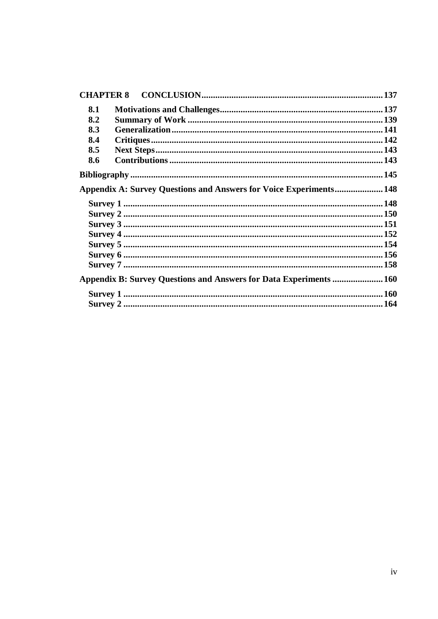| <b>CHAPTER 8</b>                                                          |  |
|---------------------------------------------------------------------------|--|
| 8.1                                                                       |  |
| 8.2                                                                       |  |
| 8.3                                                                       |  |
| 8.4                                                                       |  |
| 8.5                                                                       |  |
| 8.6                                                                       |  |
|                                                                           |  |
| <b>Appendix A: Survey Questions and Answers for Voice Experiments 148</b> |  |
|                                                                           |  |
|                                                                           |  |
|                                                                           |  |
|                                                                           |  |
|                                                                           |  |
|                                                                           |  |
|                                                                           |  |
| Appendix B: Survey Questions and Answers for Data Experiments  160        |  |
|                                                                           |  |
|                                                                           |  |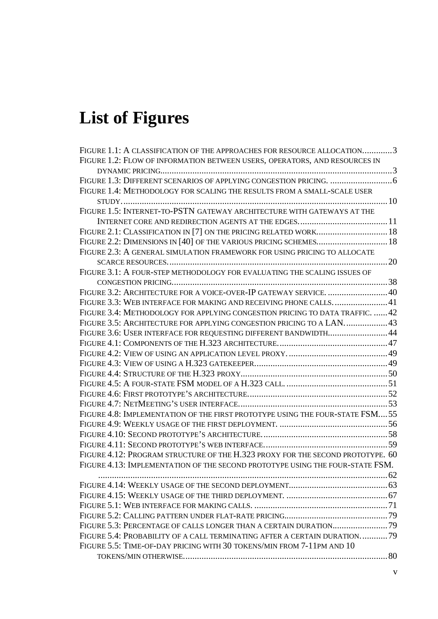# **List of Figures**

| FIGURE 1.1: A CLASSIFICATION OF THE APPROACHES FOR RESOURCE ALLOCATION3        |  |
|--------------------------------------------------------------------------------|--|
| FIGURE 1.2: FLOW OF INFORMATION BETWEEN USERS, OPERATORS, AND RESOURCES IN     |  |
|                                                                                |  |
|                                                                                |  |
| FIGURE 1.4: METHODOLOGY FOR SCALING THE RESULTS FROM A SMALL-SCALE USER        |  |
|                                                                                |  |
| FIGURE 1.5: INTERNET-TO-PSTN GATEWAY ARCHITECTURE WITH GATEWAYS AT THE         |  |
|                                                                                |  |
| FIGURE 2.1: CLASSIFICATION IN [7] ON THE PRICING RELATED WORK 18               |  |
| FIGURE 2.2: DIMENSIONS IN [40] OF THE VARIOUS PRICING SCHEMES 18               |  |
| FIGURE 2.3: A GENERAL SIMULATION FRAMEWORK FOR USING PRICING TO ALLOCATE       |  |
|                                                                                |  |
| FIGURE 3.1: A FOUR-STEP METHODOLOGY FOR EVALUATING THE SCALING ISSUES OF       |  |
|                                                                                |  |
| FIGURE 3.2: ARCHITECTURE FOR A VOICE-OVER-IP GATEWAY SERVICE.  40              |  |
| FIGURE 3.3: WEB INTERFACE FOR MAKING AND RECEIVING PHONE CALLS41               |  |
| FIGURE 3.4: METHODOLOGY FOR APPLYING CONGESTION PRICING TO DATA TRAFFIC.  42   |  |
| FIGURE 3.5: ARCHITECTURE FOR APPLYING CONGESTION PRICING TO A LAN 43           |  |
| FIGURE 3.6: USER INTERFACE FOR REQUESTING DIFFERENT BANDWIDTH 44               |  |
|                                                                                |  |
|                                                                                |  |
|                                                                                |  |
|                                                                                |  |
|                                                                                |  |
|                                                                                |  |
|                                                                                |  |
| FIGURE 4.8: IMPLEMENTATION OF THE FIRST PROTOTYPE USING THE FOUR-STATE FSM55   |  |
|                                                                                |  |
|                                                                                |  |
|                                                                                |  |
| FIGURE 4.12: PROGRAM STRUCTURE OF THE H.323 PROXY FOR THE SECOND PROTOTYPE. 60 |  |
| FIGURE 4.13: IMPLEMENTATION OF THE SECOND PROTOTYPE USING THE FOUR-STATE FSM.  |  |
|                                                                                |  |
|                                                                                |  |
|                                                                                |  |
|                                                                                |  |
|                                                                                |  |
|                                                                                |  |
| FIGURE 5.4: PROBABILITY OF A CALL TERMINATING AFTER A CERTAIN DURATION79       |  |
| FIGURE 5.5: TIME-OF-DAY PRICING WITH 30 TOKENS/MIN FROM 7-11PM AND 10          |  |
|                                                                                |  |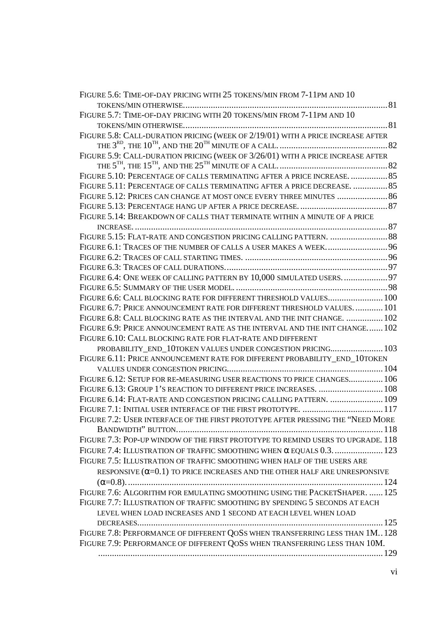| FIGURE 5.6: TIME-OF-DAY PRICING WITH 25 TOKENS/MIN FROM 7-11PM AND 10            |  |
|----------------------------------------------------------------------------------|--|
|                                                                                  |  |
| FIGURE 5.7: TIME-OF-DAY PRICING WITH 20 TOKENS/MIN FROM 7-11PM AND 10            |  |
|                                                                                  |  |
| FIGURE 5.8: CALL-DURATION PRICING (WEEK OF 2/19/01) WITH A PRICE INCREASE AFTER  |  |
|                                                                                  |  |
| FIGURE 5.9: CALL-DURATION PRICING (WEEK OF 3/26/01) WITH A PRICE INCREASE AFTER  |  |
|                                                                                  |  |
| FIGURE 5.10: PERCENTAGE OF CALLS TERMINATING AFTER A PRICE INCREASE.  85         |  |
| FIGURE 5.11: PERCENTAGE OF CALLS TERMINATING AFTER A PRICE DECREASE.  85         |  |
| FIGURE 5.12: PRICES CAN CHANGE AT MOST ONCE EVERY THREE MINUTES  86              |  |
|                                                                                  |  |
| FIGURE 5.14: BREAKDOWN OF CALLS THAT TERMINATE WITHIN A MINUTE OF A PRICE        |  |
|                                                                                  |  |
|                                                                                  |  |
| FIGURE 6.1: TRACES OF THE NUMBER OF CALLS A USER MAKES A WEEK 96                 |  |
|                                                                                  |  |
|                                                                                  |  |
| FIGURE 6.4: ONE WEEK OF CALLING PATTERN BY 10,000 SIMULATED USERS 97             |  |
|                                                                                  |  |
| FIGURE 6.6: CALL BLOCKING RATE FOR DIFFERENT THRESHOLD VALUES 100                |  |
| FIGURE 6.7: PRICE ANNOUNCEMENT RATE FOR DIFFERENT THRESHOLD VALUES 101           |  |
| FIGURE 6.8: CALL BLOCKING RATE AS THE INTERVAL AND THE INIT CHANGE.  102         |  |
| FIGURE 6.9: PRICE ANNOUNCEMENT RATE AS THE INTERVAL AND THE INIT CHANGE 102      |  |
| FIGURE 6.10: CALL BLOCKING RATE FOR FLAT-RATE AND DIFFERENT                      |  |
| PROBABILITY_END_10TOKEN VALUES UNDER CONGESTION PRICING 103                      |  |
| FIGURE 6.11: PRICE ANNOUNCEMENT RATE FOR DIFFERENT PROBABILITY_END_10TOKEN       |  |
|                                                                                  |  |
| FIGURE 6.12: SETUP FOR RE-MEASURING USER REACTIONS TO PRICE CHANGES 106          |  |
| FIGURE 6.13: GROUP 1'S REACTION TO DIFFERENT PRICE INCREASES.  108               |  |
| FIGURE 6.14: FLAT-RATE AND CONGESTION PRICING CALLING PATTERN.  109              |  |
| FIGURE 7.1: INITIAL USER INTERFACE OF THE FIRST PROTOTYPE.  117                  |  |
| FIGURE 7.2: USER INTERFACE OF THE FIRST PROTOTYPE AFTER PRESSING THE "NEED MORE  |  |
|                                                                                  |  |
| FIGURE 7.3: POP-UP WINDOW OF THE FIRST PROTOTYPE TO REMIND USERS TO UPGRADE. 118 |  |
|                                                                                  |  |
| FIGURE 7.4: ILLUSTRATION OF TRAFFIC SMOOTHING WHEN $\alpha$ EQUALS 0.3.  123     |  |
| FIGURE 7.5: ILLUSTRATION OF TRAFFIC SMOOTHING WHEN HALF OF THE USERS ARE         |  |
| RESPONSIVE $(\alpha=0.1)$ TO PRICE INCREASES AND THE OTHER HALF ARE UNRESPONSIVE |  |
|                                                                                  |  |
| FIGURE 7.6: ALGORITHM FOR EMULATING SMOOTHING USING THE PACKETSHAPER.  125       |  |
| FIGURE 7.7: ILLUSTRATION OF TRAFFIC SMOOTHING BY SPENDING 5 SECONDS AT EACH      |  |
| LEVEL WHEN LOAD INCREASES AND 1 SECOND AT EACH LEVEL WHEN LOAD                   |  |
|                                                                                  |  |
| FIGURE 7.8: PERFORMANCE OF DIFFERENT QOSS WHEN TRANSFERRING LESS THAN 1M128      |  |
| FIGURE 7.9: PERFORMANCE OF DIFFERENT QOSS WHEN TRANSFERRING LESS THAN 10M.       |  |
|                                                                                  |  |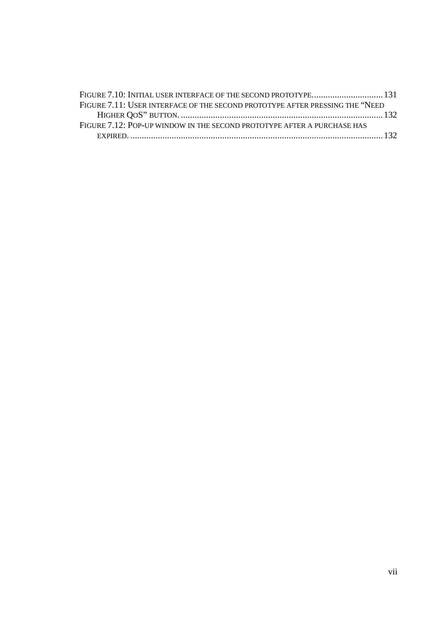| FIGURE 7.11: USER INTERFACE OF THE SECOND PROTOTYPE AFTER PRESSING THE "NEED |  |
|------------------------------------------------------------------------------|--|
|                                                                              |  |
| FIGURE 7.12: POP-UP WINDOW IN THE SECOND PROTOTYPE AFTER A PURCHASE HAS      |  |
|                                                                              |  |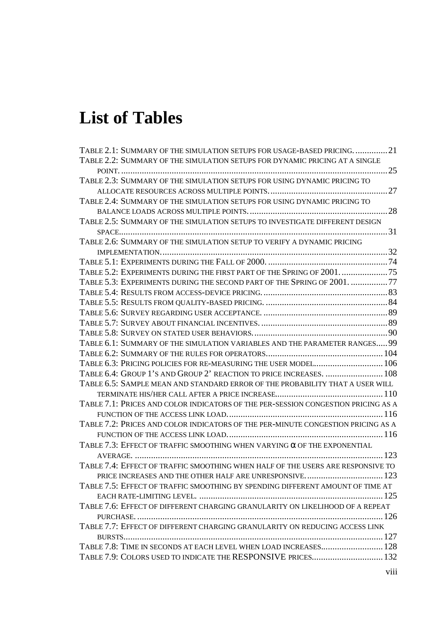# **List of Tables**

| TABLE 2.1: SUMMARY OF THE SIMULATION SETUPS FOR USAGE-BASED PRICING. 21           |  |
|-----------------------------------------------------------------------------------|--|
| TABLE 2.2: SUMMARY OF THE SIMULATION SETUPS FOR DYNAMIC PRICING AT A SINGLE       |  |
|                                                                                   |  |
| TABLE 2.3: SUMMARY OF THE SIMULATION SETUPS FOR USING DYNAMIC PRICING TO          |  |
|                                                                                   |  |
| TABLE 2.4: SUMMARY OF THE SIMULATION SETUPS FOR USING DYNAMIC PRICING TO          |  |
|                                                                                   |  |
| TABLE 2.5: SUMMARY OF THE SIMULATION SETUPS TO INVESTIGATE DIFFERENT DESIGN       |  |
|                                                                                   |  |
| TABLE 2.6: SUMMARY OF THE SIMULATION SETUP TO VERIFY A DYNAMIC PRICING            |  |
|                                                                                   |  |
|                                                                                   |  |
| TABLE 5.2: EXPERIMENTS DURING THE FIRST PART OF THE SPRING OF 2001                |  |
| TABLE 5.3: EXPERIMENTS DURING THE SECOND PART OF THE SPRING OF 2001. 77           |  |
|                                                                                   |  |
|                                                                                   |  |
|                                                                                   |  |
|                                                                                   |  |
|                                                                                   |  |
| TABLE 6.1: SUMMARY OF THE SIMULATION VARIABLES AND THE PARAMETER RANGES 99        |  |
|                                                                                   |  |
|                                                                                   |  |
| TABLE 6.4: GROUP 1'S AND GROUP 2' REACTION TO PRICE INCREASES.  108               |  |
| TABLE 6.5: SAMPLE MEAN AND STANDARD ERROR OF THE PROBABILITY THAT A USER WILL     |  |
|                                                                                   |  |
| TABLE 7.1: PRICES AND COLOR INDICATORS OF THE PER-SESSION CONGESTION PRICING AS A |  |
|                                                                                   |  |
| TABLE 7.2: PRICES AND COLOR INDICATORS OF THE PER-MINUTE CONGESTION PRICING AS A  |  |
|                                                                                   |  |
| TABLE 7.3: EFFECT OF TRAFFIC SMOOTHING WHEN VARYING $\alpha$ OF THE EXPONENTIAL   |  |
|                                                                                   |  |
| TABLE 7.4: EFFECT OF TRAFFIC SMOOTHING WHEN HALF OF THE USERS ARE RESPONSIVE TO   |  |
| PRICE INCREASES AND THE OTHER HALF ARE UNRESPONSIVE 123                           |  |
| TABLE 7.5: EFFECT OF TRAFFIC SMOOTHING BY SPENDING DIFFERENT AMOUNT OF TIME AT    |  |
|                                                                                   |  |
| TABLE 7.6: EFFECT OF DIFFERENT CHARGING GRANULARITY ON LIKELIHOOD OF A REPEAT     |  |
|                                                                                   |  |
| TABLE 7.7: EFFECT OF DIFFERENT CHARGING GRANULARITY ON REDUCING ACCESS LINK       |  |
|                                                                                   |  |
| TABLE 7.8: TIME IN SECONDS AT EACH LEVEL WHEN LOAD INCREASES 128                  |  |
| TABLE 7.9: COLORS USED TO INDICATE THE RESPONSIVE PRICES 132                      |  |
|                                                                                   |  |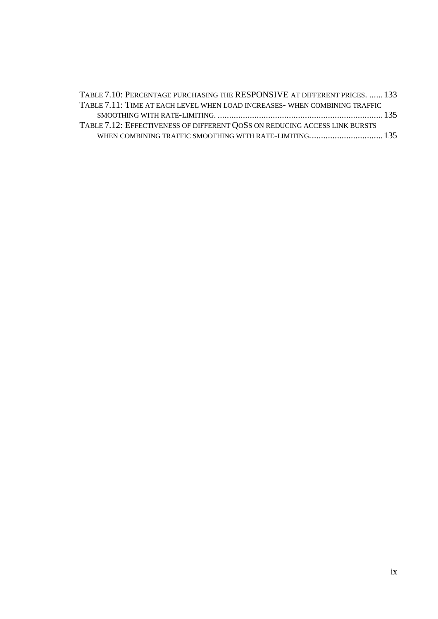| TABLE 7.10: PERCENTAGE PURCHASING THE RESPONSIVE AT DIFFERENT PRICES.  133 |  |
|----------------------------------------------------------------------------|--|
| TABLE 7.11: TIME AT EACH LEVEL WHEN LOAD INCREASES- WHEN COMBINING TRAFFIC |  |
|                                                                            |  |
| TABLE 7.12: EFFECTIVENESS OF DIFFERENT QOSS ON REDUCING ACCESS LINK BURSTS |  |
|                                                                            |  |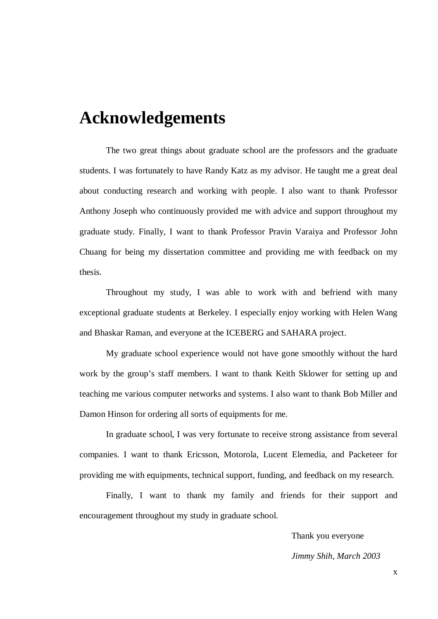## **Acknowledgements**

The two great things about graduate school are the professors and the graduate students. I was fortunately to have Randy Katz as my advisor. He taught me a great deal about conducting research and working with people. I also want to thank Professor Anthony Joseph who continuously provided me with advice and support throughout my graduate study. Finally, I want to thank Professor Pravin Varaiya and Professor John Chuang for being my dissertation committee and providing me with feedback on my thesis.

Throughout my study, I was able to work with and befriend with many exceptional graduate students at Berkeley. I especially enjoy working with Helen Wang and Bhaskar Raman, and everyone at the ICEBERG and SAHARA project.

My graduate school experience would not have gone smoothly without the hard work by the group's staff members. I want to thank Keith Sklower for setting up and teaching me various computer networks and systems. I also want to thank Bob Miller and Damon Hinson for ordering all sorts of equipments for me.

In graduate school, I was very fortunate to receive strong assistance from several companies. I want to thank Ericsson, Motorola, Lucent Elemedia, and Packeteer for providing me with equipments, technical support, funding, and feedback on my research.

Finally, I want to thank my family and friends for their support and encouragement throughout my study in graduate school.

Thank you everyone

*Jimmy Shih, March 2003*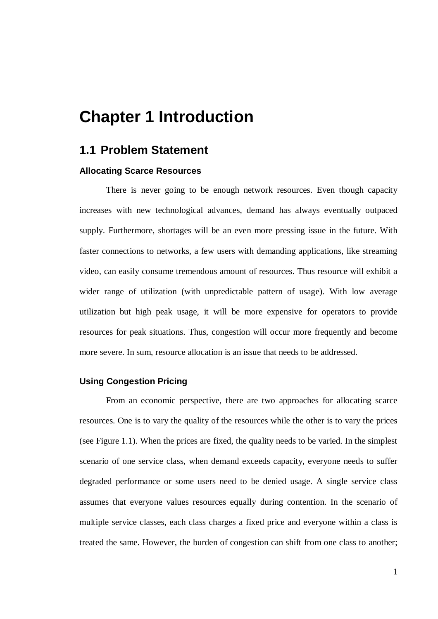## **Chapter 1 Introduction**

## **1.1 Problem Statement**

#### **Allocating Scarce Resources**

There is never going to be enough network resources. Even though capacity increases with new technological advances, demand has always eventually outpaced supply. Furthermore, shortages will be an even more pressing issue in the future. With faster connections to networks, a few users with demanding applications, like streaming video, can easily consume tremendous amount of resources. Thus resource will exhibit a wider range of utilization (with unpredictable pattern of usage). With low average utilization but high peak usage, it will be more expensive for operators to provide resources for peak situations. Thus, congestion will occur more frequently and become more severe. In sum, resource allocation is an issue that needs to be addressed.

#### **Using Congestion Pricing**

From an economic perspective, there are two approaches for allocating scarce resources. One is to vary the quality of the resources while the other is to vary the prices (see Figure 1.1). When the prices are fixed, the quality needs to be varied. In the simplest scenario of one service class, when demand exceeds capacity, everyone needs to suffer degraded performance or some users need to be denied usage. A single service class assumes that everyone values resources equally during contention. In the scenario of multiple service classes, each class charges a fixed price and everyone within a class is treated the same. However, the burden of congestion can shift from one class to another;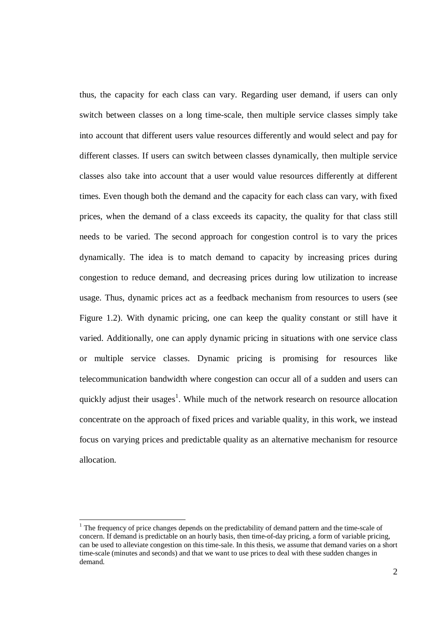thus, the capacity for each class can vary. Regarding user demand, if users can only switch between classes on a long time-scale, then multiple service classes simply take into account that different users value resources differently and would select and pay for different classes. If users can switch between classes dynamically, then multiple service classes also take into account that a user would value resources differently at different times. Even though both the demand and the capacity for each class can vary, with fixed prices, when the demand of a class exceeds its capacity, the quality for that class still needs to be varied. The second approach for congestion control is to vary the prices dynamically. The idea is to match demand to capacity by increasing prices during congestion to reduce demand, and decreasing prices during low utilization to increase usage. Thus, dynamic prices act as a feedback mechanism from resources to users (see Figure 1.2). With dynamic pricing, one can keep the quality constant or still have it varied. Additionally, one can apply dynamic pricing in situations with one service class or multiple service classes. Dynamic pricing is promising for resources like telecommunication bandwidth where congestion can occur all of a sudden and users can quickly adjust their usages<sup>1</sup>. While much of the network research on resource allocation concentrate on the approach of fixed prices and variable quality, in this work, we instead focus on varying prices and predictable quality as an alternative mechanism for resource allocation.

 $<sup>1</sup>$  The frequency of price changes depends on the predictability of demand pattern and the time-scale of</sup> concern. If demand is predictable on an hourly basis, then time-of-day pricing, a form of variable pricing, can be used to alleviate congestion on this time-sale. In this thesis, we assume that demand varies on a short time-scale (minutes and seconds) and that we want to use prices to deal with these sudden changes in demand.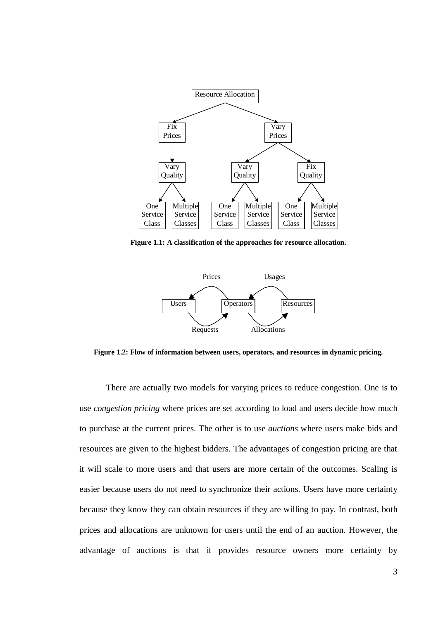

**Figure 1.1: A classification of the approaches for resource allocation.**



**Figure 1.2: Flow of information between users, operators, and resources in dynamic pricing.**

There are actually two models for varying prices to reduce congestion. One is to use *congestion pricing* where prices are set according to load and users decide how much to purchase at the current prices. The other is to use *auctions* where users make bids and resources are given to the highest bidders. The advantages of congestion pricing are that it will scale to more users and that users are more certain of the outcomes. Scaling is easier because users do not need to synchronize their actions. Users have more certainty because they know they can obtain resources if they are willing to pay. In contrast, both prices and allocations are unknown for users until the end of an auction. However, the advantage of auctions is that it provides resource owners more certainty by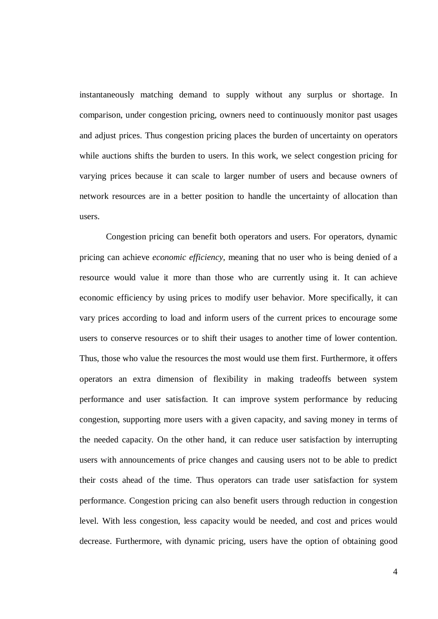instantaneously matching demand to supply without any surplus or shortage. In comparison, under congestion pricing, owners need to continuously monitor past usages and adjust prices. Thus congestion pricing places the burden of uncertainty on operators while auctions shifts the burden to users. In this work, we select congestion pricing for varying prices because it can scale to larger number of users and because owners of network resources are in a better position to handle the uncertainty of allocation than users.

Congestion pricing can benefit both operators and users. For operators, dynamic pricing can achieve *economic efficiency*, meaning that no user who is being denied of a resource would value it more than those who are currently using it. It can achieve economic efficiency by using prices to modify user behavior. More specifically, it can vary prices according to load and inform users of the current prices to encourage some users to conserve resources or to shift their usages to another time of lower contention. Thus, those who value the resources the most would use them first. Furthermore, it offers operators an extra dimension of flexibility in making tradeoffs between system performance and user satisfaction. It can improve system performance by reducing congestion, supporting more users with a given capacity, and saving money in terms of the needed capacity. On the other hand, it can reduce user satisfaction by interrupting users with announcements of price changes and causing users not to be able to predict their costs ahead of the time. Thus operators can trade user satisfaction for system performance. Congestion pricing can also benefit users through reduction in congestion level. With less congestion, less capacity would be needed, and cost and prices would decrease. Furthermore, with dynamic pricing, users have the option of obtaining good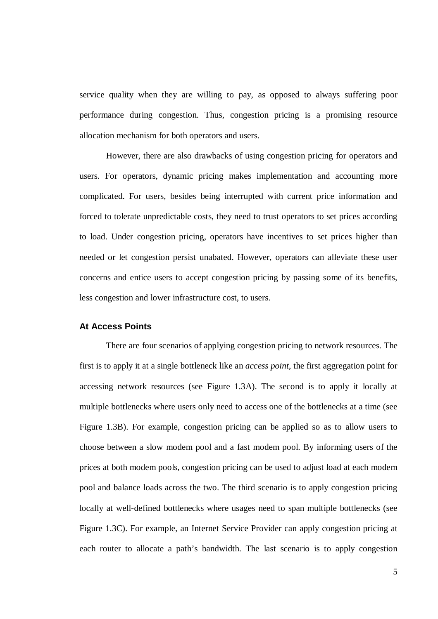service quality when they are willing to pay, as opposed to always suffering poor performance during congestion. Thus, congestion pricing is a promising resource allocation mechanism for both operators and users.

However, there are also drawbacks of using congestion pricing for operators and users. For operators, dynamic pricing makes implementation and accounting more complicated. For users, besides being interrupted with current price information and forced to tolerate unpredictable costs, they need to trust operators to set prices according to load. Under congestion pricing, operators have incentives to set prices higher than needed or let congestion persist unabated. However, operators can alleviate these user concerns and entice users to accept congestion pricing by passing some of its benefits, less congestion and lower infrastructure cost, to users.

#### **At Access Points**

There are four scenarios of applying congestion pricing to network resources. The first is to apply it at a single bottleneck like an *access point*, the first aggregation point for accessing network resources (see Figure 1.3A). The second is to apply it locally at multiple bottlenecks where users only need to access one of the bottlenecks at a time (see Figure 1.3B). For example, congestion pricing can be applied so as to allow users to choose between a slow modem pool and a fast modem pool. By informing users of the prices at both modem pools, congestion pricing can be used to adjust load at each modem pool and balance loads across the two. The third scenario is to apply congestion pricing locally at well-defined bottlenecks where usages need to span multiple bottlenecks (see Figure 1.3C). For example, an Internet Service Provider can apply congestion pricing at each router to allocate a path's bandwidth. The last scenario is to apply congestion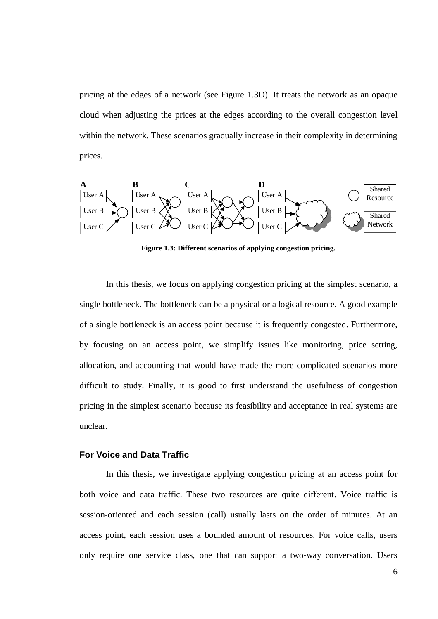pricing at the edges of a network (see Figure 1.3D). It treats the network as an opaque cloud when adjusting the prices at the edges according to the overall congestion level within the network. These scenarios gradually increase in their complexity in determining prices.



**Figure 1.3: Different scenarios of applying congestion pricing.**

In this thesis, we focus on applying congestion pricing at the simplest scenario, a single bottleneck. The bottleneck can be a physical or a logical resource. A good example of a single bottleneck is an access point because it is frequently congested. Furthermore, by focusing on an access point, we simplify issues like monitoring, price setting, allocation, and accounting that would have made the more complicated scenarios more difficult to study. Finally, it is good to first understand the usefulness of congestion pricing in the simplest scenario because its feasibility and acceptance in real systems are unclear.

### **For Voice and Data Traffic**

In this thesis, we investigate applying congestion pricing at an access point for both voice and data traffic. These two resources are quite different. Voice traffic is session-oriented and each session (call) usually lasts on the order of minutes. At an access point, each session uses a bounded amount of resources. For voice calls, users only require one service class, one that can support a two-way conversation. Users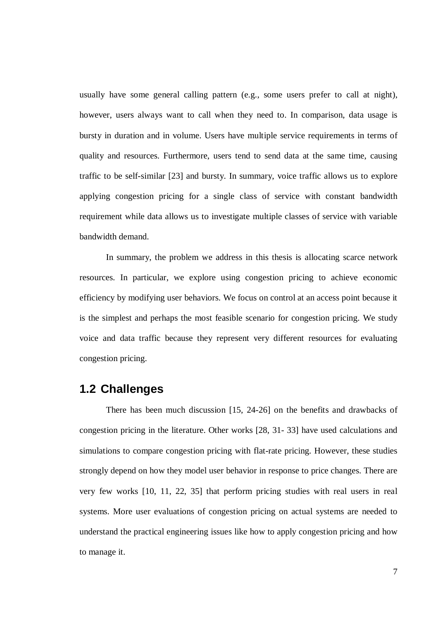usually have some general calling pattern (e.g., some users prefer to call at night), however, users always want to call when they need to. In comparison, data usage is bursty in duration and in volume. Users have multiple service requirements in terms of quality and resources. Furthermore, users tend to send data at the same time, causing traffic to be self-similar [23] and bursty. In summary, voice traffic allows us to explore applying congestion pricing for a single class of service with constant bandwidth requirement while data allows us to investigate multiple classes of service with variable bandwidth demand.

In summary, the problem we address in this thesis is allocating scarce network resources. In particular, we explore using congestion pricing to achieve economic efficiency by modifying user behaviors. We focus on control at an access point because it is the simplest and perhaps the most feasible scenario for congestion pricing. We study voice and data traffic because they represent very different resources for evaluating congestion pricing.

## **1.2 Challenges**

There has been much discussion [15, 24-26] on the benefits and drawbacks of congestion pricing in the literature. Other works [28, 31- 33] have used calculations and simulations to compare congestion pricing with flat-rate pricing. However, these studies strongly depend on how they model user behavior in response to price changes. There are very few works [10, 11, 22, 35] that perform pricing studies with real users in real systems. More user evaluations of congestion pricing on actual systems are needed to understand the practical engineering issues like how to apply congestion pricing and how to manage it.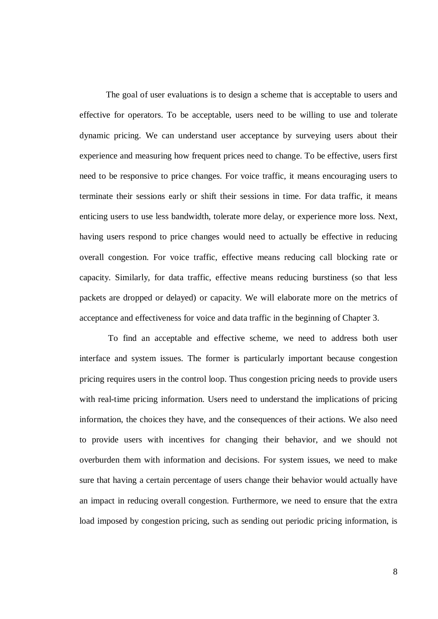The goal of user evaluations is to design a scheme that is acceptable to users and effective for operators. To be acceptable, users need to be willing to use and tolerate dynamic pricing. We can understand user acceptance by surveying users about their experience and measuring how frequent prices need to change. To be effective, users first need to be responsive to price changes. For voice traffic, it means encouraging users to terminate their sessions early or shift their sessions in time. For data traffic, it means enticing users to use less bandwidth, tolerate more delay, or experience more loss. Next, having users respond to price changes would need to actually be effective in reducing overall congestion. For voice traffic, effective means reducing call blocking rate or capacity. Similarly, for data traffic, effective means reducing burstiness (so that less packets are dropped or delayed) or capacity. We will elaborate more on the metrics of acceptance and effectiveness for voice and data traffic in the beginning of Chapter 3.

To find an acceptable and effective scheme, we need to address both user interface and system issues. The former is particularly important because congestion pricing requires users in the control loop. Thus congestion pricing needs to provide users with real-time pricing information. Users need to understand the implications of pricing information, the choices they have, and the consequences of their actions. We also need to provide users with incentives for changing their behavior, and we should not overburden them with information and decisions. For system issues, we need to make sure that having a certain percentage of users change their behavior would actually have an impact in reducing overall congestion. Furthermore, we need to ensure that the extra load imposed by congestion pricing, such as sending out periodic pricing information, is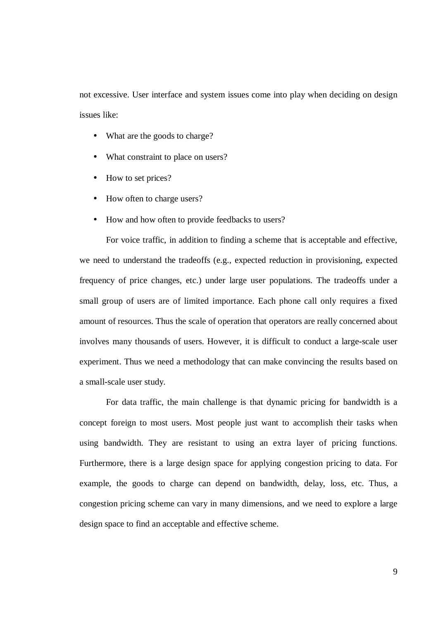not excessive. User interface and system issues come into play when deciding on design issues like:

- What are the goods to charge?
- What constraint to place on users?
- How to set prices?
- How often to charge users?
- How and how often to provide feedbacks to users?

For voice traffic, in addition to finding a scheme that is acceptable and effective, we need to understand the tradeoffs (e.g., expected reduction in provisioning, expected frequency of price changes, etc.) under large user populations. The tradeoffs under a small group of users are of limited importance. Each phone call only requires a fixed amount of resources. Thus the scale of operation that operators are really concerned about involves many thousands of users. However, it is difficult to conduct a large-scale user experiment. Thus we need a methodology that can make convincing the results based on a small-scale user study.

For data traffic, the main challenge is that dynamic pricing for bandwidth is a concept foreign to most users. Most people just want to accomplish their tasks when using bandwidth. They are resistant to using an extra layer of pricing functions. Furthermore, there is a large design space for applying congestion pricing to data. For example, the goods to charge can depend on bandwidth, delay, loss, etc. Thus, a congestion pricing scheme can vary in many dimensions, and we need to explore a large design space to find an acceptable and effective scheme.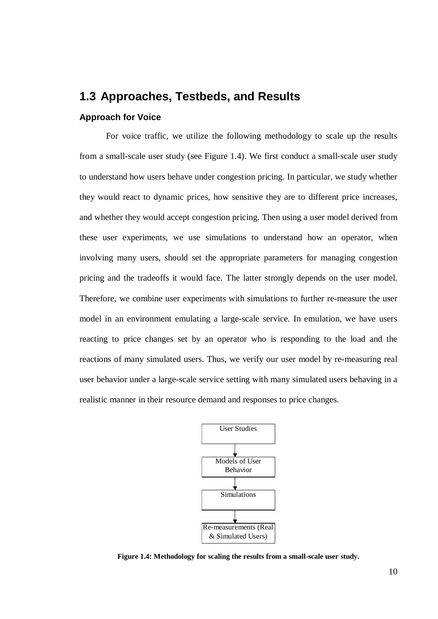## **1.3 Approaches, Testbeds, and Results**

#### **Approach for Voice**

For voice traffic, we utilize the following methodology to scale up the results from a small-scale user study (see Figure 1.4). We first conduct a small-scale user study to understand how users behave under congestion pricing. In particular, we study whether they would react to dynamic prices, how sensitive they are to different price increases, and whether they would accept congestion pricing. Then using a user model derived from these user experiments, we use simulations to understand how an operator, when involving many users, should set the appropriate parameters for managing congestion pricing and the tradeoffs it would face. The latter strongly depends on the user model. Therefore, we combine user experiments with simulations to further re-measure the user model in an environment emulating a large-scale service. In emulation, we have users reacting to price changes set by an operator who is responding to the load and the reactions of many simulated users. Thus, we verify our user model by re-measuring real user behavior under a large-scale service setting with many simulated users behaving in a realistic manner in their resource demand and responses to price changes.



**Figure 1.4: Methodology for scaling the results from a small-scale user study.**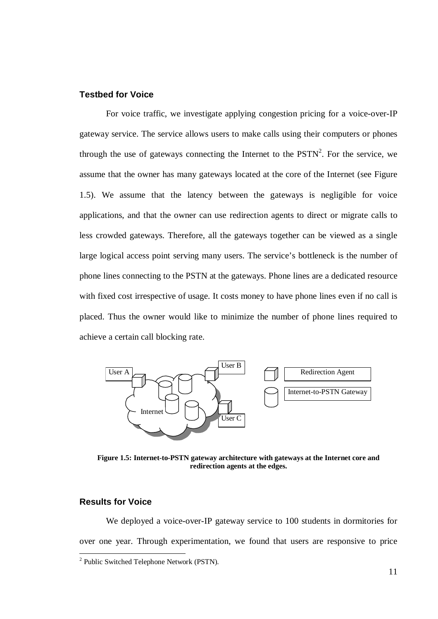## **Testbed for Voice**

For voice traffic, we investigate applying congestion pricing for a voice-over-IP gateway service. The service allows users to make calls using their computers or phones through the use of gateways connecting the Internet to the  $PSTN<sup>2</sup>$ . For the service, we assume that the owner has many gateways located at the core of the Internet (see Figure 1.5). We assume that the latency between the gateways is negligible for voice applications, and that the owner can use redirection agents to direct or migrate calls to less crowded gateways. Therefore, all the gateways together can be viewed as a single large logical access point serving many users. The service's bottleneck is the number of phone lines connecting to the PSTN at the gateways. Phone lines are a dedicated resource with fixed cost irrespective of usage. It costs money to have phone lines even if no call is placed. Thus the owner would like to minimize the number of phone lines required to achieve a certain call blocking rate.



**Figure 1.5: Internet-to-PSTN gateway architecture with gateways at the Internet core and redirection agents at the edges.**

#### **Results for Voice**

We deployed a voice-over-IP gateway service to 100 students in dormitories for over one year. Through experimentation, we found that users are responsive to price

<sup>&</sup>lt;sup>2</sup> Public Switched Telephone Network (PSTN).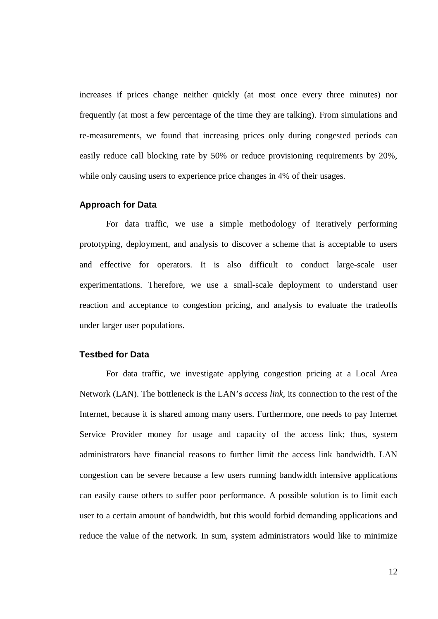increases if prices change neither quickly (at most once every three minutes) nor frequently (at most a few percentage of the time they are talking). From simulations and re-measurements, we found that increasing prices only during congested periods can easily reduce call blocking rate by 50% or reduce provisioning requirements by 20%, while only causing users to experience price changes in 4% of their usages.

### **Approach for Data**

For data traffic, we use a simple methodology of iteratively performing prototyping, deployment, and analysis to discover a scheme that is acceptable to users and effective for operators. It is also difficult to conduct large-scale user experimentations. Therefore, we use a small-scale deployment to understand user reaction and acceptance to congestion pricing, and analysis to evaluate the tradeoffs under larger user populations.

### **Testbed for Data**

For data traffic, we investigate applying congestion pricing at a Local Area Network (LAN). The bottleneck is the LAN's *access link*, its connection to the rest of the Internet, because it is shared among many users. Furthermore, one needs to pay Internet Service Provider money for usage and capacity of the access link; thus, system administrators have financial reasons to further limit the access link bandwidth. LAN congestion can be severe because a few users running bandwidth intensive applications can easily cause others to suffer poor performance. A possible solution is to limit each user to a certain amount of bandwidth, but this would forbid demanding applications and reduce the value of the network. In sum, system administrators would like to minimize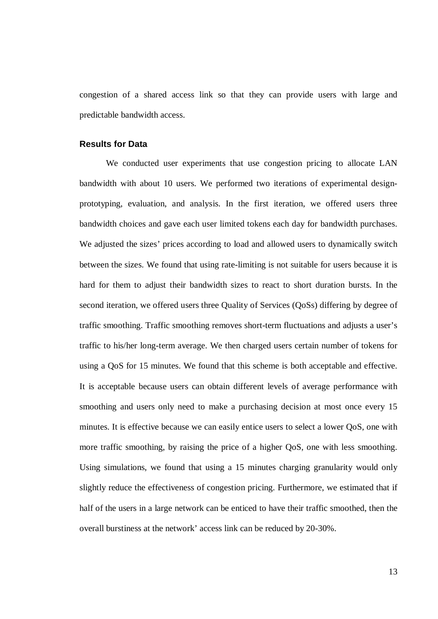congestion of a shared access link so that they can provide users with large and predictable bandwidth access.

### **Results for Data**

We conducted user experiments that use congestion pricing to allocate LAN bandwidth with about 10 users. We performed two iterations of experimental designprototyping, evaluation, and analysis. In the first iteration, we offered users three bandwidth choices and gave each user limited tokens each day for bandwidth purchases. We adjusted the sizes' prices according to load and allowed users to dynamically switch between the sizes. We found that using rate-limiting is not suitable for users because it is hard for them to adjust their bandwidth sizes to react to short duration bursts. In the second iteration, we offered users three Quality of Services (QoSs) differing by degree of traffic smoothing. Traffic smoothing removes short-term fluctuations and adjusts a user's traffic to his/her long-term average. We then charged users certain number of tokens for using a QoS for 15 minutes. We found that this scheme is both acceptable and effective. It is acceptable because users can obtain different levels of average performance with smoothing and users only need to make a purchasing decision at most once every 15 minutes. It is effective because we can easily entice users to select a lower QoS, one with more traffic smoothing, by raising the price of a higher QoS, one with less smoothing. Using simulations, we found that using a 15 minutes charging granularity would only slightly reduce the effectiveness of congestion pricing. Furthermore, we estimated that if half of the users in a large network can be enticed to have their traffic smoothed, then the overall burstiness at the network' access link can be reduced by 20-30%.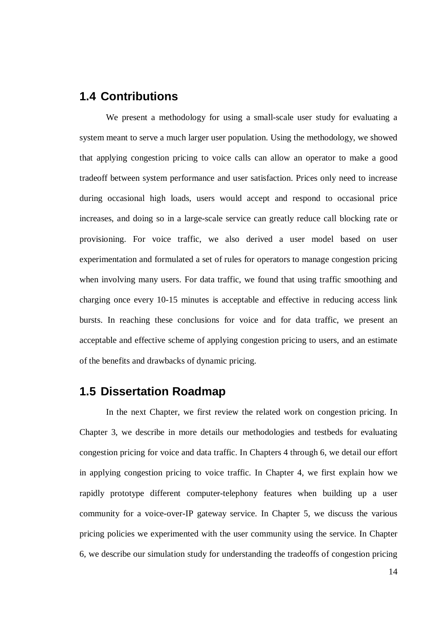## **1.4 Contributions**

We present a methodology for using a small-scale user study for evaluating a system meant to serve a much larger user population. Using the methodology, we showed that applying congestion pricing to voice calls can allow an operator to make a good tradeoff between system performance and user satisfaction. Prices only need to increase during occasional high loads, users would accept and respond to occasional price increases, and doing so in a large-scale service can greatly reduce call blocking rate or provisioning. For voice traffic, we also derived a user model based on user experimentation and formulated a set of rules for operators to manage congestion pricing when involving many users. For data traffic, we found that using traffic smoothing and charging once every 10-15 minutes is acceptable and effective in reducing access link bursts. In reaching these conclusions for voice and for data traffic, we present an acceptable and effective scheme of applying congestion pricing to users, and an estimate of the benefits and drawbacks of dynamic pricing.

## **1.5 Dissertation Roadmap**

In the next Chapter, we first review the related work on congestion pricing. In Chapter 3, we describe in more details our methodologies and testbeds for evaluating congestion pricing for voice and data traffic. In Chapters 4 through 6, we detail our effort in applying congestion pricing to voice traffic. In Chapter 4, we first explain how we rapidly prototype different computer-telephony features when building up a user community for a voice-over-IP gateway service. In Chapter 5, we discuss the various pricing policies we experimented with the user community using the service. In Chapter 6, we describe our simulation study for understanding the tradeoffs of congestion pricing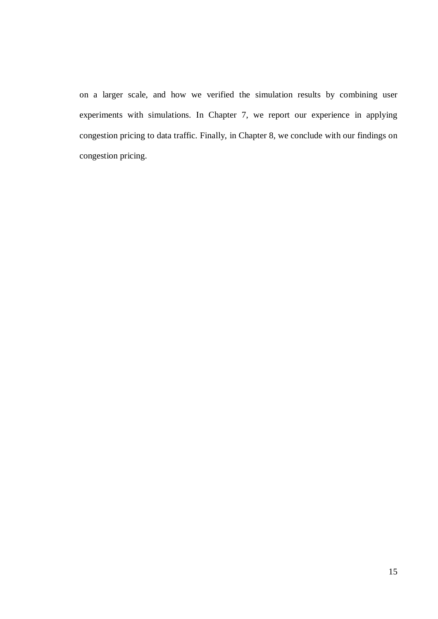on a larger scale, and how we verified the simulation results by combining user experiments with simulations. In Chapter 7, we report our experience in applying congestion pricing to data traffic. Finally, in Chapter 8, we conclude with our findings on congestion pricing.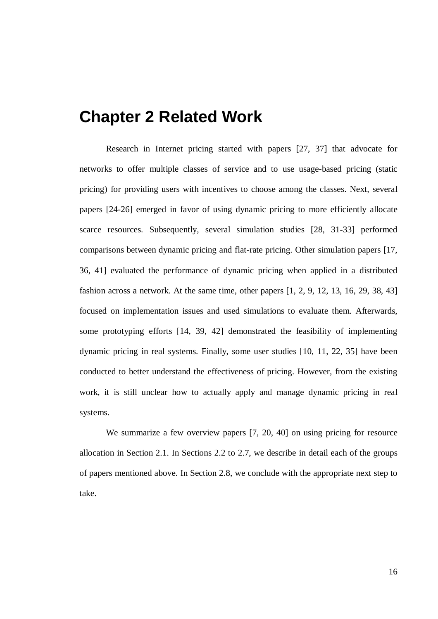## **Chapter 2 Related Work**

Research in Internet pricing started with papers [27, 37] that advocate for networks to offer multiple classes of service and to use usage-based pricing (static pricing) for providing users with incentives to choose among the classes. Next, several papers [24-26] emerged in favor of using dynamic pricing to more efficiently allocate scarce resources. Subsequently, several simulation studies [28, 31-33] performed comparisons between dynamic pricing and flat-rate pricing. Other simulation papers [17, 36, 41] evaluated the performance of dynamic pricing when applied in a distributed fashion across a network. At the same time, other papers [1, 2, 9, 12, 13, 16, 29, 38, 43] focused on implementation issues and used simulations to evaluate them. Afterwards, some prototyping efforts [14, 39, 42] demonstrated the feasibility of implementing dynamic pricing in real systems. Finally, some user studies [10, 11, 22, 35] have been conducted to better understand the effectiveness of pricing. However, from the existing work, it is still unclear how to actually apply and manage dynamic pricing in real systems.

We summarize a few overview papers [7, 20, 40] on using pricing for resource allocation in Section 2.1. In Sections 2.2 to 2.7, we describe in detail each of the groups of papers mentioned above. In Section 2.8, we conclude with the appropriate next step to take.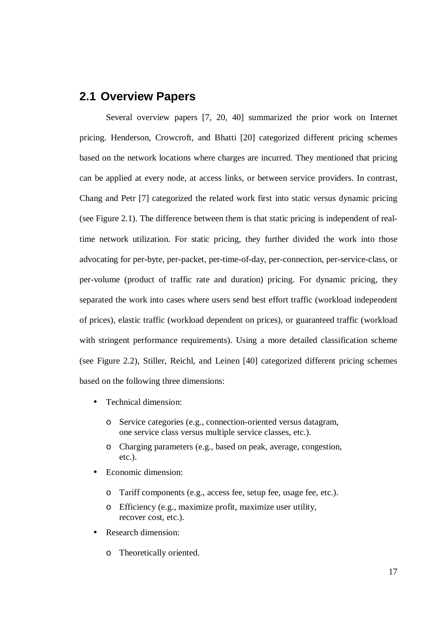## **2.1 Overview Papers**

Several overview papers [7, 20, 40] summarized the prior work on Internet pricing. Henderson, Crowcroft, and Bhatti [20] categorized different pricing schemes based on the network locations where charges are incurred. They mentioned that pricing can be applied at every node, at access links, or between service providers. In contrast, Chang and Petr [7] categorized the related work first into static versus dynamic pricing (see Figure 2.1). The difference between them is that static pricing is independent of realtime network utilization. For static pricing, they further divided the work into those advocating for per-byte, per-packet, per-time-of-day, per-connection, per-service-class, or per-volume (product of traffic rate and duration) pricing. For dynamic pricing, they separated the work into cases where users send best effort traffic (workload independent of prices), elastic traffic (workload dependent on prices), or guaranteed traffic (workload with stringent performance requirements). Using a more detailed classification scheme (see Figure 2.2), Stiller, Reichl, and Leinen [40] categorized different pricing schemes based on the following three dimensions:

- Technical dimension:
	- o Service categories (e.g., connection-oriented versus datagram, one service class versus multiple service classes, etc.).
	- o Charging parameters (e.g., based on peak, average, congestion, etc.).
- Economic dimension:
	- o Tariff components (e.g., access fee, setup fee, usage fee, etc.).
	- o Efficiency (e.g., maximize profit, maximize user utility, recover cost, etc.).
- Research dimension:
	- o Theoretically oriented.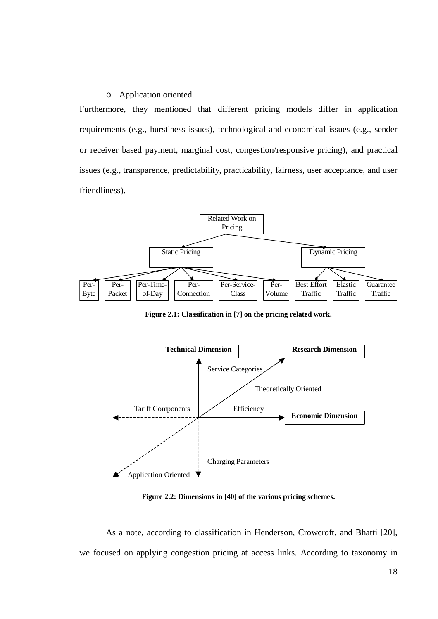#### o Application oriented.

Furthermore, they mentioned that different pricing models differ in application requirements (e.g., burstiness issues), technological and economical issues (e.g., sender or receiver based payment, marginal cost, congestion/responsive pricing), and practical issues (e.g., transparence, predictability, practicability, fairness, user acceptance, and user friendliness).



**Figure 2.1: Classification in [7] on the pricing related work.**



**Figure 2.2: Dimensions in [40] of the various pricing schemes.**

As a note, according to classification in Henderson, Crowcroft, and Bhatti [20], we focused on applying congestion pricing at access links. According to taxonomy in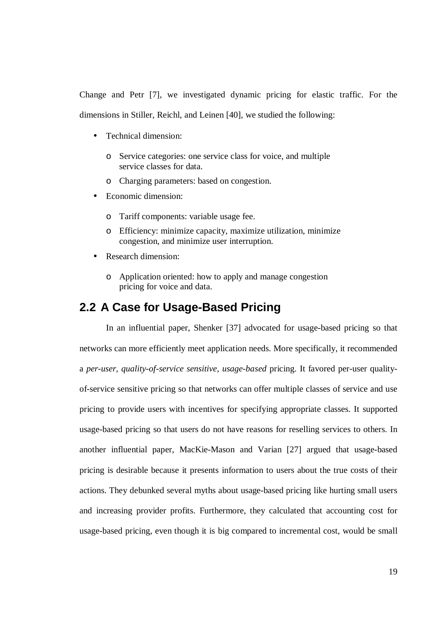Change and Petr [7], we investigated dynamic pricing for elastic traffic. For the dimensions in Stiller, Reichl, and Leinen [40], we studied the following:

- Technical dimension:
	- o Service categories: one service class for voice, and multiple service classes for data.
	- o Charging parameters: based on congestion.
- Economic dimension:
	- o Tariff components: variable usage fee.
	- o Efficiency: minimize capacity, maximize utilization, minimize congestion, and minimize user interruption.
- Research dimension:
	- o Application oriented: how to apply and manage congestion pricing for voice and data.

## **2.2 A Case for Usage-Based Pricing**

In an influential paper, Shenker [37] advocated for usage-based pricing so that networks can more efficiently meet application needs. More specifically, it recommended a *per-user, quality-of-service sensitive, usage-based* pricing. It favored per-user qualityof-service sensitive pricing so that networks can offer multiple classes of service and use pricing to provide users with incentives for specifying appropriate classes. It supported usage-based pricing so that users do not have reasons for reselling services to others. In another influential paper, MacKie-Mason and Varian [27] argued that usage-based pricing is desirable because it presents information to users about the true costs of their actions. They debunked several myths about usage-based pricing like hurting small users and increasing provider profits. Furthermore, they calculated that accounting cost for usage-based pricing, even though it is big compared to incremental cost, would be small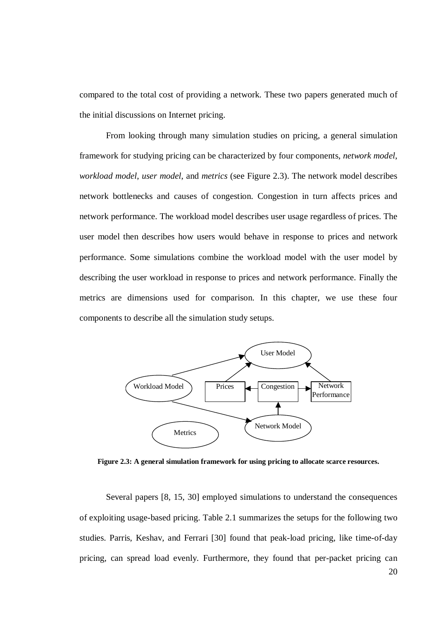compared to the total cost of providing a network. These two papers generated much of the initial discussions on Internet pricing.

From looking through many simulation studies on pricing, a general simulation framework for studying pricing can be characterized by four components, *network model*, *workload model*, *user model*, and *metrics* (see Figure 2.3). The network model describes network bottlenecks and causes of congestion. Congestion in turn affects prices and network performance. The workload model describes user usage regardless of prices. The user model then describes how users would behave in response to prices and network performance. Some simulations combine the workload model with the user model by describing the user workload in response to prices and network performance. Finally the metrics are dimensions used for comparison. In this chapter, we use these four components to describe all the simulation study setups.



**Figure 2.3: A general simulation framework for using pricing to allocate scarce resources.**

Several papers [8, 15, 30] employed simulations to understand the consequences of exploiting usage-based pricing. Table 2.1 summarizes the setups for the following two studies. Parris, Keshav, and Ferrari [30] found that peak-load pricing, like time-of-day pricing, can spread load evenly. Furthermore, they found that per-packet pricing can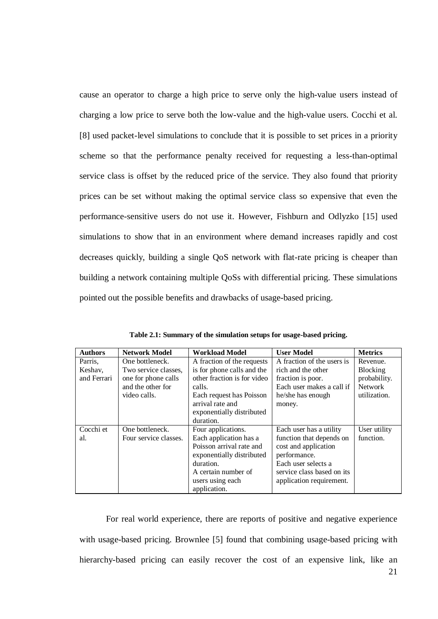cause an operator to charge a high price to serve only the high-value users instead of charging a low price to serve both the low-value and the high-value users. Cocchi et al. [8] used packet-level simulations to conclude that it is possible to set prices in a priority scheme so that the performance penalty received for requesting a less-than-optimal service class is offset by the reduced price of the service. They also found that priority prices can be set without making the optimal service class so expensive that even the performance-sensitive users do not use it. However, Fishburn and Odlyzko [15] used simulations to show that in an environment where demand increases rapidly and cost decreases quickly, building a single QoS network with flat-rate pricing is cheaper than building a network containing multiple QoSs with differential pricing. These simulations pointed out the possible benefits and drawbacks of usage-based pricing.

| <b>Authors</b> | <b>Network Model</b>  | <b>Workload Model</b>       | <b>User Model</b>          | <b>Metrics</b> |
|----------------|-----------------------|-----------------------------|----------------------------|----------------|
| Parris,        | One bottleneck.       | A fraction of the requests  | A fraction of the users is | Revenue.       |
| Keshav,        | Two service classes,  | is for phone calls and the  | rich and the other         | Blocking       |
| and Ferrari    | one for phone calls   | other fraction is for video | fraction is poor.          | probability.   |
|                | and the other for     | calls.                      | Each user makes a call if  | <b>Network</b> |
|                | video calls.          | Each request has Poisson    | he/she has enough          | utilization.   |
|                |                       | arrival rate and            | money.                     |                |
|                |                       | exponentially distributed   |                            |                |
|                |                       | duration.                   |                            |                |
| Cocchi et      | One bottleneck.       | Four applications.          | Each user has a utility    | User utility   |
| al.            | Four service classes. | Each application has a      | function that depends on   | function.      |
|                |                       | Poisson arrival rate and    | cost and application       |                |
|                |                       | exponentially distributed   | performance.               |                |
|                |                       | duration.                   | Each user selects a        |                |
|                |                       | A certain number of         | service class based on its |                |
|                |                       | users using each            | application requirement.   |                |
|                |                       | application.                |                            |                |

**Table 2.1: Summary of the simulation setups for usage-based pricing.**

For real world experience, there are reports of positive and negative experience with usage-based pricing. Brownlee [5] found that combining usage-based pricing with hierarchy-based pricing can easily recover the cost of an expensive link, like an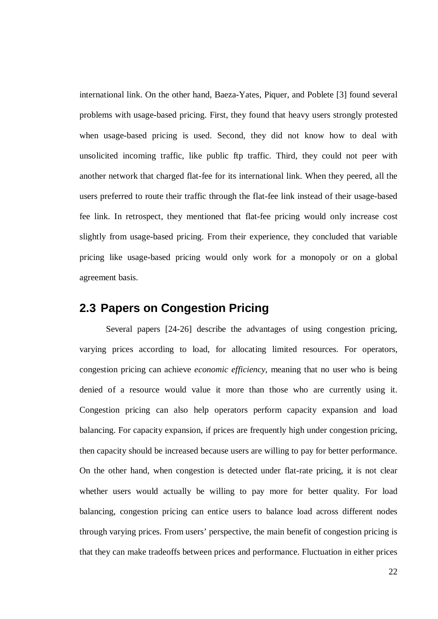international link. On the other hand, Baeza-Yates, Piquer, and Poblete [3] found several problems with usage-based pricing. First, they found that heavy users strongly protested when usage-based pricing is used. Second, they did not know how to deal with unsolicited incoming traffic, like public ftp traffic. Third, they could not peer with another network that charged flat-fee for its international link. When they peered, all the users preferred to route their traffic through the flat-fee link instead of their usage-based fee link. In retrospect, they mentioned that flat-fee pricing would only increase cost slightly from usage-based pricing. From their experience, they concluded that variable pricing like usage-based pricing would only work for a monopoly or on a global agreement basis.

#### **2.3 Papers on Congestion Pricing**

Several papers [24-26] describe the advantages of using congestion pricing, varying prices according to load, for allocating limited resources. For operators, congestion pricing can achieve *economic efficiency*, meaning that no user who is being denied of a resource would value it more than those who are currently using it. Congestion pricing can also help operators perform capacity expansion and load balancing. For capacity expansion, if prices are frequently high under congestion pricing, then capacity should be increased because users are willing to pay for better performance. On the other hand, when congestion is detected under flat-rate pricing, it is not clear whether users would actually be willing to pay more for better quality. For load balancing, congestion pricing can entice users to balance load across different nodes through varying prices. From users' perspective, the main benefit of congestion pricing is that they can make tradeoffs between prices and performance. Fluctuation in either prices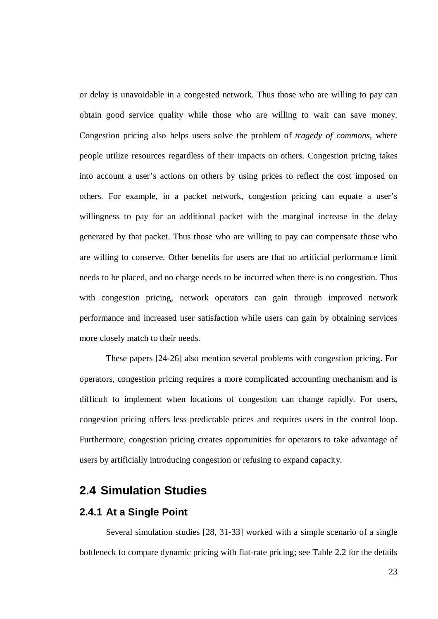or delay is unavoidable in a congested network. Thus those who are willing to pay can obtain good service quality while those who are willing to wait can save money. Congestion pricing also helps users solve the problem of *tragedy of commons*, where people utilize resources regardless of their impacts on others. Congestion pricing takes into account a user's actions on others by using prices to reflect the cost imposed on others. For example, in a packet network, congestion pricing can equate a user's willingness to pay for an additional packet with the marginal increase in the delay generated by that packet. Thus those who are willing to pay can compensate those who are willing to conserve. Other benefits for users are that no artificial performance limit needs to be placed, and no charge needs to be incurred when there is no congestion. Thus with congestion pricing, network operators can gain through improved network performance and increased user satisfaction while users can gain by obtaining services more closely match to their needs.

These papers [24-26] also mention several problems with congestion pricing. For operators, congestion pricing requires a more complicated accounting mechanism and is difficult to implement when locations of congestion can change rapidly. For users, congestion pricing offers less predictable prices and requires users in the control loop. Furthermore, congestion pricing creates opportunities for operators to take advantage of users by artificially introducing congestion or refusing to expand capacity.

#### **2.4 Simulation Studies**

#### **2.4.1 At a Single Point**

Several simulation studies [28, 31-33] worked with a simple scenario of a single bottleneck to compare dynamic pricing with flat-rate pricing; see Table 2.2 for the details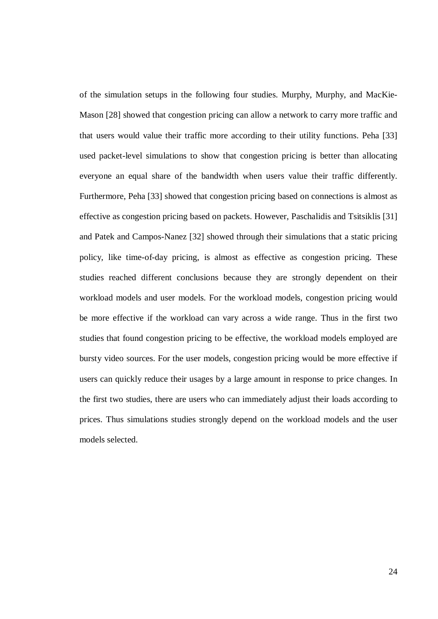of the simulation setups in the following four studies. Murphy, Murphy, and MacKie-Mason [28] showed that congestion pricing can allow a network to carry more traffic and that users would value their traffic more according to their utility functions. Peha [33] used packet-level simulations to show that congestion pricing is better than allocating everyone an equal share of the bandwidth when users value their traffic differently. Furthermore, Peha [33] showed that congestion pricing based on connections is almost as effective as congestion pricing based on packets. However, Paschalidis and Tsitsiklis [31] and Patek and Campos-Nanez [32] showed through their simulations that a static pricing policy, like time-of-day pricing, is almost as effective as congestion pricing. These studies reached different conclusions because they are strongly dependent on their workload models and user models. For the workload models, congestion pricing would be more effective if the workload can vary across a wide range. Thus in the first two studies that found congestion pricing to be effective, the workload models employed are bursty video sources. For the user models, congestion pricing would be more effective if users can quickly reduce their usages by a large amount in response to price changes. In the first two studies, there are users who can immediately adjust their loads according to prices. Thus simulations studies strongly depend on the workload models and the user models selected.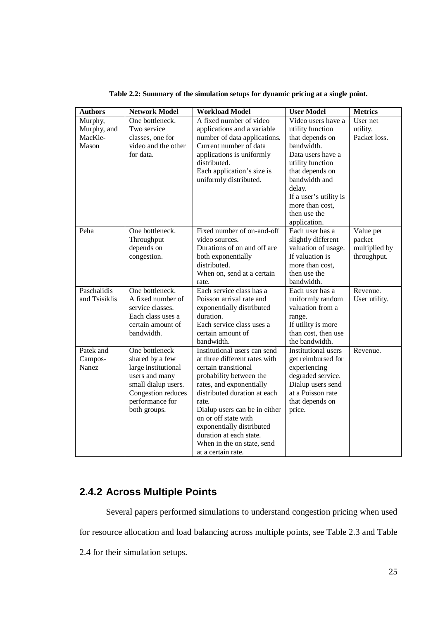| <b>Authors</b>                       | <b>Network Model</b>                                                                                                                                       | <b>Workload Model</b>                                                                                                                                                                                                                                                                                                                                      | <b>User Model</b>                                                                                                                                                                                 | <b>Metrics</b>                                      |
|--------------------------------------|------------------------------------------------------------------------------------------------------------------------------------------------------------|------------------------------------------------------------------------------------------------------------------------------------------------------------------------------------------------------------------------------------------------------------------------------------------------------------------------------------------------------------|---------------------------------------------------------------------------------------------------------------------------------------------------------------------------------------------------|-----------------------------------------------------|
| Murphy,<br>Murphy, and               | One bottleneck.<br>Two service                                                                                                                             | A fixed number of video<br>applications and a variable                                                                                                                                                                                                                                                                                                     | Video users have a<br>utility function                                                                                                                                                            | User net<br>utility.                                |
| MacKie-<br>Mason                     | classes, one for<br>video and the other<br>for data.                                                                                                       | number of data applications.<br>Current number of data<br>applications is uniformly<br>distributed.<br>Each application's size is<br>uniformly distributed.                                                                                                                                                                                                | that depends on<br>bandwidth.<br>Data users have a<br>utility function<br>that depends on<br>bandwidth and<br>delay.<br>If a user's utility is<br>more than cost,<br>then use the<br>application. | Packet loss.                                        |
| Peha                                 | One bottleneck.<br>Throughput<br>depends on<br>congestion.                                                                                                 | Fixed number of on-and-off<br>video sources.<br>Durations of on and off are<br>both exponentially<br>distributed.<br>When on, send at a certain<br>rate.                                                                                                                                                                                                   | Each user has a<br>slightly different<br>valuation of usage.<br>If valuation is<br>more than cost,<br>then use the<br>bandwidth.                                                                  | Value per<br>packet<br>multiplied by<br>throughput. |
| Paschalidis<br>and Tsisiklis         | One bottleneck.<br>A fixed number of<br>service classes.<br>Each class uses a<br>certain amount of<br>bandwidth.                                           | Each service class has a<br>Poisson arrival rate and<br>exponentially distributed<br>duration.<br>Each service class uses a<br>certain amount of<br>bandwidth.                                                                                                                                                                                             | Each user has a<br>uniformly random<br>valuation from a<br>range.<br>If utility is more<br>than cost, then use<br>the bandwidth.                                                                  | Revenue.<br>User utility.                           |
| Patek and<br>Campos-<br><b>Nanez</b> | One bottleneck<br>shared by a few<br>large institutional<br>users and many<br>small dialup users.<br>Congestion reduces<br>performance for<br>both groups. | Institutional users can send<br>at three different rates with<br>certain transitional<br>probability between the<br>rates, and exponentially<br>distributed duration at each<br>rate.<br>Dialup users can be in either<br>on or off state with<br>exponentially distributed<br>duration at each state.<br>When in the on state, send<br>at a certain rate. | Institutional users<br>get reimbursed for<br>experiencing<br>degraded service.<br>Dialup users send<br>at a Poisson rate<br>that depends on<br>price.                                             | Revenue.                                            |

**Table 2.2: Summary of the simulation setups for dynamic pricing at a single point.**

## **2.4.2 Across Multiple Points**

Several papers performed simulations to understand congestion pricing when used for resource allocation and load balancing across multiple points, see Table 2.3 and Table

2.4 for their simulation setups.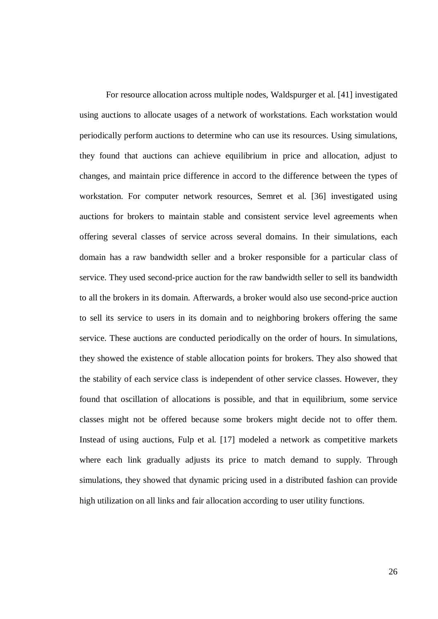For resource allocation across multiple nodes, Waldspurger et al. [41] investigated using auctions to allocate usages of a network of workstations. Each workstation would periodically perform auctions to determine who can use its resources. Using simulations, they found that auctions can achieve equilibrium in price and allocation, adjust to changes, and maintain price difference in accord to the difference between the types of workstation. For computer network resources, Semret et al. [36] investigated using auctions for brokers to maintain stable and consistent service level agreements when offering several classes of service across several domains. In their simulations, each domain has a raw bandwidth seller and a broker responsible for a particular class of service. They used second-price auction for the raw bandwidth seller to sell its bandwidth to all the brokers in its domain. Afterwards, a broker would also use second-price auction to sell its service to users in its domain and to neighboring brokers offering the same service. These auctions are conducted periodically on the order of hours. In simulations, they showed the existence of stable allocation points for brokers. They also showed that the stability of each service class is independent of other service classes. However, they found that oscillation of allocations is possible, and that in equilibrium, some service classes might not be offered because some brokers might decide not to offer them. Instead of using auctions, Fulp et al. [17] modeled a network as competitive markets where each link gradually adjusts its price to match demand to supply. Through simulations, they showed that dynamic pricing used in a distributed fashion can provide high utilization on all links and fair allocation according to user utility functions.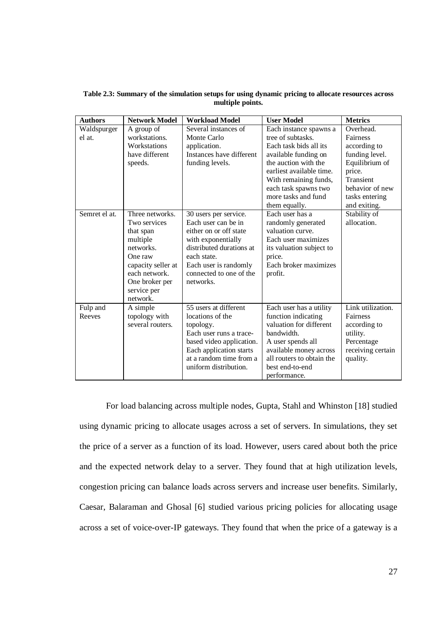**Table 2.3: Summary of the simulation setups for using dynamic pricing to allocate resources across multiple points.**

| <b>Authors</b>        | <b>Network Model</b>                                                                                                                                                 | <b>Workload Model</b>                                                                                                                                                                                    | <b>User Model</b>                                                                                                                                                                                                                          | <b>Metrics</b>                                                                                                                                        |
|-----------------------|----------------------------------------------------------------------------------------------------------------------------------------------------------------------|----------------------------------------------------------------------------------------------------------------------------------------------------------------------------------------------------------|--------------------------------------------------------------------------------------------------------------------------------------------------------------------------------------------------------------------------------------------|-------------------------------------------------------------------------------------------------------------------------------------------------------|
| Waldspurger<br>el at. | A group of<br>workstations.<br>Workstations<br>have different<br>speeds.                                                                                             | Several instances of<br>Monte Carlo<br>application.<br>Instances have different<br>funding levels.                                                                                                       | Each instance spawns a<br>tree of subtasks.<br>Each task bids all its<br>available funding on<br>the auction with the<br>earliest available time.<br>With remaining funds,<br>each task spawns two<br>more tasks and fund<br>them equally. | Overhead.<br>Fairness<br>according to<br>funding level.<br>Equilibrium of<br>price.<br>Transient<br>behavior of new<br>tasks entering<br>and exiting. |
| Semret el at.         | Three networks.<br>Two services<br>that span<br>multiple<br>networks.<br>One raw<br>capacity seller at<br>each network.<br>One broker per<br>service per<br>network. | 30 users per service.<br>Each user can be in<br>either on or off state<br>with exponentially<br>distributed durations at<br>each state.<br>Each user is randomly<br>connected to one of the<br>networks. | Each user has a<br>randomly generated<br>valuation curve.<br>Each user maximizes<br>its valuation subject to<br>price.<br>Each broker maximizes<br>profit.                                                                                 | Stability of<br>allocation.                                                                                                                           |
| Fulp and<br>Reeves    | A simple<br>topology with<br>several routers.                                                                                                                        | 55 users at different<br>locations of the<br>topology.<br>Each user runs a trace-<br>based video application.<br>Each application starts<br>at a random time from a<br>uniform distribution.             | Each user has a utility<br>function indicating<br>valuation for different<br>bandwidth.<br>A user spends all<br>available money across<br>all routers to obtain the<br>best end-to-end<br>performance.                                     | Link utilization.<br>Fairness<br>according to<br>utility.<br>Percentage<br>receiving certain<br>quality.                                              |

For load balancing across multiple nodes, Gupta, Stahl and Whinston [18] studied using dynamic pricing to allocate usages across a set of servers. In simulations, they set the price of a server as a function of its load. However, users cared about both the price and the expected network delay to a server. They found that at high utilization levels, congestion pricing can balance loads across servers and increase user benefits. Similarly, Caesar, Balaraman and Ghosal [6] studied various pricing policies for allocating usage across a set of voice-over-IP gateways. They found that when the price of a gateway is a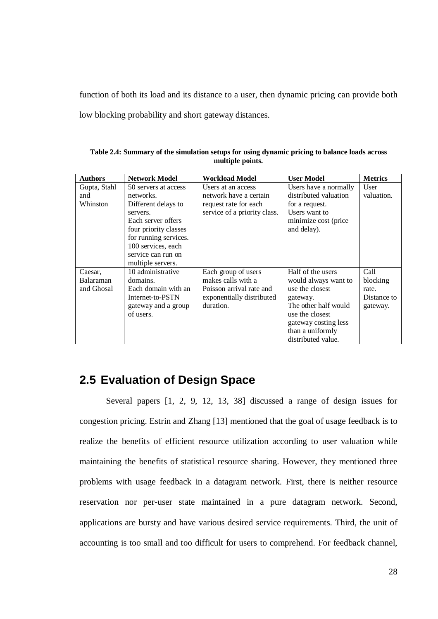function of both its load and its distance to a user, then dynamic pricing can provide both low blocking probability and short gateway distances.

| <b>Authors</b>   | <b>Network Model</b>  | <b>Workload Model</b>        | <b>User Model</b>     | <b>Metrics</b> |
|------------------|-----------------------|------------------------------|-----------------------|----------------|
| Gupta, Stahl     | 50 servers at access  | Users at an access           | Users have a normally | User           |
| and              | networks.             | network have a certain       | distributed valuation | valuation.     |
| Whinston         | Different delays to   | request rate for each        | for a request.        |                |
|                  | servers.              | service of a priority class. | Users want to         |                |
|                  | Each server offers    |                              | minimize cost (price  |                |
|                  | four priority classes |                              | and delay).           |                |
|                  | for running services. |                              |                       |                |
|                  | 100 services, each    |                              |                       |                |
|                  | service can run on    |                              |                       |                |
|                  | multiple servers.     |                              |                       |                |
| Caesar,          | 10 administrative     | Each group of users          | Half of the users     | Call           |
| <b>Balaraman</b> | domains.              | makes calls with a           | would always want to  | blocking       |
| and Ghosal       | Each domain with an   | Poisson arrival rate and     | use the closest       | rate.          |
|                  | Internet-to-PSTN      | exponentially distributed    | gateway.              | Distance to    |
|                  | gateway and a group   | duration.                    | The other half would  | gateway.       |
|                  | of users.             |                              | use the closest       |                |
|                  |                       |                              | gateway costing less  |                |
|                  |                       |                              | than a uniformly      |                |
|                  |                       |                              | distributed value.    |                |

**Table 2.4: Summary of the simulation setups for using dynamic pricing to balance loads across multiple points.**

# **2.5 Evaluation of Design Space**

Several papers [1, 2, 9, 12, 13, 38] discussed a range of design issues for congestion pricing. Estrin and Zhang [13] mentioned that the goal of usage feedback is to realize the benefits of efficient resource utilization according to user valuation while maintaining the benefits of statistical resource sharing. However, they mentioned three problems with usage feedback in a datagram network. First, there is neither resource reservation nor per-user state maintained in a pure datagram network. Second, applications are bursty and have various desired service requirements. Third, the unit of accounting is too small and too difficult for users to comprehend. For feedback channel,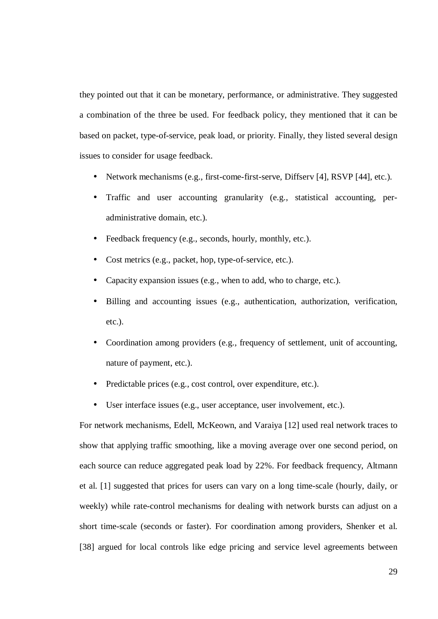they pointed out that it can be monetary, performance, or administrative. They suggested a combination of the three be used. For feedback policy, they mentioned that it can be based on packet, type-of-service, peak load, or priority. Finally, they listed several design issues to consider for usage feedback.

- Network mechanisms (e.g., first-come-first-serve, Diffserv [4], RSVP [44], etc.).
- Traffic and user accounting granularity (e.g., statistical accounting, peradministrative domain, etc.).
- Feedback frequency (e.g., seconds, hourly, monthly, etc.).
- Cost metrics (e.g., packet, hop, type-of-service, etc.).
- Capacity expansion issues (e.g., when to add, who to charge, etc.).
- Billing and accounting issues (e.g., authentication, authorization, verification, etc.).
- Coordination among providers (e.g., frequency of settlement, unit of accounting, nature of payment, etc.).
- Predictable prices (e.g., cost control, over expenditure, etc.).
- User interface issues (e.g., user acceptance, user involvement, etc.).

For network mechanisms, Edell, McKeown, and Varaiya [12] used real network traces to show that applying traffic smoothing, like a moving average over one second period, on each source can reduce aggregated peak load by 22%. For feedback frequency, Altmann et al. [1] suggested that prices for users can vary on a long time-scale (hourly, daily, or weekly) while rate-control mechanisms for dealing with network bursts can adjust on a short time-scale (seconds or faster). For coordination among providers, Shenker et al. [38] argued for local controls like edge pricing and service level agreements between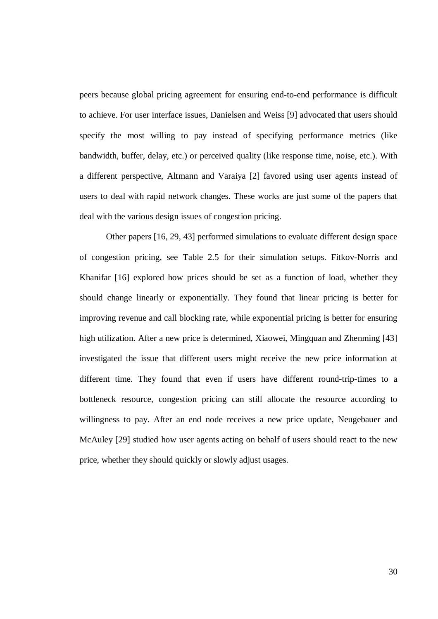peers because global pricing agreement for ensuring end-to-end performance is difficult to achieve. For user interface issues, Danielsen and Weiss [9] advocated that users should specify the most willing to pay instead of specifying performance metrics (like bandwidth, buffer, delay, etc.) or perceived quality (like response time, noise, etc.). With a different perspective, Altmann and Varaiya [2] favored using user agents instead of users to deal with rapid network changes. These works are just some of the papers that deal with the various design issues of congestion pricing.

Other papers [16, 29, 43] performed simulations to evaluate different design space of congestion pricing, see Table 2.5 for their simulation setups. Fitkov-Norris and Khanifar [16] explored how prices should be set as a function of load, whether they should change linearly or exponentially. They found that linear pricing is better for improving revenue and call blocking rate, while exponential pricing is better for ensuring high utilization. After a new price is determined, Xiaowei, Mingquan and Zhenming [43] investigated the issue that different users might receive the new price information at different time. They found that even if users have different round-trip-times to a bottleneck resource, congestion pricing can still allocate the resource according to willingness to pay. After an end node receives a new price update, Neugebauer and McAuley [29] studied how user agents acting on behalf of users should react to the new price, whether they should quickly or slowly adjust usages.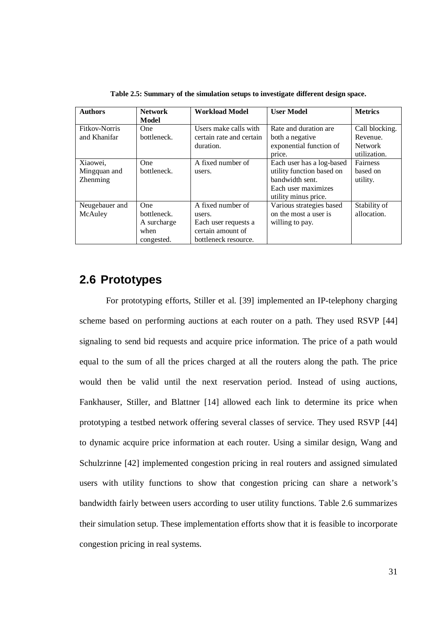| <b>Authors</b> | <b>Network</b> | <b>Workload Model</b>    | <b>User Model</b>         | <b>Metrics</b> |
|----------------|----------------|--------------------------|---------------------------|----------------|
|                | Model          |                          |                           |                |
| Fitkov-Norris  | <b>One</b>     | Users make calls with    | Rate and duration are     | Call blocking. |
| and Khanifar   | bottleneck.    | certain rate and certain | both a negative           | Revenue.       |
|                |                | duration.                | exponential function of   | <b>Network</b> |
|                |                |                          | price.                    | utilization.   |
| Xiaowei,       | <b>One</b>     | A fixed number of        | Each user has a log-based | Fairness       |
| Mingquan and   | bottleneck.    | users.                   | utility function based on | based on       |
| Zhenming       |                |                          | bandwidth sent.           | utility.       |
|                |                |                          | Each user maximizes       |                |
|                |                |                          | utility minus price.      |                |
| Neugebauer and | <b>One</b>     | A fixed number of        | Various strategies based  | Stability of   |
| McAuley        | bottleneck.    | users.                   | on the most a user is     | allocation.    |
|                | A surcharge    | Each user requests a     | willing to pay.           |                |
|                | when           | certain amount of        |                           |                |
|                | congested.     | bottleneck resource.     |                           |                |

**Table 2.5: Summary of the simulation setups to investigate different design space.**

## **2.6 Prototypes**

For prototyping efforts, Stiller et al. [39] implemented an IP-telephony charging scheme based on performing auctions at each router on a path. They used RSVP [44] signaling to send bid requests and acquire price information. The price of a path would equal to the sum of all the prices charged at all the routers along the path. The price would then be valid until the next reservation period. Instead of using auctions, Fankhauser, Stiller, and Blattner [14] allowed each link to determine its price when prototyping a testbed network offering several classes of service. They used RSVP [44] to dynamic acquire price information at each router. Using a similar design, Wang and Schulzrinne [42] implemented congestion pricing in real routers and assigned simulated users with utility functions to show that congestion pricing can share a network's bandwidth fairly between users according to user utility functions. Table 2.6 summarizes their simulation setup. These implementation efforts show that it is feasible to incorporate congestion pricing in real systems.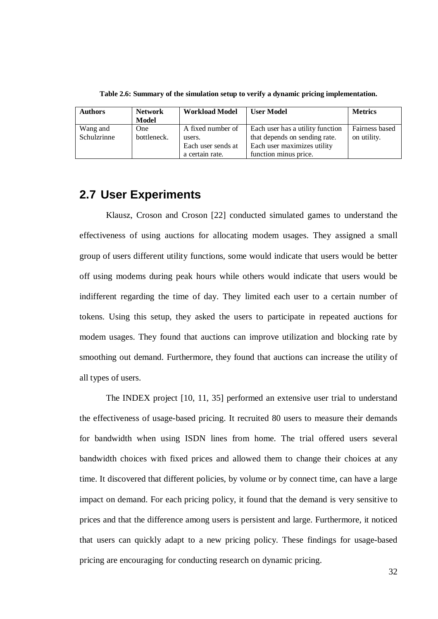| <b>Authors</b> | <b>Network</b> | <b>Workload Model</b> | <b>User Model</b>                | <b>Metrics</b> |
|----------------|----------------|-----------------------|----------------------------------|----------------|
|                | Model          |                       |                                  |                |
| Wang and       | <b>One</b>     | A fixed number of     | Each user has a utility function | Fairness based |
| Schulzrinne    | bottleneck.    | users.                | that depends on sending rate.    | on utility.    |
|                |                | Each user sends at    | Each user maximizes utility      |                |
|                |                | a certain rate.       | function minus price.            |                |

**Table 2.6: Summary of the simulation setup to verify a dynamic pricing implementation.**

#### **2.7 User Experiments**

Klausz, Croson and Croson [22] conducted simulated games to understand the effectiveness of using auctions for allocating modem usages. They assigned a small group of users different utility functions, some would indicate that users would be better off using modems during peak hours while others would indicate that users would be indifferent regarding the time of day. They limited each user to a certain number of tokens. Using this setup, they asked the users to participate in repeated auctions for modem usages. They found that auctions can improve utilization and blocking rate by smoothing out demand. Furthermore, they found that auctions can increase the utility of all types of users.

The INDEX project [10, 11, 35] performed an extensive user trial to understand the effectiveness of usage-based pricing. It recruited 80 users to measure their demands for bandwidth when using ISDN lines from home. The trial offered users several bandwidth choices with fixed prices and allowed them to change their choices at any time. It discovered that different policies, by volume or by connect time, can have a large impact on demand. For each pricing policy, it found that the demand is very sensitive to prices and that the difference among users is persistent and large. Furthermore, it noticed that users can quickly adapt to a new pricing policy. These findings for usage-based pricing are encouraging for conducting research on dynamic pricing.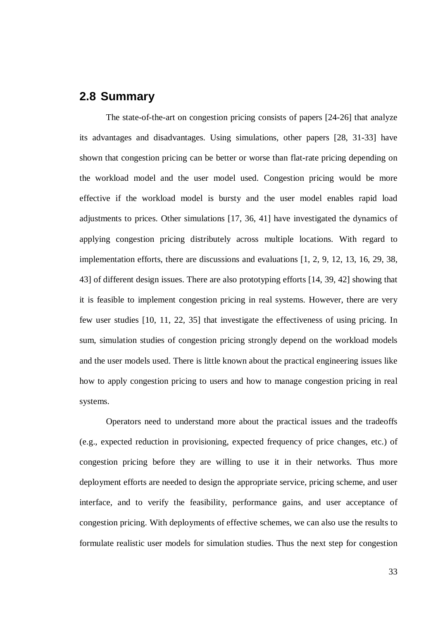#### **2.8 Summary**

The state-of-the-art on congestion pricing consists of papers [24-26] that analyze its advantages and disadvantages. Using simulations, other papers [28, 31-33] have shown that congestion pricing can be better or worse than flat-rate pricing depending on the workload model and the user model used. Congestion pricing would be more effective if the workload model is bursty and the user model enables rapid load adjustments to prices. Other simulations [17, 36, 41] have investigated the dynamics of applying congestion pricing distributely across multiple locations. With regard to implementation efforts, there are discussions and evaluations [1, 2, 9, 12, 13, 16, 29, 38, 43] of different design issues. There are also prototyping efforts [14, 39, 42] showing that it is feasible to implement congestion pricing in real systems. However, there are very few user studies [10, 11, 22, 35] that investigate the effectiveness of using pricing. In sum, simulation studies of congestion pricing strongly depend on the workload models and the user models used. There is little known about the practical engineering issues like how to apply congestion pricing to users and how to manage congestion pricing in real systems.

Operators need to understand more about the practical issues and the tradeoffs (e.g., expected reduction in provisioning, expected frequency of price changes, etc.) of congestion pricing before they are willing to use it in their networks. Thus more deployment efforts are needed to design the appropriate service, pricing scheme, and user interface, and to verify the feasibility, performance gains, and user acceptance of congestion pricing. With deployments of effective schemes, we can also use the results to formulate realistic user models for simulation studies. Thus the next step for congestion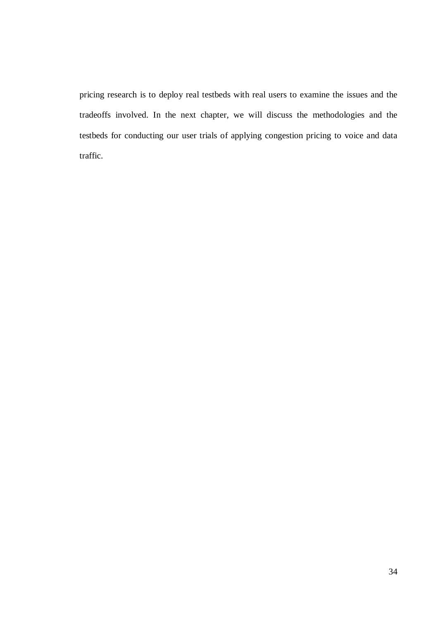pricing research is to deploy real testbeds with real users to examine the issues and the tradeoffs involved. In the next chapter, we will discuss the methodologies and the testbeds for conducting our user trials of applying congestion pricing to voice and data traffic.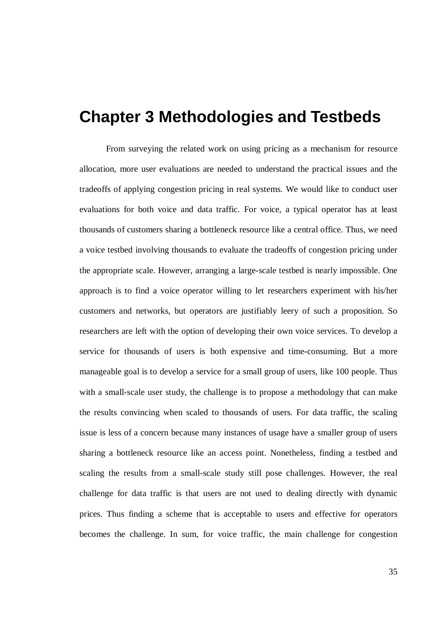# **Chapter 3 Methodologies and Testbeds**

From surveying the related work on using pricing as a mechanism for resource allocation, more user evaluations are needed to understand the practical issues and the tradeoffs of applying congestion pricing in real systems. We would like to conduct user evaluations for both voice and data traffic. For voice, a typical operator has at least thousands of customers sharing a bottleneck resource like a central office. Thus, we need a voice testbed involving thousands to evaluate the tradeoffs of congestion pricing under the appropriate scale. However, arranging a large-scale testbed is nearly impossible. One approach is to find a voice operator willing to let researchers experiment with his/her customers and networks, but operators are justifiably leery of such a proposition. So researchers are left with the option of developing their own voice services. To develop a service for thousands of users is both expensive and time-consuming. But a more manageable goal is to develop a service for a small group of users, like 100 people. Thus with a small-scale user study, the challenge is to propose a methodology that can make the results convincing when scaled to thousands of users. For data traffic, the scaling issue is less of a concern because many instances of usage have a smaller group of users sharing a bottleneck resource like an access point. Nonetheless, finding a testbed and scaling the results from a small-scale study still pose challenges. However, the real challenge for data traffic is that users are not used to dealing directly with dynamic prices. Thus finding a scheme that is acceptable to users and effective for operators becomes the challenge. In sum, for voice traffic, the main challenge for congestion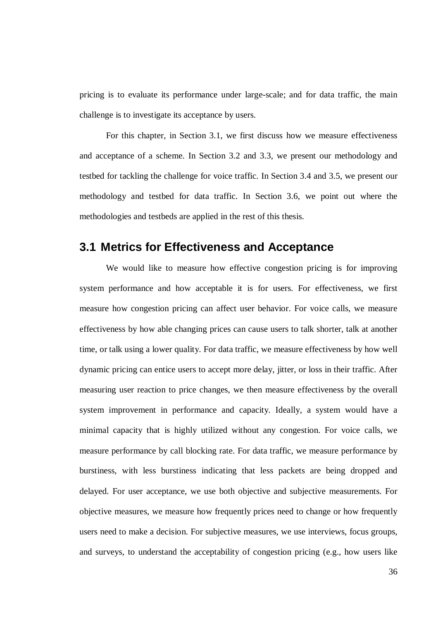pricing is to evaluate its performance under large-scale; and for data traffic, the main challenge is to investigate its acceptance by users.

For this chapter, in Section 3.1, we first discuss how we measure effectiveness and acceptance of a scheme. In Section 3.2 and 3.3, we present our methodology and testbed for tackling the challenge for voice traffic. In Section 3.4 and 3.5, we present our methodology and testbed for data traffic. In Section 3.6, we point out where the methodologies and testbeds are applied in the rest of this thesis.

### **3.1 Metrics for Effectiveness and Acceptance**

We would like to measure how effective congestion pricing is for improving system performance and how acceptable it is for users. For effectiveness, we first measure how congestion pricing can affect user behavior. For voice calls, we measure effectiveness by how able changing prices can cause users to talk shorter, talk at another time, or talk using a lower quality. For data traffic, we measure effectiveness by how well dynamic pricing can entice users to accept more delay, jitter, or loss in their traffic. After measuring user reaction to price changes, we then measure effectiveness by the overall system improvement in performance and capacity. Ideally, a system would have a minimal capacity that is highly utilized without any congestion. For voice calls, we measure performance by call blocking rate. For data traffic, we measure performance by burstiness, with less burstiness indicating that less packets are being dropped and delayed. For user acceptance, we use both objective and subjective measurements. For objective measures, we measure how frequently prices need to change or how frequently users need to make a decision. For subjective measures, we use interviews, focus groups, and surveys, to understand the acceptability of congestion pricing (e.g., how users like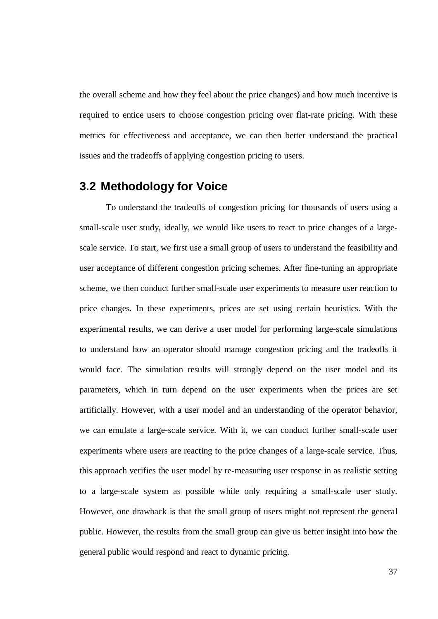the overall scheme and how they feel about the price changes) and how much incentive is required to entice users to choose congestion pricing over flat-rate pricing. With these metrics for effectiveness and acceptance, we can then better understand the practical issues and the tradeoffs of applying congestion pricing to users.

## **3.2 Methodology for Voice**

To understand the tradeoffs of congestion pricing for thousands of users using a small-scale user study, ideally, we would like users to react to price changes of a largescale service. To start, we first use a small group of users to understand the feasibility and user acceptance of different congestion pricing schemes. After fine-tuning an appropriate scheme, we then conduct further small-scale user experiments to measure user reaction to price changes. In these experiments, prices are set using certain heuristics. With the experimental results, we can derive a user model for performing large-scale simulations to understand how an operator should manage congestion pricing and the tradeoffs it would face. The simulation results will strongly depend on the user model and its parameters, which in turn depend on the user experiments when the prices are set artificially. However, with a user model and an understanding of the operator behavior, we can emulate a large-scale service. With it, we can conduct further small-scale user experiments where users are reacting to the price changes of a large-scale service. Thus, this approach verifies the user model by re-measuring user response in as realistic setting to a large-scale system as possible while only requiring a small-scale user study. However, one drawback is that the small group of users might not represent the general public. However, the results from the small group can give us better insight into how the general public would respond and react to dynamic pricing.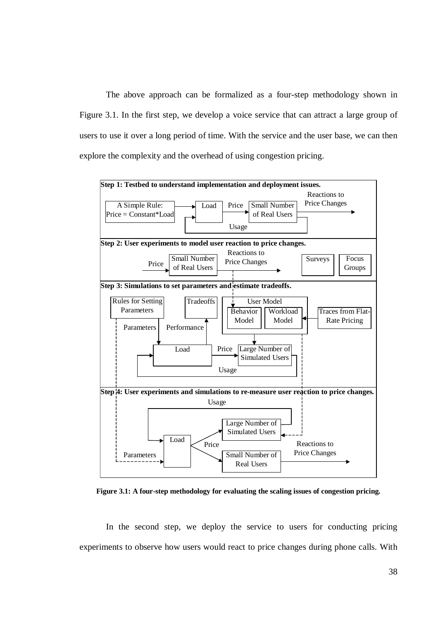The above approach can be formalized as a four-step methodology shown in Figure 3.1. In the first step, we develop a voice service that can attract a large group of users to use it over a long period of time. With the service and the user base, we can then explore the complexity and the overhead of using congestion pricing.



**Figure 3.1: A four-step methodology for evaluating the scaling issues of congestion pricing.**

In the second step, we deploy the service to users for conducting pricing experiments to observe how users would react to price changes during phone calls. With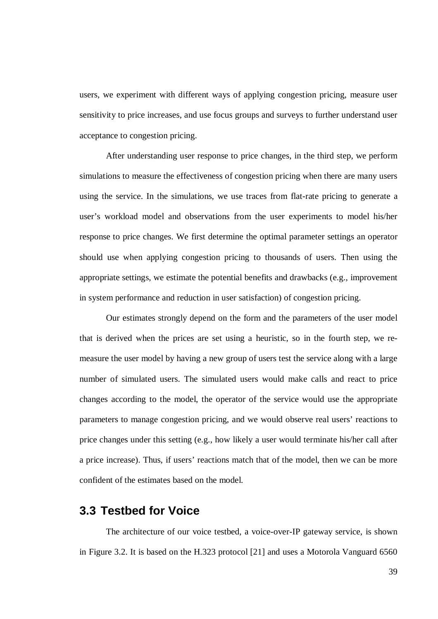users, we experiment with different ways of applying congestion pricing, measure user sensitivity to price increases, and use focus groups and surveys to further understand user acceptance to congestion pricing.

After understanding user response to price changes, in the third step, we perform simulations to measure the effectiveness of congestion pricing when there are many users using the service. In the simulations, we use traces from flat-rate pricing to generate a user's workload model and observations from the user experiments to model his/her response to price changes. We first determine the optimal parameter settings an operator should use when applying congestion pricing to thousands of users. Then using the appropriate settings, we estimate the potential benefits and drawbacks (e.g., improvement in system performance and reduction in user satisfaction) of congestion pricing.

Our estimates strongly depend on the form and the parameters of the user model that is derived when the prices are set using a heuristic, so in the fourth step, we remeasure the user model by having a new group of users test the service along with a large number of simulated users. The simulated users would make calls and react to price changes according to the model, the operator of the service would use the appropriate parameters to manage congestion pricing, and we would observe real users' reactions to price changes under this setting (e.g., how likely a user would terminate his/her call after a price increase). Thus, if users' reactions match that of the model, then we can be more confident of the estimates based on the model.

#### **3.3 Testbed for Voice**

The architecture of our voice testbed, a voice-over-IP gateway service, is shown in Figure 3.2. It is based on the H.323 protocol [21] and uses a Motorola Vanguard 6560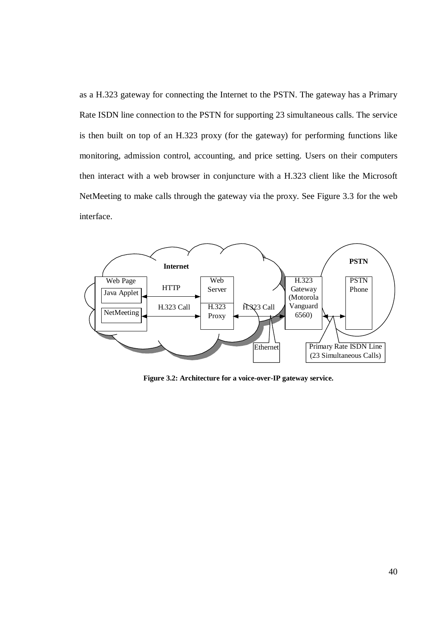as a H.323 gateway for connecting the Internet to the PSTN. The gateway has a Primary Rate ISDN line connection to the PSTN for supporting 23 simultaneous calls. The service is then built on top of an H.323 proxy (for the gateway) for performing functions like monitoring, admission control, accounting, and price setting. Users on their computers then interact with a web browser in conjuncture with a H.323 client like the Microsoft NetMeeting to make calls through the gateway via the proxy. See Figure 3.3 for the web interface.



**Figure 3.2: Architecture for a voice-over-IP gateway service.**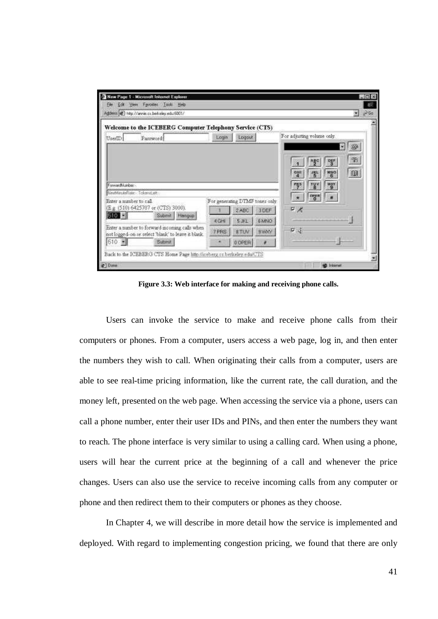|                                                                                        | Welcome to the ICEBERG Computer Telephony Service (CTS)                                            |             |                                 |             |                                                                      |
|----------------------------------------------------------------------------------------|----------------------------------------------------------------------------------------------------|-------------|---------------------------------|-------------|----------------------------------------------------------------------|
| UserID                                                                                 | Password:                                                                                          | Login       | Logout                          |             | For adjusting volume only.<br>ŵ                                      |
|                                                                                        |                                                                                                    |             |                                 |             | B<br>떃                                                               |
|                                                                                        |                                                                                                    |             |                                 |             | $^{\circledR}$<br><b>NNO</b><br>GHI<br>紫<br><b>WKY</b><br><b>TUV</b> |
|                                                                                        |                                                                                                    |             | For generating DTMF tones only. |             | org n                                                                |
|                                                                                        | (E.g. (510) 6425707 or (CTS) 3000).                                                                |             | 2ABC                            | <b>JDEF</b> | $F \times$                                                           |
|                                                                                        | Submit  <br>Hangup                                                                                 | <b>KGHI</b> | S.BL                            | <b>BMNO</b> |                                                                      |
| Forward Autobio-<br>NeuthlandeFlide - Tokend eft -<br>Enter a mimber to call.<br>510 E | Enter a number to forward mcoming calls when<br>not logged-on or select 'blank' to leave it blank. | 7 PRS       | 8.TUV                           | <b>BMWY</b> | ロゴ                                                                   |

**Figure 3.3: Web interface for making and receiving phone calls.**

Users can invoke the service to make and receive phone calls from their computers or phones. From a computer, users access a web page, log in, and then enter the numbers they wish to call. When originating their calls from a computer, users are able to see real-time pricing information, like the current rate, the call duration, and the money left, presented on the web page. When accessing the service via a phone, users can call a phone number, enter their user IDs and PINs, and then enter the numbers they want to reach. The phone interface is very similar to using a calling card. When using a phone, users will hear the current price at the beginning of a call and whenever the price changes. Users can also use the service to receive incoming calls from any computer or phone and then redirect them to their computers or phones as they choose.

In Chapter 4, we will describe in more detail how the service is implemented and deployed. With regard to implementing congestion pricing, we found that there are only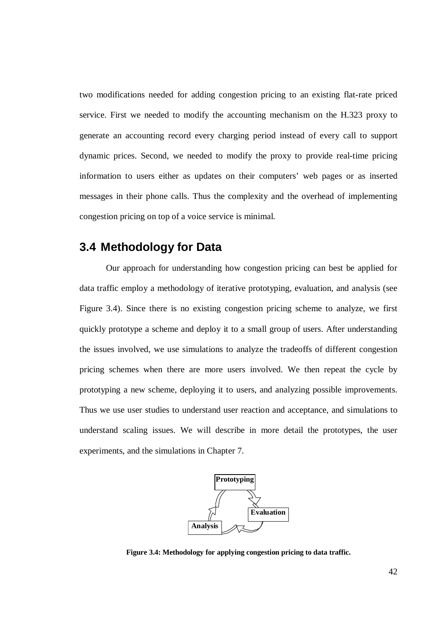two modifications needed for adding congestion pricing to an existing flat-rate priced service. First we needed to modify the accounting mechanism on the H.323 proxy to generate an accounting record every charging period instead of every call to support dynamic prices. Second, we needed to modify the proxy to provide real-time pricing information to users either as updates on their computers' web pages or as inserted messages in their phone calls. Thus the complexity and the overhead of implementing congestion pricing on top of a voice service is minimal.

## **3.4 Methodology for Data**

Our approach for understanding how congestion pricing can best be applied for data traffic employ a methodology of iterative prototyping, evaluation, and analysis (see Figure 3.4). Since there is no existing congestion pricing scheme to analyze, we first quickly prototype a scheme and deploy it to a small group of users. After understanding the issues involved, we use simulations to analyze the tradeoffs of different congestion pricing schemes when there are more users involved. We then repeat the cycle by prototyping a new scheme, deploying it to users, and analyzing possible improvements. Thus we use user studies to understand user reaction and acceptance, and simulations to understand scaling issues. We will describe in more detail the prototypes, the user experiments, and the simulations in Chapter 7.



**Figure 3.4: Methodology for applying congestion pricing to data traffic.**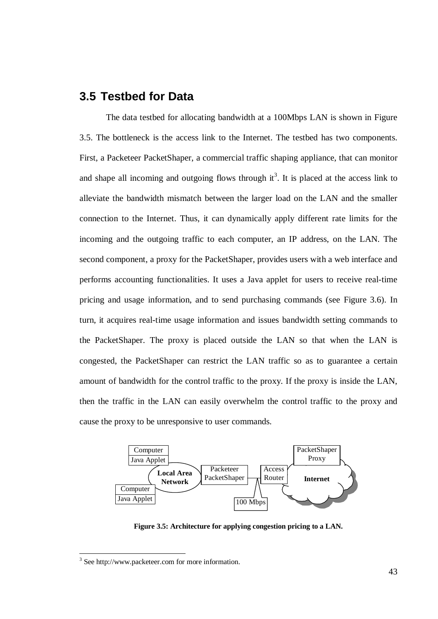## **3.5 Testbed for Data**

The data testbed for allocating bandwidth at a 100Mbps LAN is shown in Figure 3.5. The bottleneck is the access link to the Internet. The testbed has two components. First, a Packeteer PacketShaper, a commercial traffic shaping appliance, that can monitor and shape all incoming and outgoing flows through  $it^3$ . It is placed at the access link to alleviate the bandwidth mismatch between the larger load on the LAN and the smaller connection to the Internet. Thus, it can dynamically apply different rate limits for the incoming and the outgoing traffic to each computer, an IP address, on the LAN. The second component, a proxy for the PacketShaper, provides users with a web interface and performs accounting functionalities. It uses a Java applet for users to receive real-time pricing and usage information, and to send purchasing commands (see Figure 3.6). In turn, it acquires real-time usage information and issues bandwidth setting commands to the PacketShaper. The proxy is placed outside the LAN so that when the LAN is congested, the PacketShaper can restrict the LAN traffic so as to guarantee a certain amount of bandwidth for the control traffic to the proxy. If the proxy is inside the LAN, then the traffic in the LAN can easily overwhelm the control traffic to the proxy and cause the proxy to be unresponsive to user commands.



**Figure 3.5: Architecture for applying congestion pricing to a LAN.**

<sup>&</sup>lt;sup>3</sup> See http://www.packeteer.com for more information.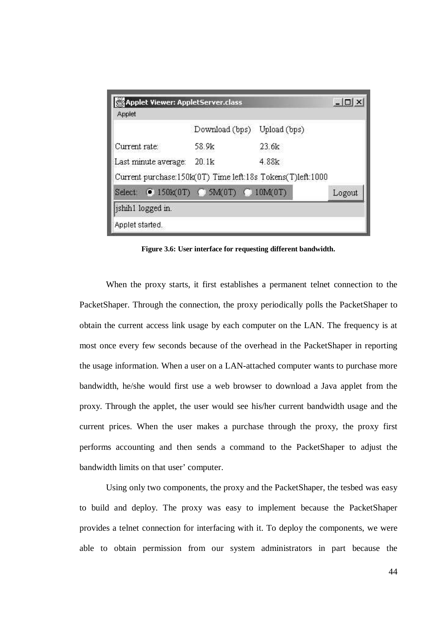| <b>Applet Viewer: AppletServer.class</b>                   |                |              | $ \Box$ $\times$ |
|------------------------------------------------------------|----------------|--------------|------------------|
| Applet                                                     |                |              |                  |
|                                                            | Download (bps) | Upload (bps) |                  |
| Current rate:                                              | 58.9k          | 23.6k        |                  |
| Last minute average:                                       | 20.1k          | 4.88k        |                  |
| Current purchase:150k(0T) Time left:18s Tokens(T)left:1000 |                |              |                  |
| Select: 0 150k(0T) ( 5M(0T) ( 10M(0T)                      |                |              | Logout           |
| jshih1 logged in.                                          |                |              |                  |
| Applet started.                                            |                |              |                  |

**Figure 3.6: User interface for requesting different bandwidth.**

When the proxy starts, it first establishes a permanent telnet connection to the PacketShaper. Through the connection, the proxy periodically polls the PacketShaper to obtain the current access link usage by each computer on the LAN. The frequency is at most once every few seconds because of the overhead in the PacketShaper in reporting the usage information. When a user on a LAN-attached computer wants to purchase more bandwidth, he/she would first use a web browser to download a Java applet from the proxy. Through the applet, the user would see his/her current bandwidth usage and the current prices. When the user makes a purchase through the proxy, the proxy first performs accounting and then sends a command to the PacketShaper to adjust the bandwidth limits on that user' computer.

Using only two components, the proxy and the PacketShaper, the tesbed was easy to build and deploy. The proxy was easy to implement because the PacketShaper provides a telnet connection for interfacing with it. To deploy the components, we were able to obtain permission from our system administrators in part because the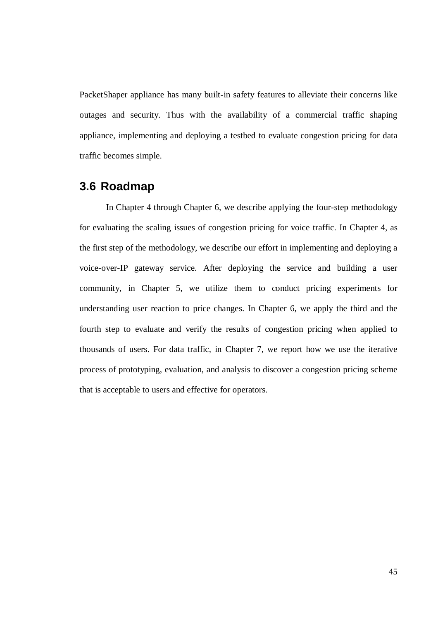PacketShaper appliance has many built-in safety features to alleviate their concerns like outages and security. Thus with the availability of a commercial traffic shaping appliance, implementing and deploying a testbed to evaluate congestion pricing for data traffic becomes simple.

#### **3.6 Roadmap**

In Chapter 4 through Chapter 6, we describe applying the four-step methodology for evaluating the scaling issues of congestion pricing for voice traffic. In Chapter 4, as the first step of the methodology, we describe our effort in implementing and deploying a voice-over-IP gateway service. After deploying the service and building a user community, in Chapter 5, we utilize them to conduct pricing experiments for understanding user reaction to price changes. In Chapter 6, we apply the third and the fourth step to evaluate and verify the results of congestion pricing when applied to thousands of users. For data traffic, in Chapter 7, we report how we use the iterative process of prototyping, evaluation, and analysis to discover a congestion pricing scheme that is acceptable to users and effective for operators.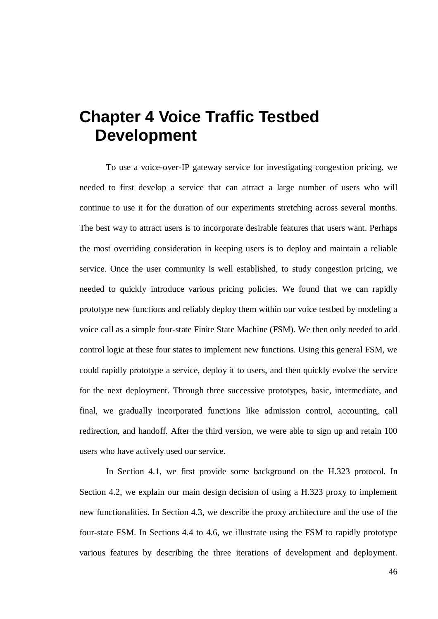# **Chapter 4 Voice Traffic Testbed Development**

To use a voice-over-IP gateway service for investigating congestion pricing, we needed to first develop a service that can attract a large number of users who will continue to use it for the duration of our experiments stretching across several months. The best way to attract users is to incorporate desirable features that users want. Perhaps the most overriding consideration in keeping users is to deploy and maintain a reliable service. Once the user community is well established, to study congestion pricing, we needed to quickly introduce various pricing policies. We found that we can rapidly prototype new functions and reliably deploy them within our voice testbed by modeling a voice call as a simple four-state Finite State Machine (FSM). We then only needed to add control logic at these four states to implement new functions. Using this general FSM, we could rapidly prototype a service, deploy it to users, and then quickly evolve the service for the next deployment. Through three successive prototypes, basic, intermediate, and final, we gradually incorporated functions like admission control, accounting, call redirection, and handoff. After the third version, we were able to sign up and retain 100 users who have actively used our service.

In Section 4.1, we first provide some background on the H.323 protocol. In Section 4.2, we explain our main design decision of using a H.323 proxy to implement new functionalities. In Section 4.3, we describe the proxy architecture and the use of the four-state FSM. In Sections 4.4 to 4.6, we illustrate using the FSM to rapidly prototype various features by describing the three iterations of development and deployment.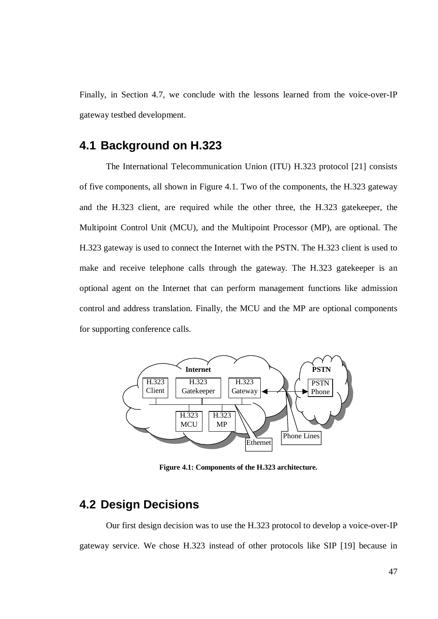Finally, in Section 4.7, we conclude with the lessons learned from the voice-over-IP gateway testbed development.

## **4.1 Background on H.323**

The International Telecommunication Union (ITU) H.323 protocol [21] consists of five components, all shown in Figure 4.1. Two of the components, the H.323 gateway and the H.323 client, are required while the other three, the H.323 gatekeeper, the Multipoint Control Unit (MCU), and the Multipoint Processor (MP), are optional. The H.323 gateway is used to connect the Internet with the PSTN. The H.323 client is used to make and receive telephone calls through the gateway. The H.323 gatekeeper is an optional agent on the Internet that can perform management functions like admission control and address translation. Finally, the MCU and the MP are optional components for supporting conference calls.



**Figure 4.1: Components of the H.323 architecture.**

### **4.2 Design Decisions**

Our first design decision was to use the H.323 protocol to develop a voice-over-IP gateway service. We chose H.323 instead of other protocols like SIP [19] because in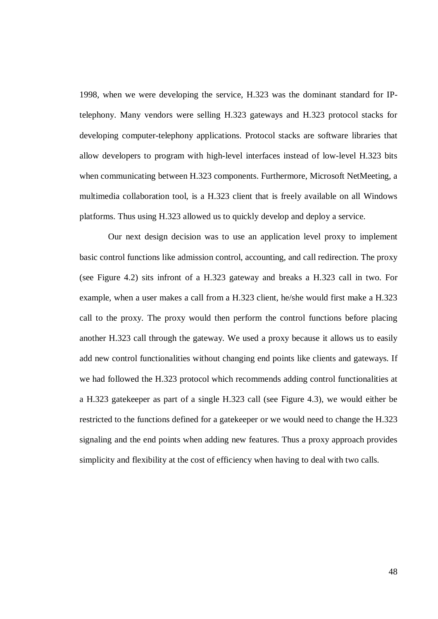1998, when we were developing the service, H.323 was the dominant standard for IPtelephony. Many vendors were selling H.323 gateways and H.323 protocol stacks for developing computer-telephony applications. Protocol stacks are software libraries that allow developers to program with high-level interfaces instead of low-level H.323 bits when communicating between H.323 components. Furthermore, Microsoft NetMeeting, a multimedia collaboration tool, is a H.323 client that is freely available on all Windows platforms. Thus using H.323 allowed us to quickly develop and deploy a service.

Our next design decision was to use an application level proxy to implement basic control functions like admission control, accounting, and call redirection. The proxy (see Figure 4.2) sits infront of a H.323 gateway and breaks a H.323 call in two. For example, when a user makes a call from a H.323 client, he/she would first make a H.323 call to the proxy. The proxy would then perform the control functions before placing another H.323 call through the gateway. We used a proxy because it allows us to easily add new control functionalities without changing end points like clients and gateways. If we had followed the H.323 protocol which recommends adding control functionalities at a H.323 gatekeeper as part of a single H.323 call (see Figure 4.3), we would either be restricted to the functions defined for a gatekeeper or we would need to change the H.323 signaling and the end points when adding new features. Thus a proxy approach provides simplicity and flexibility at the cost of efficiency when having to deal with two calls.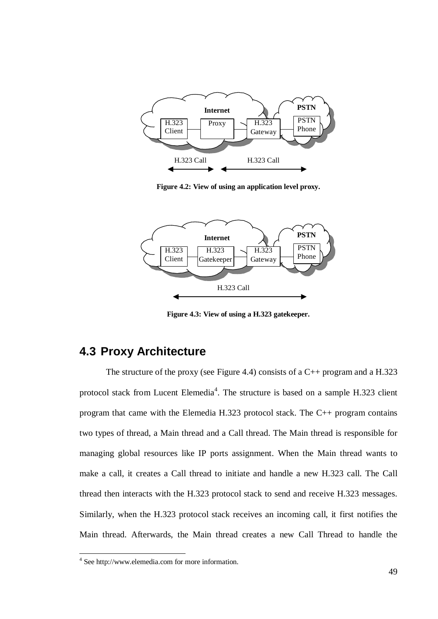

**Figure 4.2: View of using an application level proxy.**



**Figure 4.3: View of using a H.323 gatekeeper.**

# **4.3 Proxy Architecture**

The structure of the proxy (see Figure 4.4) consists of a  $C_{++}$  program and a H.323 protocol stack from Lucent Elemedia<sup>4</sup>. The structure is based on a sample H.323 client program that came with the Elemedia H.323 protocol stack. The C++ program contains two types of thread, a Main thread and a Call thread. The Main thread is responsible for managing global resources like IP ports assignment. When the Main thread wants to make a call, it creates a Call thread to initiate and handle a new H.323 call. The Call thread then interacts with the H.323 protocol stack to send and receive H.323 messages. Similarly, when the H.323 protocol stack receives an incoming call, it first notifies the Main thread. Afterwards, the Main thread creates a new Call Thread to handle the

<sup>4</sup> See http://www.elemedia.com for more information.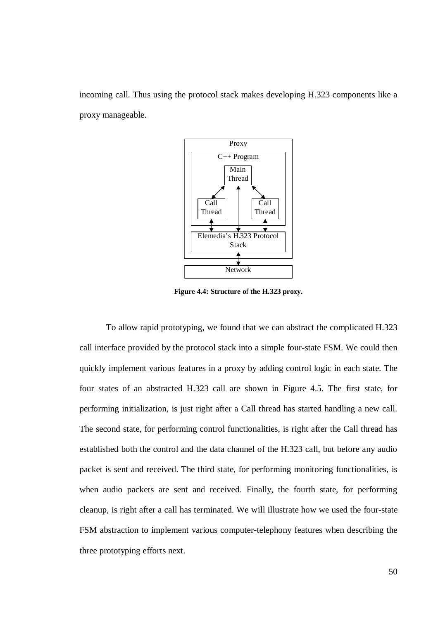incoming call. Thus using the protocol stack makes developing H.323 components like a proxy manageable.



**Figure 4.4: Structure o**f **the H.323 proxy.**

To allow rapid prototyping, we found that we can abstract the complicated H.323 call interface provided by the protocol stack into a simple four-state FSM. We could then quickly implement various features in a proxy by adding control logic in each state. The four states of an abstracted H.323 call are shown in Figure 4.5. The first state, for performing initialization, is just right after a Call thread has started handling a new call. The second state, for performing control functionalities, is right after the Call thread has established both the control and the data channel of the H.323 call, but before any audio packet is sent and received. The third state, for performing monitoring functionalities, is when audio packets are sent and received. Finally, the fourth state, for performing cleanup, is right after a call has terminated. We will illustrate how we used the four-state FSM abstraction to implement various computer-telephony features when describing the three prototyping efforts next.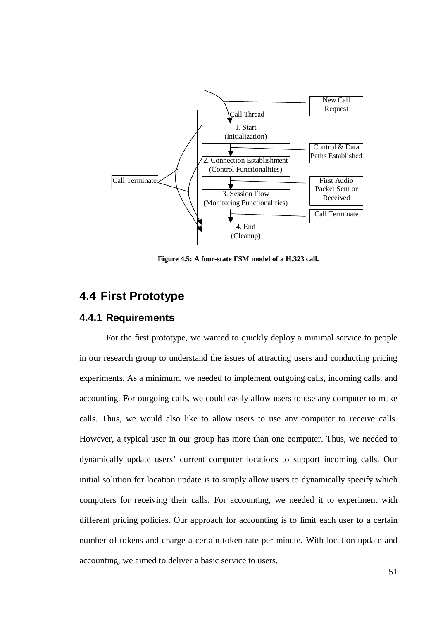

**Figure 4.5: A four-state FSM model of a H.323 call.**

## **4.4 First Prototype**

#### **4.4.1 Requirements**

For the first prototype, we wanted to quickly deploy a minimal service to people in our research group to understand the issues of attracting users and conducting pricing experiments. As a minimum, we needed to implement outgoing calls, incoming calls, and accounting. For outgoing calls, we could easily allow users to use any computer to make calls. Thus, we would also like to allow users to use any computer to receive calls. However, a typical user in our group has more than one computer. Thus, we needed to dynamically update users' current computer locations to support incoming calls. Our initial solution for location update is to simply allow users to dynamically specify which computers for receiving their calls. For accounting, we needed it to experiment with different pricing policies. Our approach for accounting is to limit each user to a certain number of tokens and charge a certain token rate per minute. With location update and accounting, we aimed to deliver a basic service to users.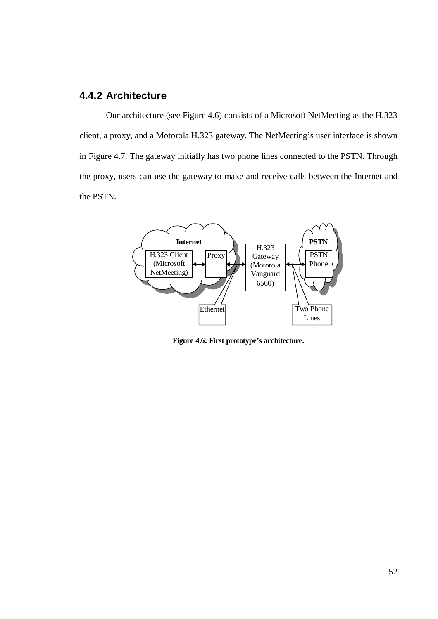#### **4.4.2 Architecture**

Our architecture (see Figure 4.6) consists of a Microsoft NetMeeting as the H.323 client, a proxy, and a Motorola H.323 gateway. The NetMeeting's user interface is shown in Figure 4.7. The gateway initially has two phone lines connected to the PSTN. Through the proxy, users can use the gateway to make and receive calls between the Internet and the PSTN.



**Figure 4.6: First prototype's architecture.**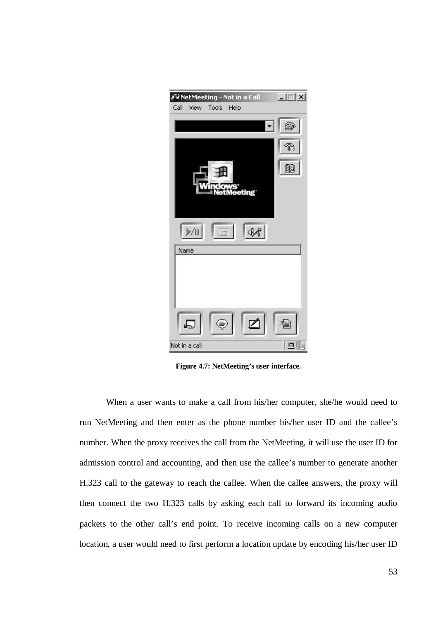| Call | View          | A NetMeeting - Not in a Call<br>Tools | Help          | $ \Box$ $\times$ |
|------|---------------|---------------------------------------|---------------|------------------|
|      |               |                                       |               | ☎                |
|      |               |                                       |               | B                |
|      |               |                                       |               | <b>B</b>         |
|      |               |                                       | eeting        |                  |
|      |               |                                       |               |                  |
|      | $\frac{1}{2}$ | Ē                                     | $\mathcal{P}$ |                  |
|      | Name          |                                       |               |                  |
|      |               |                                       |               |                  |
|      |               |                                       |               |                  |
|      | L,            |                                       | ø             | 로탈               |
|      | Not in a call |                                       |               | 电质               |

**Figure 4.7: NetMeeting's user interface.**

When a user wants to make a call from his/her computer, she/he would need to run NetMeeting and then enter as the phone number his/her user ID and the callee's number. When the proxy receives the call from the NetMeeting, it will use the user ID for admission control and accounting, and then use the callee's number to generate another H.323 call to the gateway to reach the callee. When the callee answers, the proxy will then connect the two H.323 calls by asking each call to forward its incoming audio packets to the other call's end point. To receive incoming calls on a new computer location, a user would need to first perform a location update by encoding his/her user ID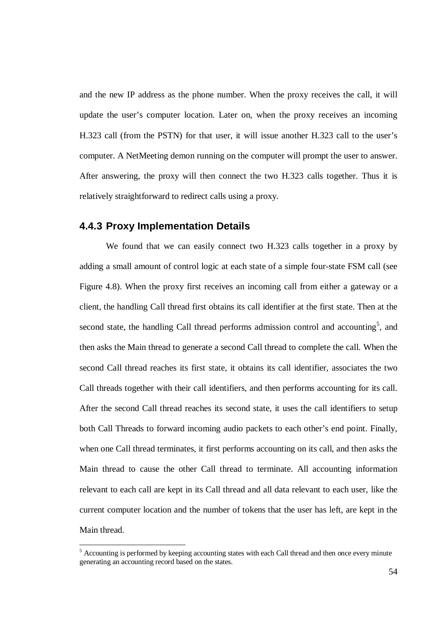and the new IP address as the phone number. When the proxy receives the call, it will update the user's computer location. Later on, when the proxy receives an incoming H.323 call (from the PSTN) for that user, it will issue another H.323 call to the user's computer. A NetMeeting demon running on the computer will prompt the user to answer. After answering, the proxy will then connect the two H.323 calls together. Thus it is relatively straightforward to redirect calls using a proxy.

#### **4.4.3 Proxy Implementation Details**

We found that we can easily connect two H.323 calls together in a proxy by adding a small amount of control logic at each state of a simple four-state FSM call (see Figure 4.8). When the proxy first receives an incoming call from either a gateway or a client, the handling Call thread first obtains its call identifier at the first state. Then at the second state, the handling Call thread performs admission control and accounting<sup>5</sup>, and then asks the Main thread to generate a second Call thread to complete the call. When the second Call thread reaches its first state, it obtains its call identifier, associates the two Call threads together with their call identifiers, and then performs accounting for its call. After the second Call thread reaches its second state, it uses the call identifiers to setup both Call Threads to forward incoming audio packets to each other's end point. Finally, when one Call thread terminates, it first performs accounting on its call, and then asks the Main thread to cause the other Call thread to terminate. All accounting information relevant to each call are kept in its Call thread and all data relevant to each user, like the current computer location and the number of tokens that the user has left, are kept in the Main thread.

 $<sup>5</sup>$  Accounting is performed by keeping accounting states with each Call thread and then once every minute</sup> generating an accounting record based on the states.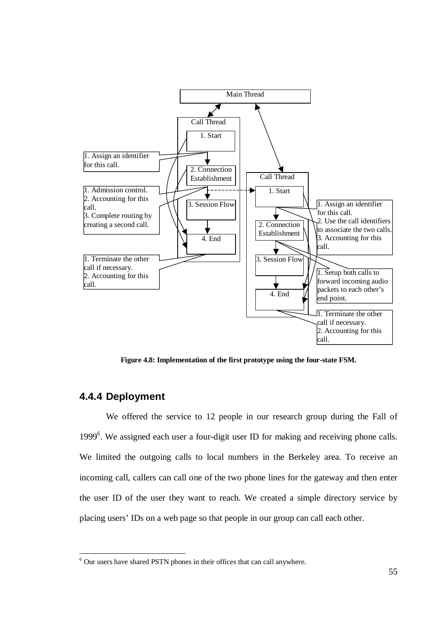

**Figure 4.8: Implementation of the first prototype using the four-state FSM.**

#### **4.4.4 Deployment**

We offered the service to 12 people in our research group during the Fall of 1999<sup>6</sup>. We assigned each user a four-digit user ID for making and receiving phone calls. We limited the outgoing calls to local numbers in the Berkeley area. To receive an incoming call, callers can call one of the two phone lines for the gateway and then enter the user ID of the user they want to reach. We created a simple directory service by placing users' IDs on a web page so that people in our group can call each other.

<sup>6</sup> Our users have shared PSTN phones in their offices that can call anywhere.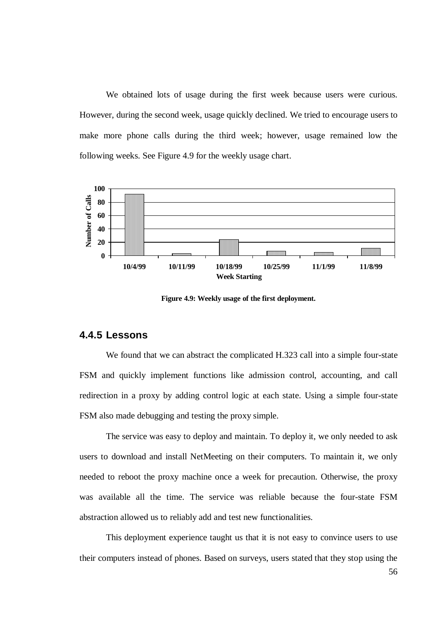We obtained lots of usage during the first week because users were curious. However, during the second week, usage quickly declined. We tried to encourage users to make more phone calls during the third week; however, usage remained low the following weeks. See Figure 4.9 for the weekly usage chart.



**Figure 4.9: Weekly usage of the first deployment.**

#### **4.4.5 Lessons**

We found that we can abstract the complicated H.323 call into a simple four-state FSM and quickly implement functions like admission control, accounting, and call redirection in a proxy by adding control logic at each state. Using a simple four-state FSM also made debugging and testing the proxy simple.

The service was easy to deploy and maintain. To deploy it, we only needed to ask users to download and install NetMeeting on their computers. To maintain it, we only needed to reboot the proxy machine once a week for precaution. Otherwise, the proxy was available all the time. The service was reliable because the four-state FSM abstraction allowed us to reliably add and test new functionalities.

This deployment experience taught us that it is not easy to convince users to use their computers instead of phones. Based on surveys, users stated that they stop using the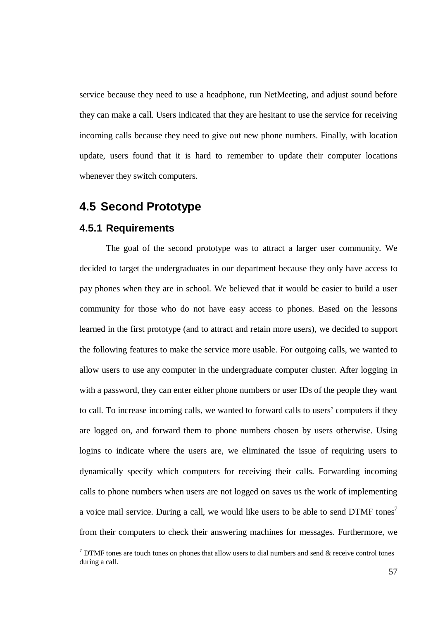service because they need to use a headphone, run NetMeeting, and adjust sound before they can make a call. Users indicated that they are hesitant to use the service for receiving incoming calls because they need to give out new phone numbers. Finally, with location update, users found that it is hard to remember to update their computer locations whenever they switch computers.

## **4.5 Second Prototype**

#### **4.5.1 Requirements**

The goal of the second prototype was to attract a larger user community. We decided to target the undergraduates in our department because they only have access to pay phones when they are in school. We believed that it would be easier to build a user community for those who do not have easy access to phones. Based on the lessons learned in the first prototype (and to attract and retain more users), we decided to support the following features to make the service more usable. For outgoing calls, we wanted to allow users to use any computer in the undergraduate computer cluster. After logging in with a password, they can enter either phone numbers or user IDs of the people they want to call. To increase incoming calls, we wanted to forward calls to users' computers if they are logged on, and forward them to phone numbers chosen by users otherwise. Using logins to indicate where the users are, we eliminated the issue of requiring users to dynamically specify which computers for receiving their calls. Forwarding incoming calls to phone numbers when users are not logged on saves us the work of implementing a voice mail service. During a call, we would like users to be able to send DTMF tones<sup>7</sup> from their computers to check their answering machines for messages. Furthermore, we

 $\frac{7}{7}$  DTMF tones are touch tones on phones that allow users to dial numbers and send & receive control tones during a call.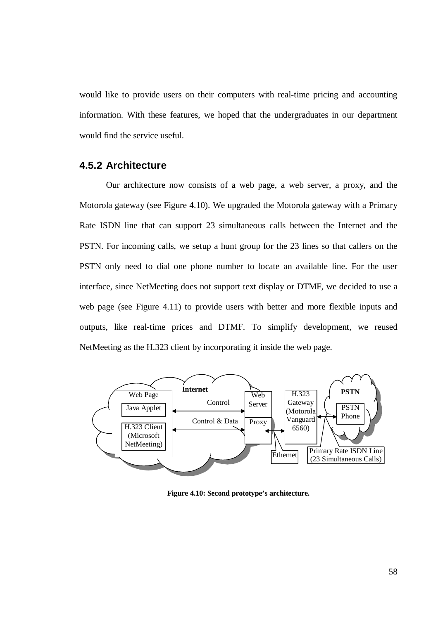would like to provide users on their computers with real-time pricing and accounting information. With these features, we hoped that the undergraduates in our department would find the service useful.

#### **4.5.2 Architecture**

Our architecture now consists of a web page, a web server, a proxy, and the Motorola gateway (see Figure 4.10). We upgraded the Motorola gateway with a Primary Rate ISDN line that can support 23 simultaneous calls between the Internet and the PSTN. For incoming calls, we setup a hunt group for the 23 lines so that callers on the PSTN only need to dial one phone number to locate an available line. For the user interface, since NetMeeting does not support text display or DTMF, we decided to use a web page (see Figure 4.11) to provide users with better and more flexible inputs and outputs, like real-time prices and DTMF. To simplify development, we reused NetMeeting as the H.323 client by incorporating it inside the web page.



**Figure 4.10: Second prototype's architecture.**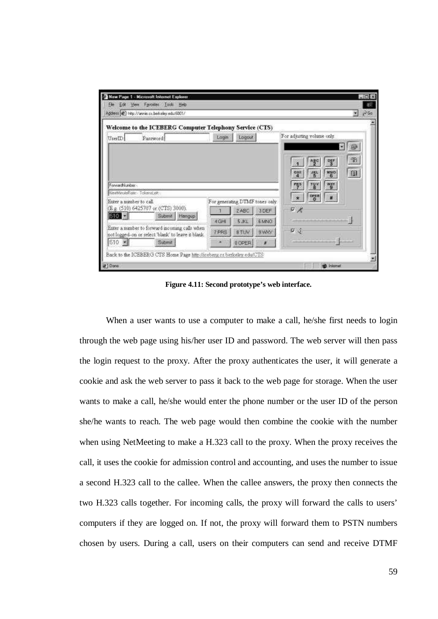| Welcome to the ICEBERG Computer Telephony Service (CTS)                                                                                                                                                                           |       |                                 |             |                                              |
|-----------------------------------------------------------------------------------------------------------------------------------------------------------------------------------------------------------------------------------|-------|---------------------------------|-------------|----------------------------------------------|
| UserID<br>Password                                                                                                                                                                                                                | Login | Logout                          |             | For adjusting volume only.<br>ŵ              |
|                                                                                                                                                                                                                                   |       |                                 |             | B<br>먷<br>480<br>国<br><b>NNO</b><br>GHI<br>紫 |
|                                                                                                                                                                                                                                   |       |                                 |             | TUV<br>wgw                                   |
|                                                                                                                                                                                                                                   |       | For generating DTMF tones only. |             | $\frac{\text{const}}{6}$                     |
|                                                                                                                                                                                                                                   |       | 2ABC                            | 3 DEF       | 中光                                           |
| Submit Hengup                                                                                                                                                                                                                     | 4GH   | 5 JKL                           | 6 MAGO      |                                              |
| ForwardNumber-<br>NewMinuteRistic - TokensLeft -<br>Enter a number to call.<br>(E.g. (510) 6425707 or (CTS) 3000).<br>510 E<br>Enter a member to forward incoming calls when<br>not logged-on or select 'blank' to leave a blank. | 7 PRS | 8 TLW                           | <b>SMAY</b> | $\sqrt{2}$                                   |

**Figure 4.11: Second prototype's web interface.**

When a user wants to use a computer to make a call, he/she first needs to login through the web page using his/her user ID and password. The web server will then pass the login request to the proxy. After the proxy authenticates the user, it will generate a cookie and ask the web server to pass it back to the web page for storage. When the user wants to make a call, he/she would enter the phone number or the user ID of the person she/he wants to reach. The web page would then combine the cookie with the number when using NetMeeting to make a H.323 call to the proxy. When the proxy receives the call, it uses the cookie for admission control and accounting, and uses the number to issue a second H.323 call to the callee. When the callee answers, the proxy then connects the two H.323 calls together. For incoming calls, the proxy will forward the calls to users' computers if they are logged on. If not, the proxy will forward them to PSTN numbers chosen by users. During a call, users on their computers can send and receive DTMF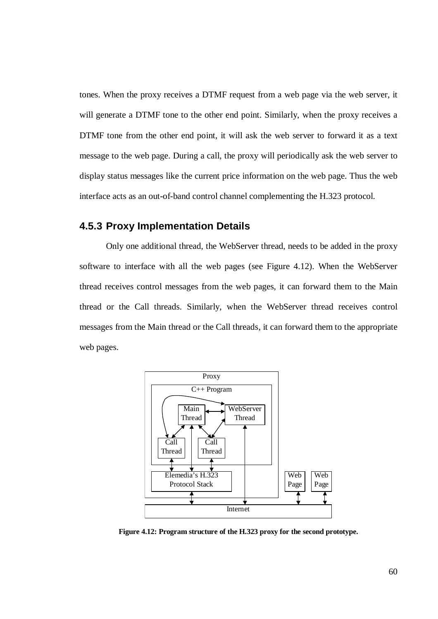tones. When the proxy receives a DTMF request from a web page via the web server, it will generate a DTMF tone to the other end point. Similarly, when the proxy receives a DTMF tone from the other end point, it will ask the web server to forward it as a text message to the web page. During a call, the proxy will periodically ask the web server to display status messages like the current price information on the web page. Thus the web interface acts as an out-of-band control channel complementing the H.323 protocol.

## **4.5.3 Proxy Implementation Details**

Only one additional thread, the WebServer thread, needs to be added in the proxy software to interface with all the web pages (see Figure 4.12). When the WebServer thread receives control messages from the web pages, it can forward them to the Main thread or the Call threads. Similarly, when the WebServer thread receives control messages from the Main thread or the Call threads, it can forward them to the appropriate web pages.



**Figure 4.12: Program structure of the H.323 proxy for the second prototype.**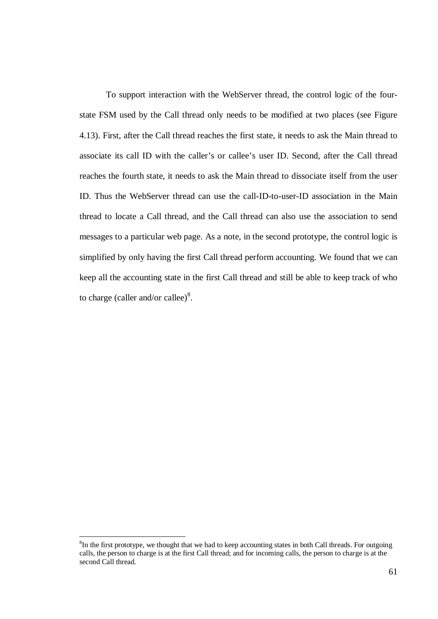To support interaction with the WebServer thread, the control logic of the fourstate FSM used by the Call thread only needs to be modified at two places (see Figure 4.13). First, after the Call thread reaches the first state, it needs to ask the Main thread to associate its call ID with the caller's or callee's user ID. Second, after the Call thread reaches the fourth state, it needs to ask the Main thread to dissociate itself from the user ID. Thus the WebServer thread can use the call-ID-to-user-ID association in the Main thread to locate a Call thread, and the Call thread can also use the association to send messages to a particular web page. As a note, in the second prototype, the control logic is simplified by only having the first Call thread perform accounting. We found that we can keep all the accounting state in the first Call thread and still be able to keep track of who to charge (caller and/or callee) $^{8}$ .

<sup>&</sup>lt;sup>8</sup>In the first prototype, we thought that we had to keep accounting states in both Call threads. For outgoing calls, the person to charge is at the first Call thread; and for incoming calls, the person to charge is at the second Call thread.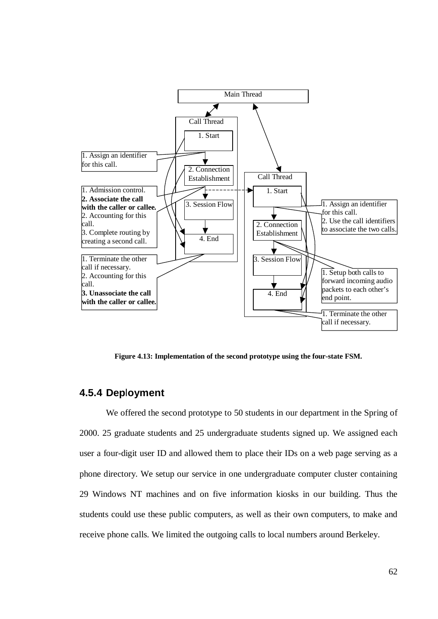

**Figure 4.13: Implementation of the second prototype using the four-state FSM.**

#### **4.5.4 Dep**l**oyment**

We offered the second prototype to 50 students in our department in the Spring of 2000. 25 graduate students and 25 undergraduate students signed up. We assigned each user a four-digit user ID and allowed them to place their IDs on a web page serving as a phone directory. We setup our service in one undergraduate computer cluster containing 29 Windows NT machines and on five information kiosks in our building. Thus the students could use these public computers, as well as their own computers, to make and receive phone calls. We limited the outgoing calls to local numbers around Berkeley.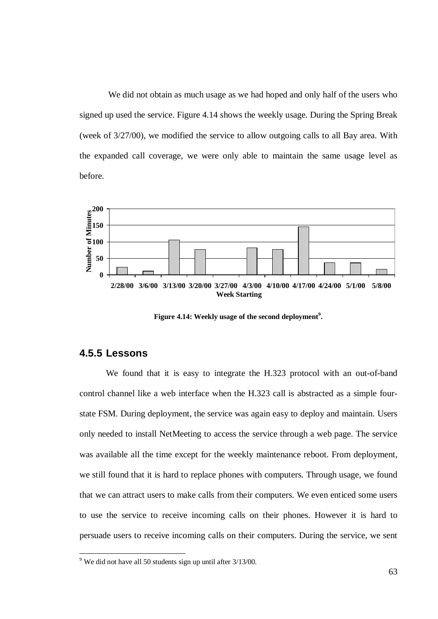We did not obtain as much usage as we had hoped and only half of the users who signed up used the service. Figure 4.14 shows the weekly usage. During the Spring Break (week of 3/27/00), we modified the service to allow outgoing calls to all Bay area. With the expanded call coverage, we were only able to maintain the same usage level as before.



**Figure 4.14: Weekly usage of the second deployment 9 .**

#### **4.5.5 Lessons**

We found that it is easy to integrate the H.323 protocol with an out-of-band control channel like a web interface when the H.323 call is abstracted as a simple fourstate FSM. During deployment, the service was again easy to deploy and maintain. Users only needed to install NetMeeting to access the service through a web page. The service was available all the time except for the weekly maintenance reboot. From deployment, we still found that it is hard to replace phones with computers. Through usage, we found that we can attract users to make calls from their computers. We even enticed some users to use the service to receive incoming calls on their phones. However it is hard to persuade users to receive incoming calls on their computers. During the service, we sent

<sup>9</sup> We did not have all 50 students sign up until after 3/13/00.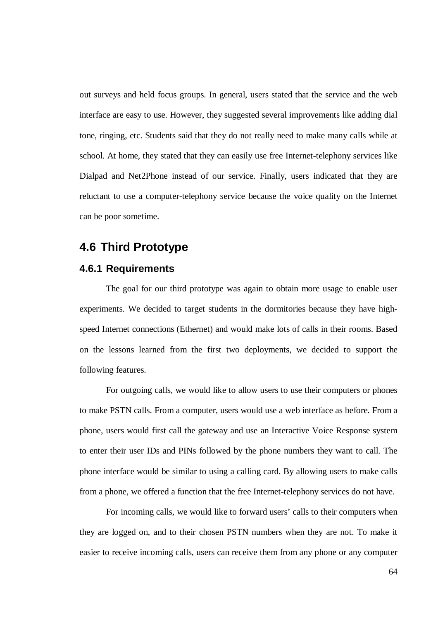out surveys and held focus groups. In general, users stated that the service and the web interface are easy to use. However, they suggested several improvements like adding dial tone, ringing, etc. Students said that they do not really need to make many calls while at school. At home, they stated that they can easily use free Internet-telephony services like Dialpad and Net2Phone instead of our service. Finally, users indicated that they are reluctant to use a computer-telephony service because the voice quality on the Internet can be poor sometime.

## **4.6 Third Prototype**

#### **4.6.1 Requirements**

The goal for our third prototype was again to obtain more usage to enable user experiments. We decided to target students in the dormitories because they have highspeed Internet connections (Ethernet) and would make lots of calls in their rooms. Based on the lessons learned from the first two deployments, we decided to support the following features.

For outgoing calls, we would like to allow users to use their computers or phones to make PSTN calls. From a computer, users would use a web interface as before. From a phone, users would first call the gateway and use an Interactive Voice Response system to enter their user IDs and PINs followed by the phone numbers they want to call. The phone interface would be similar to using a calling card. By allowing users to make calls from a phone, we offered a function that the free Internet-telephony services do not have.

For incoming calls, we would like to forward users' calls to their computers when they are logged on, and to their chosen PSTN numbers when they are not. To make it easier to receive incoming calls, users can receive them from any phone or any computer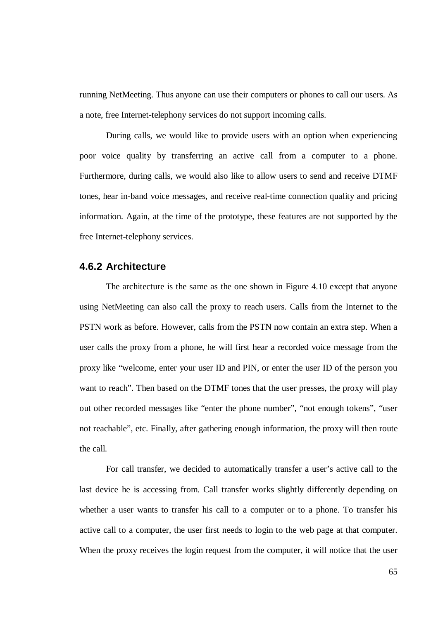running NetMeeting. Thus anyone can use their computers or phones to call our users. As a note, free Internet-telephony services do not support incoming calls.

During calls, we would like to provide users with an option when experiencing poor voice quality by transferring an active call from a computer to a phone. Furthermore, during calls, we would also like to allow users to send and receive DTMF tones, hear in-band voice messages, and receive real-time connection quality and pricing information. Again, at the time of the prototype, these features are not supported by the free Internet-telephony services.

#### **4.6.2 Architect**u**re**

The architecture is the same as the one shown in Figure 4.10 except that anyone using NetMeeting can also call the proxy to reach users. Calls from the Internet to the PSTN work as before. However, calls from the PSTN now contain an extra step. When a user calls the proxy from a phone, he will first hear a recorded voice message from the proxy like "welcome, enter your user ID and PIN, or enter the user ID of the person you want to reach". Then based on the DTMF tones that the user presses, the proxy will play out other recorded messages like "enter the phone number", "not enough tokens", "user not reachable", etc. Finally, after gathering enough information, the proxy will then route the call.

For call transfer, we decided to automatically transfer a user's active call to the last device he is accessing from. Call transfer works slightly differently depending on whether a user wants to transfer his call to a computer or to a phone. To transfer his active call to a computer, the user first needs to login to the web page at that computer. When the proxy receives the login request from the computer, it will notice that the user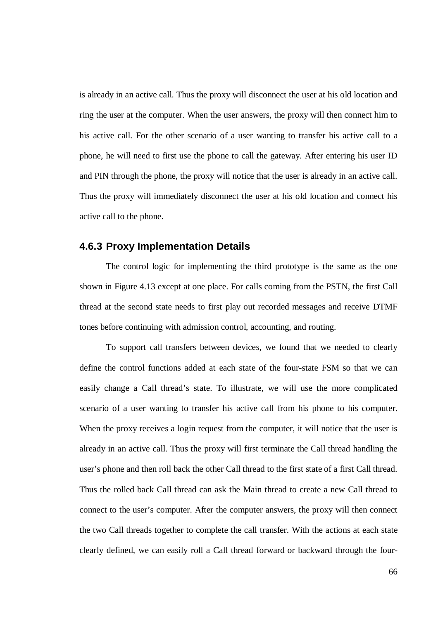is already in an active call. Thus the proxy will disconnect the user at his old location and ring the user at the computer. When the user answers, the proxy will then connect him to his active call. For the other scenario of a user wanting to transfer his active call to a phone, he will need to first use the phone to call the gateway. After entering his user ID and PIN through the phone, the proxy will notice that the user is already in an active call. Thus the proxy will immediately disconnect the user at his old location and connect his active call to the phone.

#### **4.6.3 Proxy Implementation Details**

The control logic for implementing the third prototype is the same as the one shown in Figure 4.13 except at one place. For calls coming from the PSTN, the first Call thread at the second state needs to first play out recorded messages and receive DTMF tones before continuing with admission control, accounting, and routing.

To support call transfers between devices, we found that we needed to clearly define the control functions added at each state of the four-state FSM so that we can easily change a Call thread's state. To illustrate, we will use the more complicated scenario of a user wanting to transfer his active call from his phone to his computer. When the proxy receives a login request from the computer, it will notice that the user is already in an active call. Thus the proxy will first terminate the Call thread handling the user's phone and then roll back the other Call thread to the first state of a first Call thread. Thus the rolled back Call thread can ask the Main thread to create a new Call thread to connect to the user's computer. After the computer answers, the proxy will then connect the two Call threads together to complete the call transfer. With the actions at each state clearly defined, we can easily roll a Call thread forward or backward through the four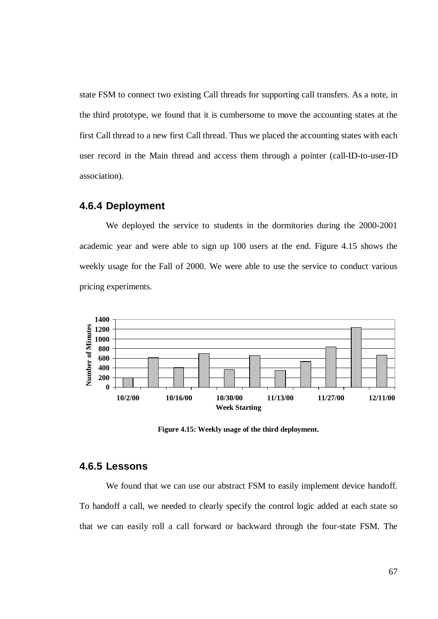state FSM to connect two existing Call threads for supporting call transfers. As a note, in the third prototype, we found that it is cumbersome to move the accounting states at the first Call thread to a new first Call thread. Thus we placed the accounting states with each user record in the Main thread and access them through a pointer (call-ID-to-user-ID association).

## **4.6.4 Deployment**

We deployed the service to students in the dormitories during the 2000-2001 academic year and were able to sign up 100 users at the end. Figure 4.15 shows the weekly usage for the Fall of 2000. We were able to use the service to conduct various pricing experiments.



**Figure 4.15: Weekly usage of the third deployment.**

## **4.6.5 Lessons**

We found that we can use our abstract FSM to easily implement device handoff. To handoff a call, we needed to clearly specify the control logic added at each state so that we can easily roll a call forward or backward through the four-state FSM. The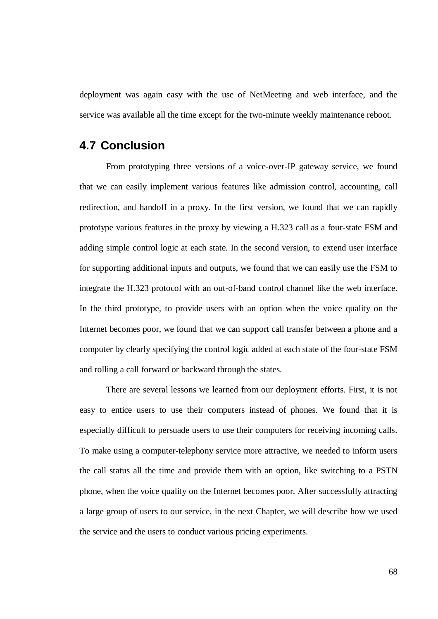deployment was again easy with the use of NetMeeting and web interface, and the service was available all the time except for the two-minute weekly maintenance reboot.

## **4.7 Conclusion**

From prototyping three versions of a voice-over-IP gateway service, we found that we can easily implement various features like admission control, accounting, call redirection, and handoff in a proxy. In the first version, we found that we can rapidly prototype various features in the proxy by viewing a H.323 call as a four-state FSM and adding simple control logic at each state. In the second version, to extend user interface for supporting additional inputs and outputs, we found that we can easily use the FSM to integrate the H.323 protocol with an out-of-band control channel like the web interface. In the third prototype, to provide users with an option when the voice quality on the Internet becomes poor, we found that we can support call transfer between a phone and a computer by clearly specifying the control logic added at each state of the four-state FSM and rolling a call forward or backward through the states.

There are several lessons we learned from our deployment efforts. First, it is not easy to entice users to use their computers instead of phones. We found that it is especially difficult to persuade users to use their computers for receiving incoming calls. To make using a computer-telephony service more attractive, we needed to inform users the call status all the time and provide them with an option, like switching to a PSTN phone, when the voice quality on the Internet becomes poor. After successfully attracting a large group of users to our service, in the next Chapter, we will describe how we used the service and the users to conduct various pricing experiments.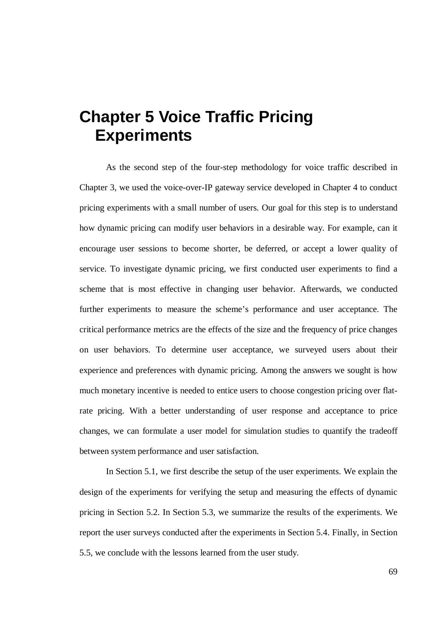# **Chapter 5 Voice Traffic Pricing Experiments**

As the second step of the four-step methodology for voice traffic described in Chapter 3, we used the voice-over-IP gateway service developed in Chapter 4 to conduct pricing experiments with a small number of users. Our goal for this step is to understand how dynamic pricing can modify user behaviors in a desirable way. For example, can it encourage user sessions to become shorter, be deferred, or accept a lower quality of service. To investigate dynamic pricing, we first conducted user experiments to find a scheme that is most effective in changing user behavior. Afterwards, we conducted further experiments to measure the scheme's performance and user acceptance. The critical performance metrics are the effects of the size and the frequency of price changes on user behaviors. To determine user acceptance, we surveyed users about their experience and preferences with dynamic pricing. Among the answers we sought is how much monetary incentive is needed to entice users to choose congestion pricing over flatrate pricing. With a better understanding of user response and acceptance to price changes, we can formulate a user model for simulation studies to quantify the tradeoff between system performance and user satisfaction.

In Section 5.1, we first describe the setup of the user experiments. We explain the design of the experiments for verifying the setup and measuring the effects of dynamic pricing in Section 5.2. In Section 5.3, we summarize the results of the experiments. We report the user surveys conducted after the experiments in Section 5.4. Finally, in Section 5.5, we conclude with the lessons learned from the user study.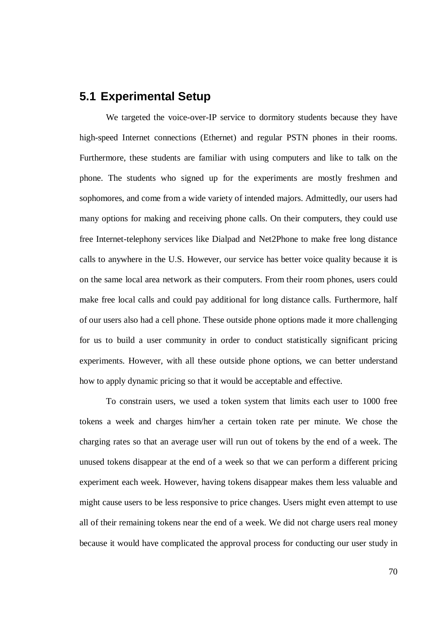## **5.1 Experimental Setup**

We targeted the voice-over-IP service to dormitory students because they have high-speed Internet connections (Ethernet) and regular PSTN phones in their rooms. Furthermore, these students are familiar with using computers and like to talk on the phone. The students who signed up for the experiments are mostly freshmen and sophomores, and come from a wide variety of intended majors. Admittedly, our users had many options for making and receiving phone calls. On their computers, they could use free Internet-telephony services like Dialpad and Net2Phone to make free long distance calls to anywhere in the U.S. However, our service has better voice quality because it is on the same local area network as their computers. From their room phones, users could make free local calls and could pay additional for long distance calls. Furthermore, half of our users also had a cell phone. These outside phone options made it more challenging for us to build a user community in order to conduct statistically significant pricing experiments. However, with all these outside phone options, we can better understand how to apply dynamic pricing so that it would be acceptable and effective.

To constrain users, we used a token system that limits each user to 1000 free tokens a week and charges him/her a certain token rate per minute. We chose the charging rates so that an average user will run out of tokens by the end of a week. The unused tokens disappear at the end of a week so that we can perform a different pricing experiment each week. However, having tokens disappear makes them less valuable and might cause users to be less responsive to price changes. Users might even attempt to use all of their remaining tokens near the end of a week. We did not charge users real money because it would have complicated the approval process for conducting our user study in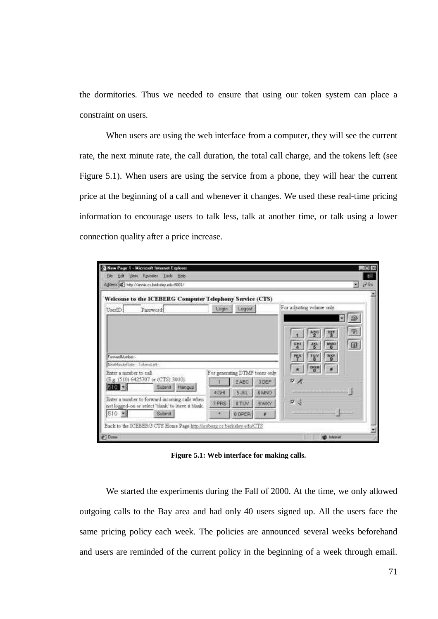the dormitories. Thus we needed to ensure that using our token system can place a constraint on users.

When users are using the web interface from a computer, they will see the current rate, the next minute rate, the call duration, the total call charge, and the tokens left (see Figure 5.1). When users are using the service from a phone, they will hear the current price at the beginning of a call and whenever it changes. We used these real-time pricing information to encourage users to talk less, talk at another time, or talk using a lower connection quality after a price increase.

| Fevories Tools Help<br>Edit<br>View<br>Film<br>Address # 1-Mp //annie.cx.berkeley.educ6001/                                                                                        |                                 |        |             | P60                         |
|------------------------------------------------------------------------------------------------------------------------------------------------------------------------------------|---------------------------------|--------|-------------|-----------------------------|
| Welcome to the ICEBERG Computer Telephony Service (CTS)                                                                                                                            |                                 |        |             |                             |
| UserID:<br>Password:                                                                                                                                                               | Login                           | Logout |             | For adjusting volume only.  |
|                                                                                                                                                                                    |                                 |        |             | ₩                           |
|                                                                                                                                                                                    |                                 |        |             | $\mathfrak{B}$<br>먷<br>행이   |
|                                                                                                                                                                                    |                                 |        |             | 0<br><b>MNO</b><br>赏<br>GHI |
| Forward Aumber-                                                                                                                                                                    |                                 |        |             |                             |
| Neid-Manufa-Füster - Trokennt eft -                                                                                                                                                |                                 |        |             | TXV<br>"S"                  |
|                                                                                                                                                                                    |                                 |        |             |                             |
|                                                                                                                                                                                    | For generating DTMF tones only. |        |             | $o_{\text{sym}}$            |
|                                                                                                                                                                                    |                                 | 2 ABC  | <b>JDEF</b> | $F \times$                  |
| Submit Hangup:                                                                                                                                                                     | <b>EGHI</b>                     | S JKL  | CAM48       |                             |
| Enter a mimber to call.<br>(Eg (510) 6425707 or (CTS) 3000).<br>510 <b>E</b><br>Enter a number to forward mooming calls when<br>not logged-on or select 'blank' to leave it blank. | T PRS                           | 8.TLW  | <b>SVAN</b> | 口道                          |

**Figure 5.1: Web interface for making calls.**

We started the experiments during the Fall of 2000. At the time, we only allowed outgoing calls to the Bay area and had only 40 users signed up. All the users face the same pricing policy each week. The policies are announced several weeks beforehand and users are reminded of the current policy in the beginning of a week through email.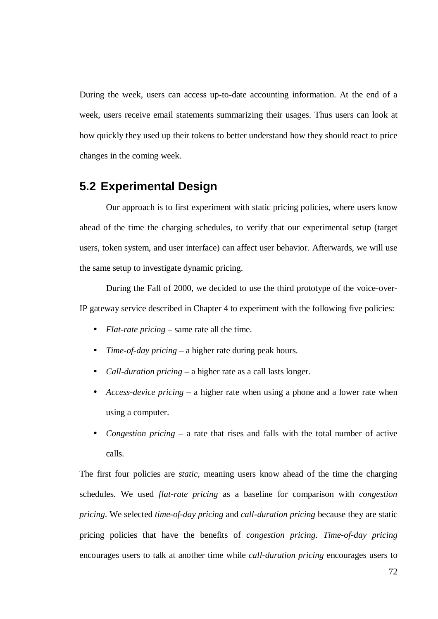During the week, users can access up-to-date accounting information. At the end of a week, users receive email statements summarizing their usages. Thus users can look at how quickly they used up their tokens to better understand how they should react to price changes in the coming week.

## **5.2 Experimental Design**

Our approach is to first experiment with static pricing policies, where users know ahead of the time the charging schedules, to verify that our experimental setup (target users, token system, and user interface) can affect user behavior. Afterwards, we will use the same setup to investigate dynamic pricing.

During the Fall of 2000, we decided to use the third prototype of the voice-over-IP gateway service described in Chapter 4 to experiment with the following five policies:

- *Flat-rate pricing* same rate all the time.
- *Time-of-day pricing* a higher rate during peak hours.
- *Call-duration pricing* a higher rate as a call lasts longer.
- *Access-device pricing* a higher rate when using a phone and a lower rate when using a computer.
- *Congestion pricing* a rate that rises and falls with the total number of active calls.

The first four policies are *static*, meaning users know ahead of the time the charging schedules. We used *flat-rate pricing* as a baseline for comparison with *congestion pricing*. We selected *time-of-day pricing* and *call-duration pricing* because they are static pricing policies that have the benefits of *congestion pricing*. *Time-of-day pricing* encourages users to talk at another time while *call-duration pricing* encourages users to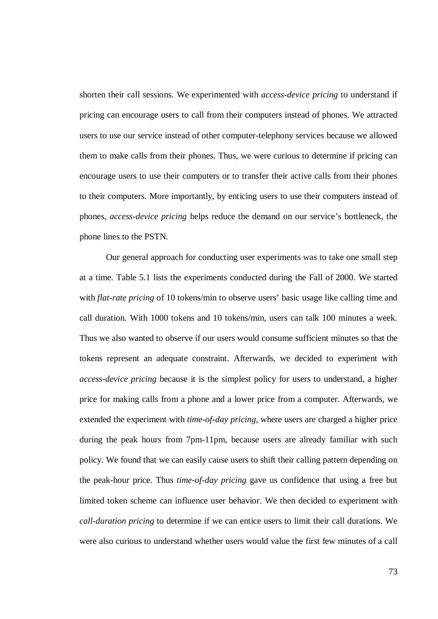shorten their call sessions. We experimented with *access-device pricing* to understand if pricing can encourage users to call from their computers instead of phones. We attracted users to use our service instead of other computer-telephony services because we allowed them to make calls from their phones. Thus, we were curious to determine if pricing can encourage users to use their computers or to transfer their active calls from their phones to their computers. More importantly, by enticing users to use their computers instead of phones, *access-device pricing* helps reduce the demand on our service's bottleneck, the phone lines to the PSTN.

Our general approach for conducting user experiments was to take one small step at a time. Table 5.1 lists the experiments conducted during the Fall of 2000. We started with *flat-rate pricing* of 10 tokens/min to observe users' basic usage like calling time and call duration. With 1000 tokens and 10 tokens/min, users can talk 100 minutes a week. Thus we also wanted to observe if our users would consume sufficient minutes so that the tokens represent an adequate constraint. Afterwards, we decided to experiment with *access-device pricing* because it is the simplest policy for users to understand, a higher price for making calls from a phone and a lower price from a computer. Afterwards, we extended the experiment with *time-of-day pricing*, where users are charged a higher price during the peak hours from 7pm-11pm, because users are already familiar with such policy. We found that we can easily cause users to shift their calling pattern depending on the peak-hour price. Thus *time-of-day pricing* gave us confidence that using a free but limited token scheme can influence user behavior. We then decided to experiment with *call-duration pricing* to determine if we can entice users to limit their call durations. We were also curious to understand whether users would value the first few minutes of a call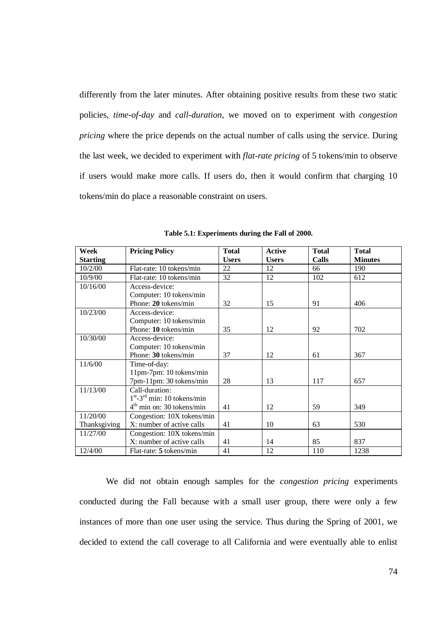differently from the later minutes. After obtaining positive results from these two static policies, *time-of-day* and *call-duration*, we moved on to experiment with *congestion pricing* where the price depends on the actual number of calls using the service. During the last week, we decided to experiment with *flat-rate pricing* of 5 tokens/min to observe if users would make more calls. If users do, then it would confirm that charging 10 tokens/min do place a reasonable constraint on users.

| Week            | <b>Pricing Policy</b>          | <b>Total</b> | <b>Active</b> | <b>Total</b> | <b>Total</b>   |
|-----------------|--------------------------------|--------------|---------------|--------------|----------------|
| <b>Starting</b> |                                | <b>Users</b> | <b>Users</b>  | Calls        | <b>Minutes</b> |
| 10/2/00         | Flat-rate: 10 tokens/min       | 22           | 12            | 66           | 190            |
| 10/9/00         | Flat-rate: 10 tokens/min       | 32           | 12            | 102          | 612            |
| 10/16/00        | Access-device:                 |              |               |              |                |
|                 | Computer: 10 tokens/min        |              |               |              |                |
|                 | Phone: 20 tokens/min           | 32           | 15            | 91           | 406            |
| 10/23/00        | Access-device:                 |              |               |              |                |
|                 | Computer: 10 tokens/min        |              |               |              |                |
|                 | Phone: 10 tokens/min           | 35           | 12            | 92           | 702            |
| 10/30/00        | Access-device:                 |              |               |              |                |
|                 | Computer: 10 tokens/min        |              |               |              |                |
|                 | Phone: 30 tokens/min           | 37           | 12            | 61           | 367            |
| 11/6/00         | Time-of-day:                   |              |               |              |                |
|                 | 11pm-7pm: 10 tokens/min        |              |               |              |                |
|                 | 7pm-11pm: 30 tokens/min        | 28           | 13            | 117          | 657            |
| 11/13/00        | Call-duration:                 |              |               |              |                |
|                 | $1st - 3rd$ min: 10 tokens/min |              |               |              |                |
|                 | $4th$ min on: 30 tokens/min    | 41           | 12            | 59           | 349            |
| 11/20/00        | Congestion: 10X tokens/min     |              |               |              |                |
| Thanksgiving    | X: number of active calls      | 41           | 10            | 63           | 530            |
| 11/27/00        | Congestion: 10X tokens/min     |              |               |              |                |
|                 | X: number of active calls      | 41           | 14            | 85           | 837            |
| 12/4/00         | Flat-rate: 5 tokens/min        | 41           | 12            | 110          | 1238           |

**Table 5.1: Experiments during the Fall of 2000.**

We did not obtain enough samples for the *congestion pricing* experiments conducted during the Fall because with a small user group, there were only a few instances of more than one user using the service. Thus during the Spring of 2001, we decided to extend the call coverage to all California and were eventually able to enlist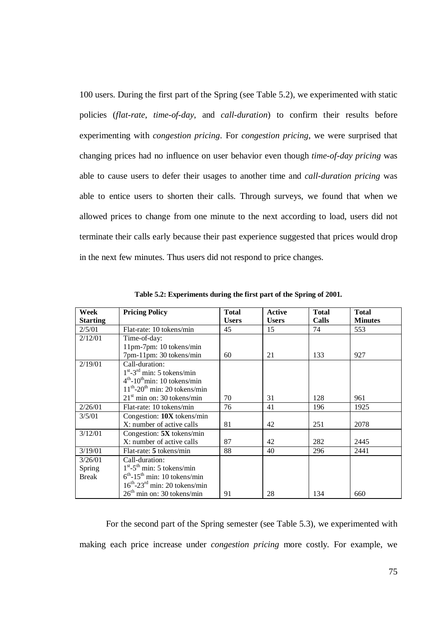100 users. During the first part of the Spring (see Table 5.2), we experimented with static policies (*flat-rate*, *time-of-day*, and *call-duration*) to confirm their results before experimenting with *congestion pricing*. For *congestion pricing*, we were surprised that changing prices had no influence on user behavior even though *time-of-day pricing* was able to cause users to defer their usages to another time and *call-duration pricing* was able to entice users to shorten their calls. Through surveys, we found that when we allowed prices to change from one minute to the next according to load, users did not terminate their calls early because their past experience suggested that prices would drop in the next few minutes. Thus users did not respond to price changes.

| Week            | <b>Pricing Policy</b>                          | <b>Total</b> | <b>Active</b> | <b>Total</b> | <b>Total</b>   |
|-----------------|------------------------------------------------|--------------|---------------|--------------|----------------|
| <b>Starting</b> |                                                | <b>Users</b> | <b>Users</b>  | Calls        | <b>Minutes</b> |
| 2/5/01          | Flat-rate: 10 tokens/min                       | 45           | 15            | 74           | 553            |
| 2/12/01         | Time-of-day:                                   |              |               |              |                |
|                 | 11pm-7pm: 10 tokens/min                        |              |               |              |                |
|                 | 7pm-11pm: 30 tokens/min                        | 60           | 21            | 133          | 927            |
| 2/19/01         | Call-duration:                                 |              |               |              |                |
|                 | $1st - 3rd$ min: 5 tokens/min                  |              |               |              |                |
|                 | $4th$ -10 <sup>th</sup> min: 10 tokens/min     |              |               |              |                |
|                 | $11th$ -20 <sup>th</sup> min: 20 tokens/min    |              |               |              |                |
|                 | $21st$ min on: 30 tokens/min                   | 70           | 31            | 128          | 961            |
| 2/26/01         | Flat-rate: 10 tokens/min                       | 76           | 41            | 196          | 1925           |
| 3/5/01          | Congestion: $10X$ tokens/min                   |              |               |              |                |
|                 | X: number of active calls                      | 81           | 42            | 251          | 2078           |
| 3/12/01         | Congestion: $5X$ tokens/min                    |              |               |              |                |
|                 | X: number of active calls                      | 87           | 42            | 282          | 2445           |
| 3/19/01         | Flat-rate: 5 tokens/min                        | 88           | 40            | 296          | 2441           |
| 3/26/01         | Call-duration:                                 |              |               |              |                |
| <b>Spring</b>   | $1st - 5th$ min: 5 tokens/min                  |              |               |              |                |
| <b>Break</b>    | $6th - 15th$ min: 10 tokens/min                |              |               |              |                |
|                 | $16^{th}$ -23 <sup>rd</sup> min: 20 tokens/min |              |               |              |                |
|                 | $26th$ min on: 30 tokens/min                   | 91           | 28            | 134          | 660            |

**Table 5.2: Experiments during the first part of the Spring of 2001.**

For the second part of the Spring semester (see Table 5.3), we experimented with making each price increase under *congestion pricing* more costly. For example, we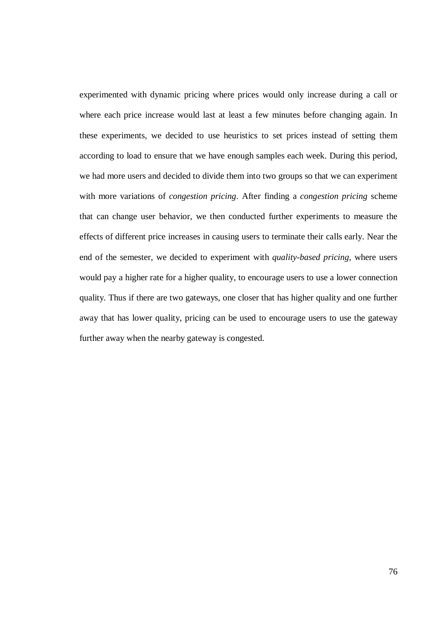experimented with dynamic pricing where prices would only increase during a call or where each price increase would last at least a few minutes before changing again. In these experiments, we decided to use heuristics to set prices instead of setting them according to load to ensure that we have enough samples each week. During this period, we had more users and decided to divide them into two groups so that we can experiment with more variations of *congestion pricing*. After finding a *congestion pricing* scheme that can change user behavior, we then conducted further experiments to measure the effects of different price increases in causing users to terminate their calls early. Near the end of the semester, we decided to experiment with *quality-based pricing*, where users would pay a higher rate for a higher quality, to encourage users to use a lower connection quality. Thus if there are two gateways, one closer that has higher quality and one further away that has lower quality, pricing can be used to encourage users to use the gateway further away when the nearby gateway is congested.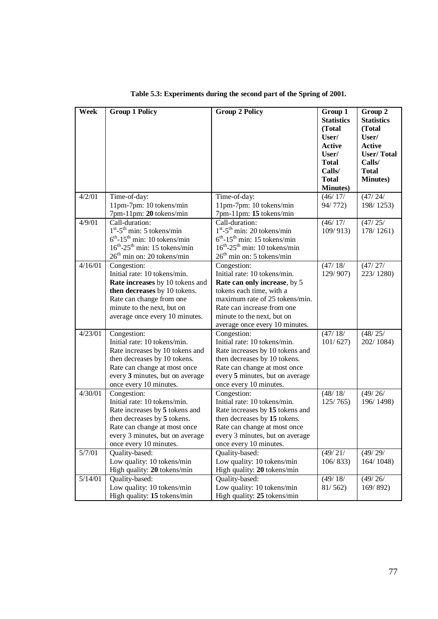| Week              | <b>Group 1 Policy</b>                          | <b>Group 2 Policy</b>                          | Group 1           | Group 2           |
|-------------------|------------------------------------------------|------------------------------------------------|-------------------|-------------------|
|                   |                                                |                                                | <b>Statistics</b> | <b>Statistics</b> |
|                   |                                                |                                                | (Total            | (Total            |
|                   |                                                |                                                | User/             | User/             |
|                   |                                                |                                                | <b>Active</b>     | <b>Active</b>     |
|                   |                                                |                                                | User/             | <b>User/Total</b> |
|                   |                                                |                                                | <b>Total</b>      | Calls/            |
|                   |                                                |                                                | Calls/            | <b>Total</b>      |
|                   |                                                |                                                | <b>Total</b>      | <b>Minutes</b> )  |
|                   |                                                |                                                | <b>Minutes</b> )  |                   |
| 4/2/01            | Time-of-day:                                   | Time-of-day:                                   | (46/17/           | (47/24/           |
|                   | 11pm-7pm: 10 tokens/min                        | 11pm-7pm: 10 tokens/min                        | 94/772)           | 198/1253)         |
|                   | 7pm-11pm: 20 tokens/min                        | 7pm-11pm: 15 tokens/min                        |                   |                   |
| 4/9/01            | Call-duration:                                 | Call-duration:                                 | (46/17/           | (47/25/           |
|                   | $1st - 5th$ min: 5 tokens/min                  | $1st - 5th min: 20 tokens/min$                 | 109/913           | 178/1261)         |
|                   | $6th - 15th$ min: 10 tokens/min                | $6th - 15th$ min: 15 tokens/min                |                   |                   |
|                   | $16^{th}$ -25 <sup>th</sup> min: 15 tokens/min | $16^{th}$ -25 <sup>th</sup> min: 10 tokens/min |                   |                   |
|                   | $26th$ min on: 20 tokens/min                   | $26th$ min on: 5 tokens/min                    |                   |                   |
| 4/16/01           | Congestion:                                    | Congestion:                                    | (47/18/           | (47/27/           |
|                   | Initial rate: 10 tokens/min.                   | Initial rate: 10 tokens/min.                   | 129/907)          | 223/1280)         |
|                   | Rate increases by 10 tokens and                | Rate can only increase, by 5                   |                   |                   |
|                   | then decreases by 10 tokens.                   | tokens each time, with a                       |                   |                   |
|                   | Rate can change from one                       | maximum rate of 25 tokens/min.                 |                   |                   |
|                   | minute to the next, but on                     | Rate can increase from one                     |                   |                   |
|                   | average once every 10 minutes.                 | minute to the next, but on                     |                   |                   |
|                   |                                                | average once every 10 minutes.                 |                   |                   |
| $\frac{4}{23/01}$ | Congestion:                                    | Congestion:                                    | (47/18)           | (48/25/           |
|                   | Initial rate: 10 tokens/min.                   | Initial rate: 10 tokens/min.                   | 101/627           | 202/1084)         |
|                   | Rate increases by 10 tokens and                | Rate increases by 10 tokens and                |                   |                   |
|                   | then decreases by 10 tokens.                   | then decreases by 10 tokens.                   |                   |                   |
|                   | Rate can change at most once                   | Rate can change at most once                   |                   |                   |
|                   | every 3 minutes, but on average                | every 5 minutes, but on average                |                   |                   |
|                   | once every 10 minutes.                         | once every 10 minutes.                         |                   |                   |
| 4/30/01           | Congestion:                                    | $\overline{\text{Cong}}$ :                     | (48/18)           | (49/26)           |
|                   | Initial rate: 10 tokens/min.                   | Initial rate: 10 tokens/min.                   | 125/765           | 196/1498)         |
|                   | Rate increases by 5 tokens and                 | Rate increases by 15 tokens and                |                   |                   |
|                   | then decreases by 5 tokens.                    | then decreases by 15 tokens.                   |                   |                   |
|                   | Rate can change at most once                   | Rate can change at most once                   |                   |                   |
|                   | every 3 minutes, but on average                | every 3 minutes, but on average                |                   |                   |
|                   | once every 10 minutes.                         | once every 10 minutes.                         |                   |                   |
| 5/7/01            | Quality-based:                                 | Quality-based:                                 | (49/21/           | (49/29/           |
|                   | Low quality: 10 tokens/min                     | Low quality: 10 tokens/min                     | 106/833           | 164/1048)         |
|                   | High quality: 20 tokens/min                    | High quality: 20 tokens/min                    |                   |                   |
| 5/14/01           | Quality-based:                                 | Quality-based:                                 | (49/18)           | (49/26)           |
|                   | Low quality: 10 tokens/min                     | Low quality: 10 tokens/min                     | 81/562            | 169/892           |
|                   | High quality: 15 tokens/min                    | High quality: 25 tokens/min                    |                   |                   |

**Table 5.3: Experiments during the second part of the Spring of 2001.**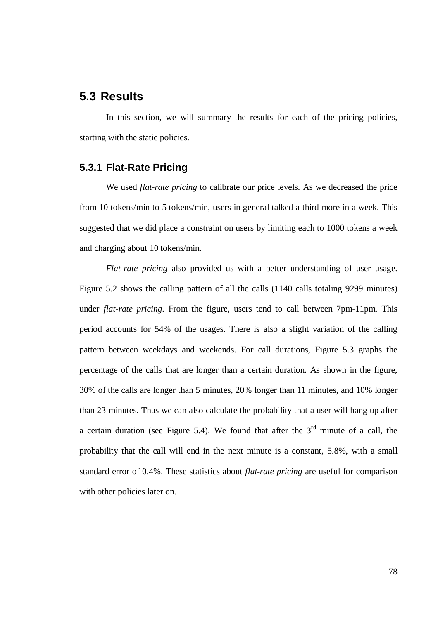## **5.3 Results**

In this section, we will summary the results for each of the pricing policies, starting with the static policies.

## **5.3.1 Flat-Rate Pricing**

We used *flat-rate pricing* to calibrate our price levels. As we decreased the price from 10 tokens/min to 5 tokens/min, users in general talked a third more in a week. This suggested that we did place a constraint on users by limiting each to 1000 tokens a week and charging about 10 tokens/min.

*Flat-rate pricing* also provided us with a better understanding of user usage. Figure 5.2 shows the calling pattern of all the calls (1140 calls totaling 9299 minutes) under *flat-rate pricing*. From the figure, users tend to call between 7pm-11pm. This period accounts for 54% of the usages. There is also a slight variation of the calling pattern between weekdays and weekends. For call durations, Figure 5.3 graphs the percentage of the calls that are longer than a certain duration. As shown in the figure, 30% of the calls are longer than 5 minutes, 20% longer than 11 minutes, and 10% longer than 23 minutes. Thus we can also calculate the probability that a user will hang up after a certain duration (see Figure 5.4). We found that after the  $3<sup>rd</sup>$  minute of a call, the probability that the call will end in the next minute is a constant, 5.8%, with a small standard error of 0.4%. These statistics about *flat-rate pricing* are useful for comparison with other policies later on.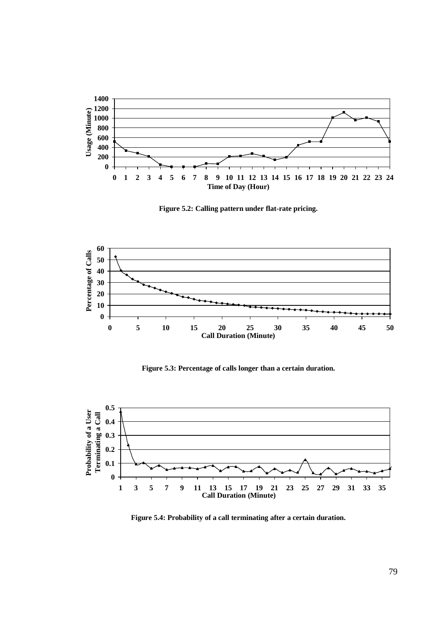

**Figure 5.2: Calling pattern under flat-rate pricing.**



**Figure 5.3: Percentage of calls longer than a certain duration.**



**Figure 5.4: Probability of a call terminating after a certain duration.**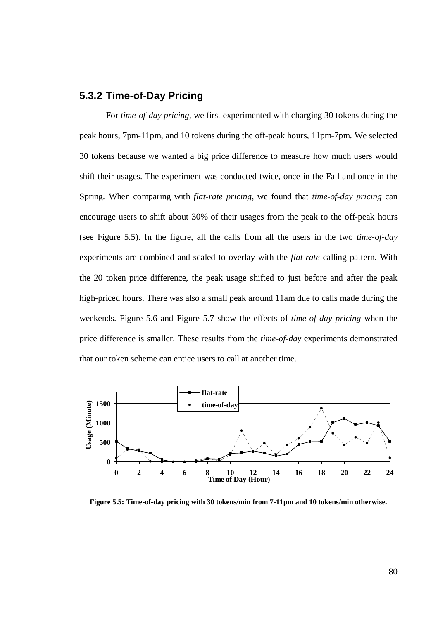#### **5.3.2 Time-of-Day Pricing**

For *time-of-day pricing*, we first experimented with charging 30 tokens during the peak hours, 7pm-11pm, and 10 tokens during the off-peak hours, 11pm-7pm. We selected 30 tokens because we wanted a big price difference to measure how much users would shift their usages. The experiment was conducted twice, once in the Fall and once in the Spring. When comparing with *flat-rate pricing*, we found that *time-of-day pricing* can encourage users to shift about 30% of their usages from the peak to the off-peak hours (see Figure 5.5). In the figure, all the calls from all the users in the two *time-of-day* experiments are combined and scaled to overlay with the *flat-rate* calling pattern. With the 20 token price difference, the peak usage shifted to just before and after the peak high-priced hours. There was also a small peak around 11am due to calls made during the weekends. Figure 5.6 and Figure 5.7 show the effects of *time-of-day pricing* when the price difference is smaller. These results from the *time-of-day* experiments demonstrated that our token scheme can entice users to call at another time.



**Figure 5.5: Time-of-day pricing with 30 tokens/min from 7-11pm and 10 tokens/min otherwise.**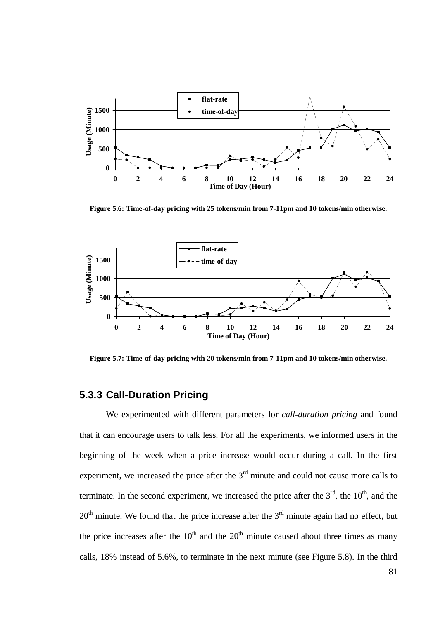

**Figure 5.6: Time-of-day pricing with 25 tokens/min from 7-11pm and 10 tokens/min otherwise.**



**Figure 5.7: Time-of-day pricing with 20 tokens/min from 7-11pm and 10 tokens/min otherwise.**

## **5.3.3 Call-Duration Pricing**

We experimented with different parameters for *call-duration pricing* and found that it can encourage users to talk less. For all the experiments, we informed users in the beginning of the week when a price increase would occur during a call. In the first experiment, we increased the price after the  $3<sup>rd</sup>$  minute and could not cause more calls to terminate. In the second experiment, we increased the price after the  $3<sup>rd</sup>$ , the  $10<sup>th</sup>$ , and the  $20<sup>th</sup>$  minute. We found that the price increase after the  $3<sup>rd</sup>$  minute again had no effect, but the price increases after the  $10<sup>th</sup>$  and the  $20<sup>th</sup>$  minute caused about three times as many calls, 18% instead of 5.6%, to terminate in the next minute (see Figure 5.8). In the third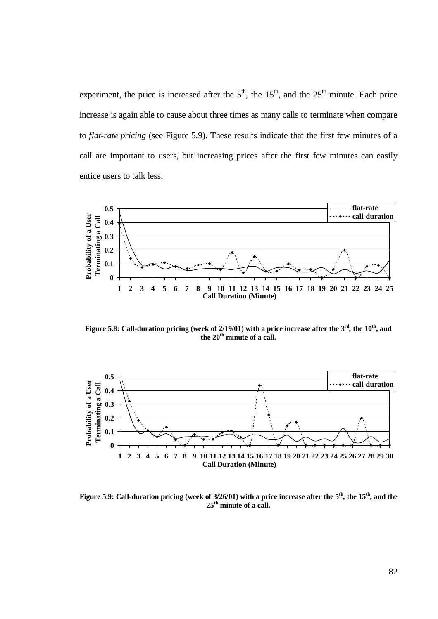experiment, the price is increased after the  $5<sup>th</sup>$ , the  $15<sup>th</sup>$ , and the  $25<sup>th</sup>$  minute. Each price increase is again able to cause about three times as many calls to terminate when compare to *flat-rate pricing* (see Figure 5.9). These results indicate that the first few minutes of a call are important to users, but increasing prices after the first few minutes can easily entice users to talk less.



Figure 5.8: Call-duration pricing (week of 2/19/01) with a price increase after the  $3^{\text{rd}},$  the  $10^{\text{th}},$  and **the 20 th minute of a call.**



Figure 5.9: Call-duration pricing (week of 3/26/01) with a price increase after the 5<sup>th</sup>, the 15<sup>th</sup>, and the **25 th minute of a call.**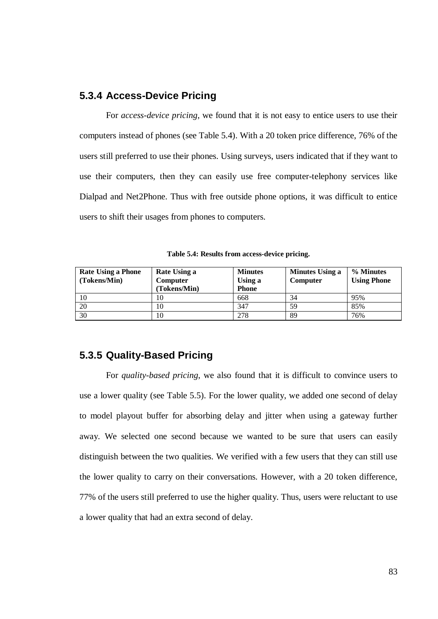### **5.3.4 Access-Device Pricing**

For *access-device pricing*, we found that it is not easy to entice users to use their computers instead of phones (see Table 5.4). With a 20 token price difference, 76% of the users still preferred to use their phones. Using surveys, users indicated that if they want to use their computers, then they can easily use free computer-telephony services like Dialpad and Net2Phone. Thus with free outside phone options, it was difficult to entice users to shift their usages from phones to computers.

| Table 5.4: Results from access-device pricing. |  |
|------------------------------------------------|--|
|------------------------------------------------|--|

| <b>Rate Using a Phone</b> | Rate Using a    | <b>Minutes</b> | <b>Minutes Using a</b> | % Minutes          |
|---------------------------|-----------------|----------------|------------------------|--------------------|
| (Tokens/Min)              | <b>Computer</b> | Using a        | Computer               | <b>Using Phone</b> |
|                           | (Tokens/Min)    | <b>Phone</b>   |                        |                    |
| 10                        | 10              | 668            | 34                     | 95%                |
| 20                        | 10              | 347            | 59                     | 85%                |
| 30                        | 10              | 278            | 89                     | 76%                |

#### **5.3.5 Quality-Based Pricing**

For *quality-based pricing*, we also found that it is difficult to convince users to use a lower quality (see Table 5.5). For the lower quality, we added one second of delay to model playout buffer for absorbing delay and jitter when using a gateway further away. We selected one second because we wanted to be sure that users can easily distinguish between the two qualities. We verified with a few users that they can still use the lower quality to carry on their conversations. However, with a 20 token difference, 77% of the users still preferred to use the higher quality. Thus, users were reluctant to use a lower quality that had an extra second of delay.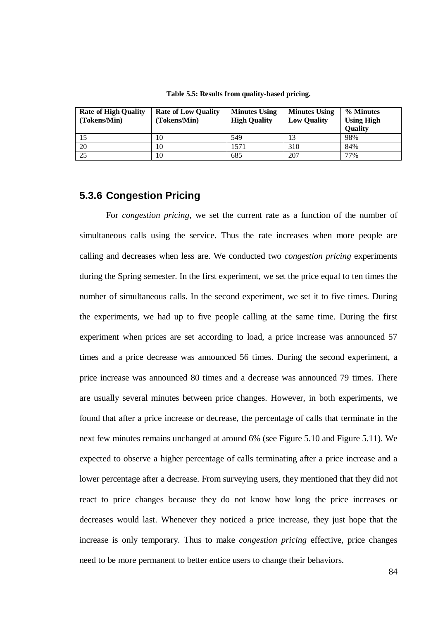| <b>Rate of High Quality</b><br>(Tokens/Min) | <b>Rate of Low Quality</b><br>(Tokens/Min) | <b>Minutes Using</b><br><b>High Quality</b> | <b>Minutes Using</b><br><b>Low Quality</b> | % Minutes<br><b>Using High</b><br><b>Quality</b> |
|---------------------------------------------|--------------------------------------------|---------------------------------------------|--------------------------------------------|--------------------------------------------------|
| 15                                          | 10                                         | 549                                         | 13                                         | 98%                                              |
| 20                                          | 10                                         | 571                                         | 310                                        | 84%                                              |
| 25                                          | 10                                         | 685                                         | 207                                        | 77%                                              |

**Table 5.5: Results from quality-based pricing.**

## **5.3.6 Congestion Pricing**

For *congestion pricing*, we set the current rate as a function of the number of simultaneous calls using the service. Thus the rate increases when more people are calling and decreases when less are. We conducted two *congestion pricing* experiments during the Spring semester. In the first experiment, we set the price equal to ten times the number of simultaneous calls. In the second experiment, we set it to five times. During the experiments, we had up to five people calling at the same time. During the first experiment when prices are set according to load, a price increase was announced 57 times and a price decrease was announced 56 times. During the second experiment, a price increase was announced 80 times and a decrease was announced 79 times. There are usually several minutes between price changes. However, in both experiments, we found that after a price increase or decrease, the percentage of calls that terminate in the next few minutes remains unchanged at around 6% (see Figure 5.10 and Figure 5.11). We expected to observe a higher percentage of calls terminating after a price increase and a lower percentage after a decrease. From surveying users, they mentioned that they did not react to price changes because they do not know how long the price increases or decreases would last. Whenever they noticed a price increase, they just hope that the increase is only temporary. Thus to make *congestion pricing* effective, price changes need to be more permanent to better entice users to change their behaviors.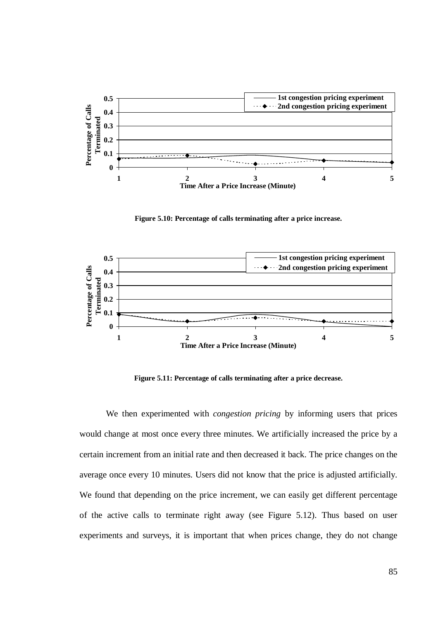

**Figure 5.10: Percentage of calls terminating after a price increase.**



**Figure 5.11: Percentage of calls terminating after a price decrease.**

We then experimented with *congestion pricing* by informing users that prices would change at most once every three minutes. We artificially increased the price by a certain increment from an initial rate and then decreased it back. The price changes on the average once every 10 minutes. Users did not know that the price is adjusted artificially. We found that depending on the price increment, we can easily get different percentage of the active calls to terminate right away (see Figure 5.12). Thus based on user experiments and surveys, it is important that when prices change, they do not change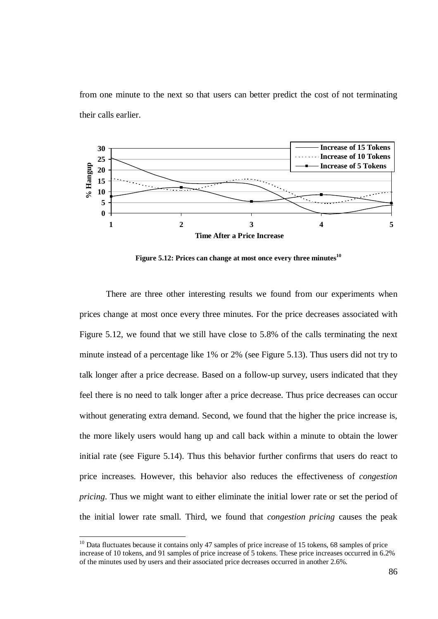from one minute to the next so that users can better predict the cost of not terminating their calls earlier.



**Figure 5.12: Prices can change at most once every three minutes 10**

There are three other interesting results we found from our experiments when prices change at most once every three minutes. For the price decreases associated with Figure 5.12, we found that we still have close to 5.8% of the calls terminating the next minute instead of a percentage like 1% or 2% (see Figure 5.13). Thus users did not try to talk longer after a price decrease. Based on a follow-up survey, users indicated that they feel there is no need to talk longer after a price decrease. Thus price decreases can occur without generating extra demand. Second, we found that the higher the price increase is, the more likely users would hang up and call back within a minute to obtain the lower initial rate (see Figure 5.14). Thus this behavior further confirms that users do react to price increases. However, this behavior also reduces the effectiveness of *congestion pricing*. Thus we might want to either eliminate the initial lower rate or set the period of the initial lower rate small. Third, we found that *congestion pricing* causes the peak

 $10$  Data fluctuates because it contains only 47 samples of price increase of 15 tokens, 68 samples of price increase of 10 tokens, and 91 samples of price increase of 5 tokens. These price increases occurred in 6.2% of the minutes used by users and their associated price decreases occurred in another 2.6%.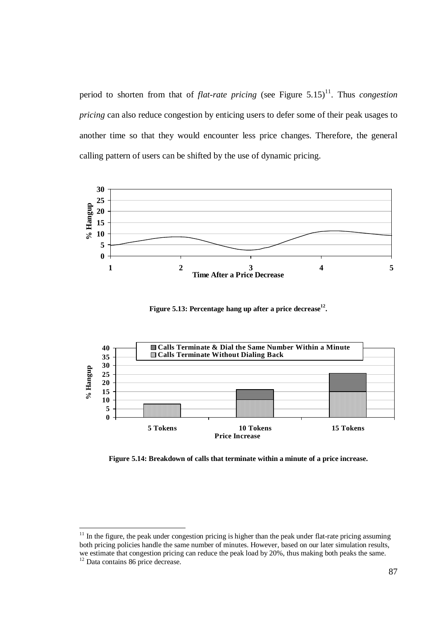period to shorten from that of *flat-rate pricing* (see Figure 5.15) 11 . Thus *congestion pricing* can also reduce congestion by enticing users to defer some of their peak usages to another time so that they would encounter less price changes. Therefore, the general calling pattern of users can be shifted by the use of dynamic pricing.



**Figure 5.13: Percentage hang up after a price decrease 12 .**



**Figure 5.14: Breakdown of calls that terminate within a minute of a price increase.**

 $11$  In the figure, the peak under congestion pricing is higher than the peak under flat-rate pricing assuming both pricing policies handle the same number of minutes. However, based on our later simulation results, we estimate that congestion pricing can reduce the peak load by 20%, thus making both peaks the same.

 $^{12}$  Data contains 86 price decrease.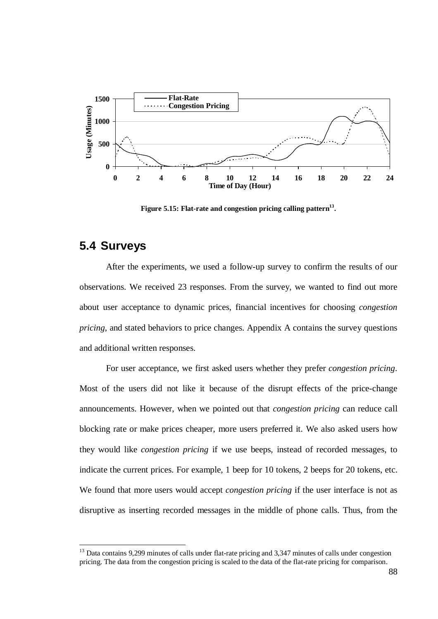

**Figure 5.15: Flat-rate and congestion pricing calling pattern 13 .**

## **5.4 Surveys**

After the experiments, we used a follow-up survey to confirm the results of our observations. We received 23 responses. From the survey, we wanted to find out more about user acceptance to dynamic prices, financial incentives for choosing *congestion pricing*, and stated behaviors to price changes. Appendix A contains the survey questions and additional written responses.

For user acceptance, we first asked users whether they prefer *congestion pricing*. Most of the users did not like it because of the disrupt effects of the price-change announcements. However, when we pointed out that *congestion pricing* can reduce call blocking rate or make prices cheaper, more users preferred it. We also asked users how they would like *congestion pricing* if we use beeps, instead of recorded messages, to indicate the current prices. For example, 1 beep for 10 tokens, 2 beeps for 20 tokens, etc. We found that more users would accept *congestion pricing* if the user interface is not as disruptive as inserting recorded messages in the middle of phone calls. Thus, from the

<sup>&</sup>lt;sup>13</sup> Data contains 9,299 minutes of calls under flat-rate pricing and 3,347 minutes of calls under congestion pricing. The data from the congestion pricing is scaled to the data of the flat-rate pricing for comparison.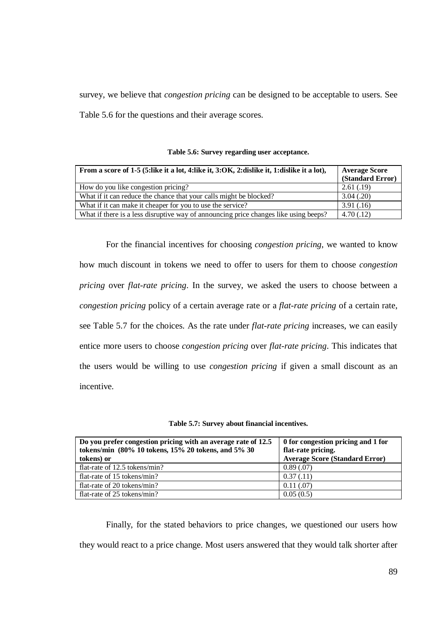survey, we believe that *congestion pricing* can be designed to be acceptable to users. See Table 5.6 for the questions and their average scores.

| From a score of 1-5 (5:like it a lot, 4:like it, 3:OK, 2:dislike it, 1:dislike it a lot), | <b>Average Score</b><br>(Standard Error) |
|-------------------------------------------------------------------------------------------|------------------------------------------|
| How do you like congestion pricing?                                                       | 2.61(.19)                                |
| What if it can reduce the chance that your calls might be blocked?                        | 3.04(.20)                                |
| What if it can make it cheaper for you to use the service?                                | 3.91(.16)                                |
| What if there is a less disruptive way of announcing price changes like using beeps?      | 4.70(0.12)                               |

For the financial incentives for choosing *congestion pricing*, we wanted to know how much discount in tokens we need to offer to users for them to choose *congestion pricing* over *flat-rate pricing*. In the survey, we asked the users to choose between a *congestion pricing* policy of a certain average rate or a *flat-rate pricing* of a certain rate, see Table 5.7 for the choices. As the rate under *flat-rate pricing* increases, we can easily entice more users to choose *congestion pricing* over *flat-rate pricing*. This indicates that the users would be willing to use *congestion pricing* if given a small discount as an incentive.

| Do you prefer congestion pricing with an average rate of 12.5 | 0 for congestion pricing and 1 for    |
|---------------------------------------------------------------|---------------------------------------|
| tokens/min (80% 10 tokens, 15% 20 tokens, and 5% 30           | flat-rate pricing.                    |
| tokens) or                                                    | <b>Average Score (Standard Error)</b> |
| flat-rate of 12.5 tokens/min?                                 | 0.89(0.07)                            |
| flat-rate of 15 tokens/min?                                   | 0.37(0.11)                            |
| flat-rate of 20 tokens/min?                                   | 0.11(0.07)                            |
| flat-rate of 25 tokens/min?                                   | 0.05(0.5)                             |

Finally, for the stated behaviors to price changes, we questioned our users how they would react to a price change. Most users answered that they would talk shorter after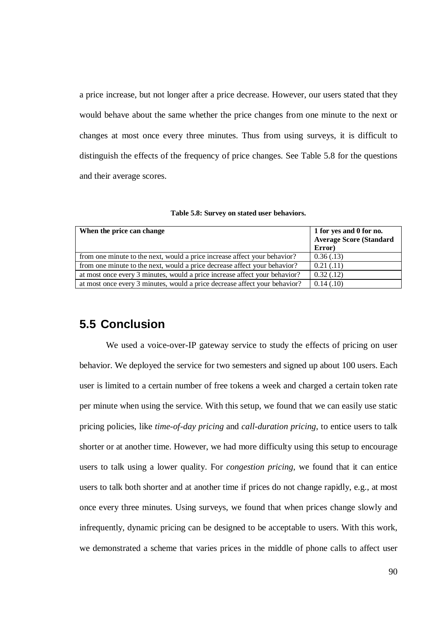a price increase, but not longer after a price decrease. However, our users stated that they would behave about the same whether the price changes from one minute to the next or changes at most once every three minutes. Thus from using surveys, it is difficult to distinguish the effects of the frequency of price changes. See Table 5.8 for the questions and their average scores.

| When the price can change                                                  | 1 for yes and 0 for no.<br><b>Average Score (Standard</b><br>Error) |
|----------------------------------------------------------------------------|---------------------------------------------------------------------|
| from one minute to the next, would a price increase affect your behavior?  | 0.36(0.13)                                                          |
| from one minute to the next, would a price decrease affect your behavior?  | 0.21(0.11)                                                          |
| at most once every 3 minutes, would a price increase affect your behavior? | 0.32(0.12)                                                          |
| at most once every 3 minutes, would a price decrease affect your behavior? | 0.14(0.10)                                                          |

**Table 5.8: Survey on stated user behaviors.**

## **5.5 Conclusion**

We used a voice-over-IP gateway service to study the effects of pricing on user behavior. We deployed the service for two semesters and signed up about 100 users. Each user is limited to a certain number of free tokens a week and charged a certain token rate per minute when using the service. With this setup, we found that we can easily use static pricing policies, like *time-of-day pricing* and *call-duration pricing*, to entice users to talk shorter or at another time. However, we had more difficulty using this setup to encourage users to talk using a lower quality. For *congestion pricing*, we found that it can entice users to talk both shorter and at another time if prices do not change rapidly, e.g., at most once every three minutes. Using surveys, we found that when prices change slowly and infrequently, dynamic pricing can be designed to be acceptable to users. With this work, we demonstrated a scheme that varies prices in the middle of phone calls to affect user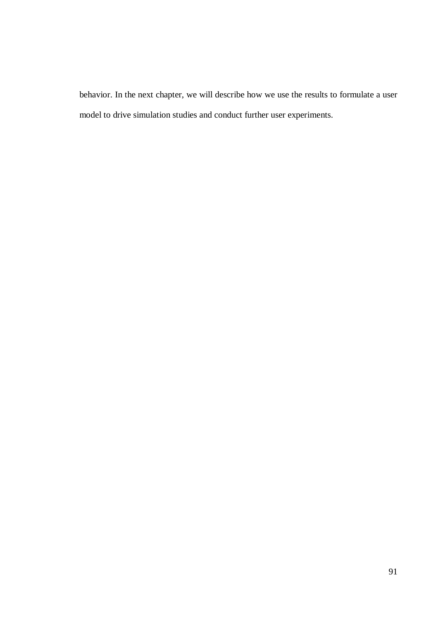behavior. In the next chapter, we will describe how we use the results to formulate a user model to drive simulation studies and conduct further user experiments.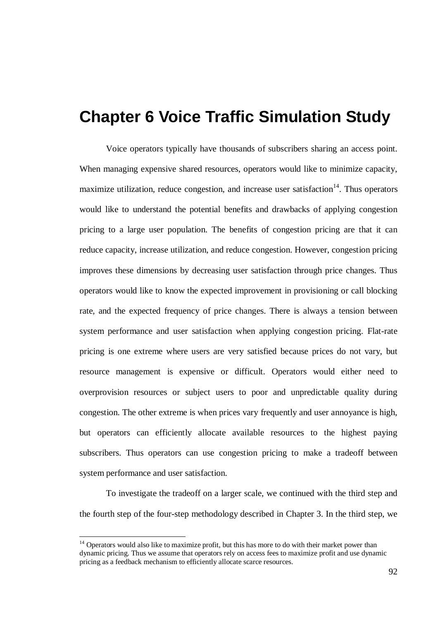## **Chapter 6 Voice Traffic Simulation Study**

Voice operators typically have thousands of subscribers sharing an access point. When managing expensive shared resources, operators would like to minimize capacity, maximize utilization, reduce congestion, and increase user satisfaction<sup>14</sup>. Thus operators would like to understand the potential benefits and drawbacks of applying congestion pricing to a large user population. The benefits of congestion pricing are that it can reduce capacity, increase utilization, and reduce congestion. However, congestion pricing improves these dimensions by decreasing user satisfaction through price changes. Thus operators would like to know the expected improvement in provisioning or call blocking rate, and the expected frequency of price changes. There is always a tension between system performance and user satisfaction when applying congestion pricing. Flat-rate pricing is one extreme where users are very satisfied because prices do not vary, but resource management is expensive or difficult. Operators would either need to overprovision resources or subject users to poor and unpredictable quality during congestion. The other extreme is when prices vary frequently and user annoyance is high, but operators can efficiently allocate available resources to the highest paying subscribers. Thus operators can use congestion pricing to make a tradeoff between system performance and user satisfaction.

To investigate the tradeoff on a larger scale, we continued with the third step and the fourth step of the four-step methodology described in Chapter 3. In the third step, we

<sup>&</sup>lt;sup>14</sup> Operators would also like to maximize profit, but this has more to do with their market power than dynamic pricing. Thus we assume that operators rely on access fees to maximize profit and use dynamic pricing as a feedback mechanism to efficiently allocate scarce resources.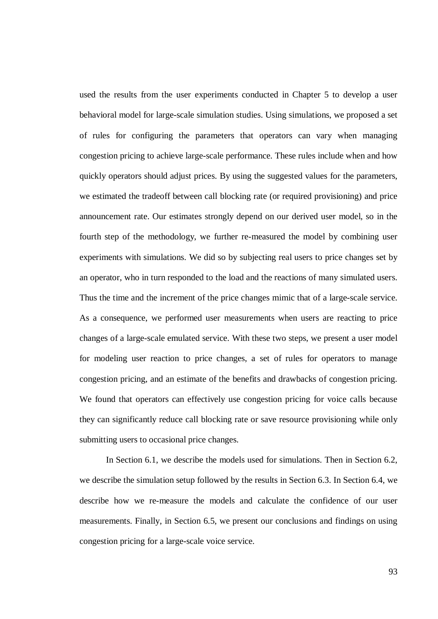used the results from the user experiments conducted in Chapter 5 to develop a user behavioral model for large-scale simulation studies. Using simulations, we proposed a set of rules for configuring the parameters that operators can vary when managing congestion pricing to achieve large-scale performance. These rules include when and how quickly operators should adjust prices. By using the suggested values for the parameters, we estimated the tradeoff between call blocking rate (or required provisioning) and price announcement rate. Our estimates strongly depend on our derived user model, so in the fourth step of the methodology, we further re-measured the model by combining user experiments with simulations. We did so by subjecting real users to price changes set by an operator, who in turn responded to the load and the reactions of many simulated users. Thus the time and the increment of the price changes mimic that of a large-scale service. As a consequence, we performed user measurements when users are reacting to price changes of a large-scale emulated service. With these two steps, we present a user model for modeling user reaction to price changes, a set of rules for operators to manage congestion pricing, and an estimate of the benefits and drawbacks of congestion pricing. We found that operators can effectively use congestion pricing for voice calls because they can significantly reduce call blocking rate or save resource provisioning while only submitting users to occasional price changes.

In Section 6.1, we describe the models used for simulations. Then in Section 6.2, we describe the simulation setup followed by the results in Section 6.3. In Section 6.4, we describe how we re-measure the models and calculate the confidence of our user measurements. Finally, in Section 6.5, we present our conclusions and findings on using congestion pricing for a large-scale voice service.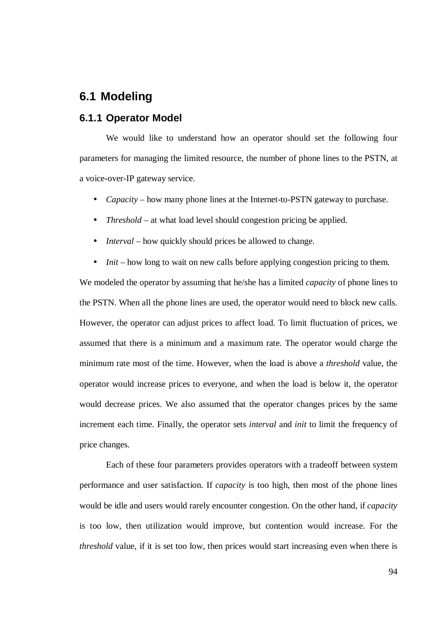# **6.1 Modeling**

#### **6.1.1 Operator Model**

We would like to understand how an operator should set the following four parameters for managing the limited resource, the number of phone lines to the PSTN, at a voice-over-IP gateway service.

- *Capacity* how many phone lines at the Internet-to-PSTN gateway to purchase.
- *Threshold* at what load level should congestion pricing be applied.
- *Interval* how quickly should prices be allowed to change.
- *Init* how long to wait on new calls before applying congestion pricing to them.

We modeled the operator by assuming that he/she has a limited *capacity* of phone lines to the PSTN. When all the phone lines are used, the operator would need to block new calls. However, the operator can adjust prices to affect load. To limit fluctuation of prices, we assumed that there is a minimum and a maximum rate. The operator would charge the minimum rate most of the time. However, when the load is above a *threshold* value, the operator would increase prices to everyone, and when the load is below it, the operator would decrease prices. We also assumed that the operator changes prices by the same increment each time. Finally, the operator sets *interval* and *init* to limit the frequency of price changes.

Each of these four parameters provides operators with a tradeoff between system performance and user satisfaction. If *capacity* is too high, then most of the phone lines would be idle and users would rarely encounter congestion. On the other hand, if *capacity* is too low, then utilization would improve, but contention would increase. For the *threshold* value, if it is set too low, then prices would start increasing even when there is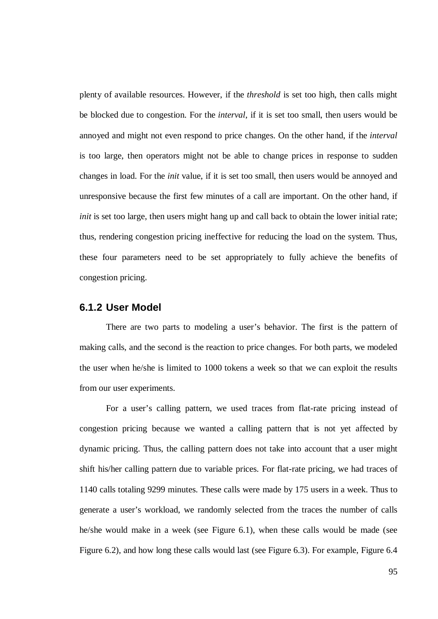plenty of available resources. However, if the *threshold* is set too high, then calls might be blocked due to congestion. For the *interval*, if it is set too small, then users would be annoyed and might not even respond to price changes. On the other hand, if the *interval* is too large, then operators might not be able to change prices in response to sudden changes in load. For the *init* value, if it is set too small, then users would be annoyed and unresponsive because the first few minutes of a call are important. On the other hand, if *init* is set too large, then users might hang up and call back to obtain the lower initial rate; thus, rendering congestion pricing ineffective for reducing the load on the system. Thus, these four parameters need to be set appropriately to fully achieve the benefits of congestion pricing.

#### **6.1.2 User Model**

There are two parts to modeling a user's behavior. The first is the pattern of making calls, and the second is the reaction to price changes. For both parts, we modeled the user when he/she is limited to 1000 tokens a week so that we can exploit the results from our user experiments.

For a user's calling pattern, we used traces from flat-rate pricing instead of congestion pricing because we wanted a calling pattern that is not yet affected by dynamic pricing. Thus, the calling pattern does not take into account that a user might shift his/her calling pattern due to variable prices. For flat-rate pricing, we had traces of 1140 calls totaling 9299 minutes. These calls were made by 175 users in a week. Thus to generate a user's workload, we randomly selected from the traces the number of calls he/she would make in a week (see Figure 6.1), when these calls would be made (see Figure 6.2), and how long these calls would last (see Figure 6.3). For example, Figure 6.4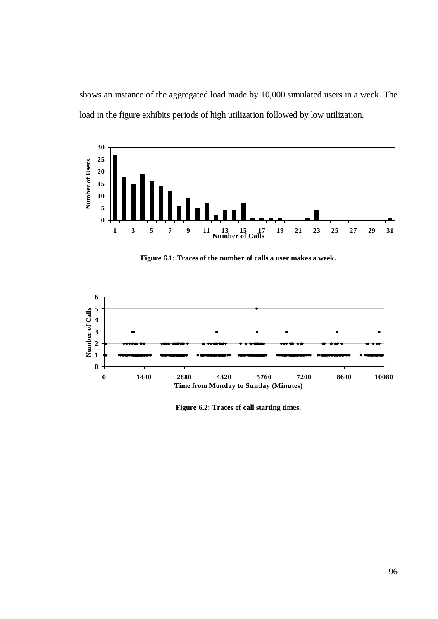shows an instance of the aggregated load made by 10,000 simulated users in a week. The load in the figure exhibits periods of high utilization followed by low utilization.



**Figure 6.1: Traces of the number of calls a user makes a week.**



**Figure 6.2: Traces of call starting times.**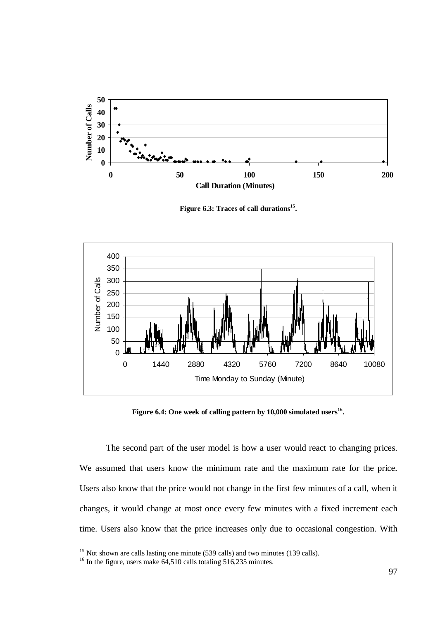

**Figure 6.3: Traces of call durations 15 .**



**Figure 6.4: One week of calling pattern by 10,000 simulated users 16 .**

The second part of the user model is how a user would react to changing prices. We assumed that users know the minimum rate and the maximum rate for the price. Users also know that the price would not change in the first few minutes of a call, when it changes, it would change at most once every few minutes with a fixed increment each time. Users also know that the price increases only due to occasional congestion. With

<sup>&</sup>lt;sup>15</sup> Not shown are calls lasting one minute (539 calls) and two minutes (139 calls). <sup>16</sup> In the figure, users make 64,510 calls totaling 516,235 minutes.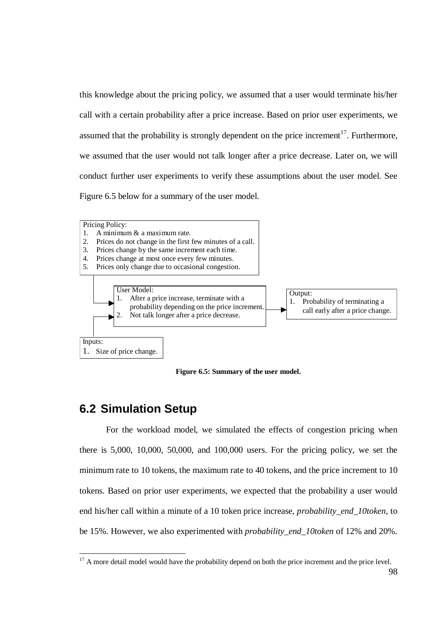this knowledge about the pricing policy, we assumed that a user would terminate his/her call with a certain probability after a price increase. Based on prior user experiments, we assumed that the probability is strongly dependent on the price increment<sup>17</sup>. Furthermore, we assumed that the user would not talk longer after a price decrease. Later on, we will conduct further user experiments to verify these assumptions about the user model. See Figure 6.5 below for a summary of the user model.



**Figure 6.5: Summary of the user model.**

# **6.2 Simulation Setup**

For the workload model, we simulated the effects of congestion pricing when there is 5,000, 10,000, 50,000, and 100,000 users. For the pricing policy, we set the minimum rate to 10 tokens, the maximum rate to 40 tokens, and the price increment to 10 tokens. Based on prior user experiments, we expected that the probability a user would end his/her call within a minute of a 10 token price increase, *probability\_end\_10token*, to be 15%. However, we also experimented with *probability\_end\_10token* of 12% and 20%.

 $17$  A more detail model would have the probability depend on both the price increment and the price level.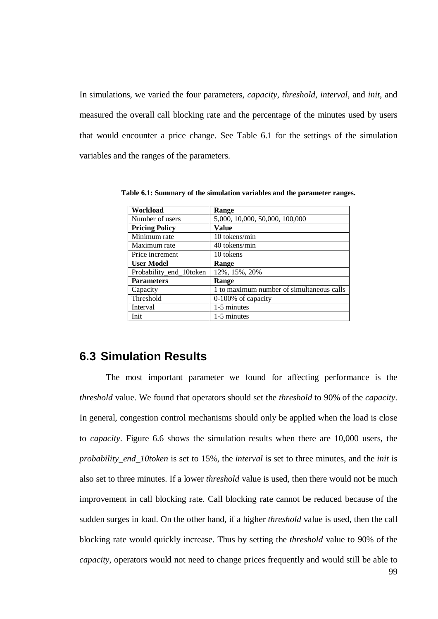In simulations, we varied the four parameters, *capacity*, *threshold*, *interval*, and *init*, and measured the overall call blocking rate and the percentage of the minutes used by users that would encounter a price change. See Table 6.1 for the settings of the simulation variables and the ranges of the parameters.

| Workload                | Range                                     |
|-------------------------|-------------------------------------------|
| Number of users         | 5,000, 10,000, 50,000, 100,000            |
| <b>Pricing Policy</b>   | Value                                     |
| Minimum rate            | 10 tokens/min                             |
| Maximum rate            | 40 tokens/min                             |
| Price increment         | 10 tokens                                 |
| <b>User Model</b>       | Range                                     |
| Probability_end_10token | 12%, 15%, 20%                             |
| <b>Parameters</b>       | Range                                     |
| Capacity                | 1 to maximum number of simultaneous calls |
| Threshold               | 0-100% of capacity                        |
| Interval                | 1-5 minutes                               |
| Init                    | 1-5 minutes                               |

**Table 6.1: Summary of the simulation variables and the parameter ranges.**

## **6.3 Simulation Results**

The most important parameter we found for affecting performance is the *threshold* value. We found that operators should set the *threshold* to 90% of the *capacity*. In general, congestion control mechanisms should only be applied when the load is close to *capacity*. Figure 6.6 shows the simulation results when there are 10,000 users, the *probability\_end\_10token* is set to 15%, the *interval* is set to three minutes, and the *init* is also set to three minutes. If a lower *threshold* value is used, then there would not be much improvement in call blocking rate. Call blocking rate cannot be reduced because of the sudden surges in load. On the other hand, if a higher *threshold* value is used, then the call blocking rate would quickly increase. Thus by setting the *threshold* value to 90% of the *capacity*, operators would not need to change prices frequently and would still be able to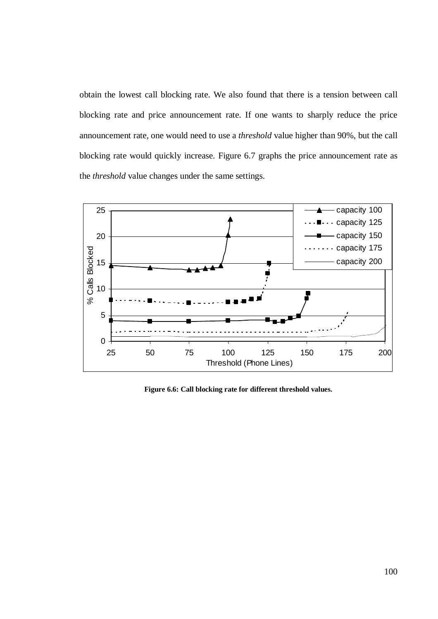obtain the lowest call blocking rate. We also found that there is a tension between call blocking rate and price announcement rate. If one wants to sharply reduce the price announcement rate, one would need to use a *threshold* value higher than 90%, but the call blocking rate would quickly increase. Figure 6.7 graphs the price announcement rate as the *threshold* value changes under the same settings.



**Figure 6.6: Call blocking rate for different threshold values.**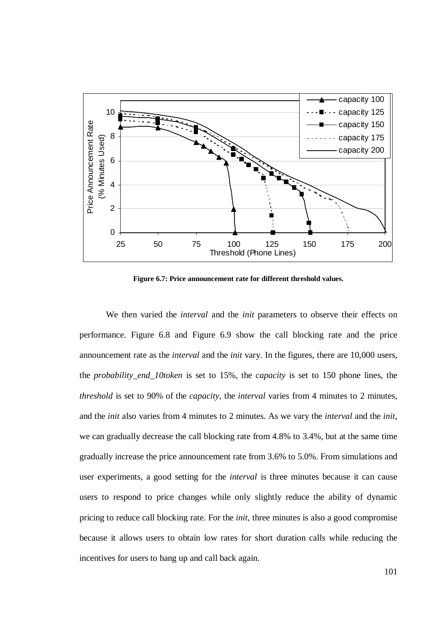

**Figure 6.7: Price announcement rate for different threshold values.**

We then varied the *interval* and the *init* parameters to observe their effects on performance. Figure 6.8 and Figure 6.9 show the call blocking rate and the price announcement rate as the *interval* and the *init* vary. In the figures, there are 10,000 users, the *probability\_end\_10token* is set to 15%, the *capacity* is set to 150 phone lines, the *threshold* is set to 90% of the *capacity*, the *interval* varies from 4 minutes to 2 minutes, and the *init* also varies from 4 minutes to 2 minutes. As we vary the *interval* and the *init*, we can gradually decrease the call blocking rate from 4.8% to 3.4%, but at the same time gradually increase the price announcement rate from 3.6% to 5.0%. From simulations and user experiments, a good setting for the *interval* is three minutes because it can cause users to respond to price changes while only slightly reduce the ability of dynamic pricing to reduce call blocking rate. For the *init*, three minutes is also a good compromise because it allows users to obtain low rates for short duration calls while reducing the incentives for users to hang up and call back again.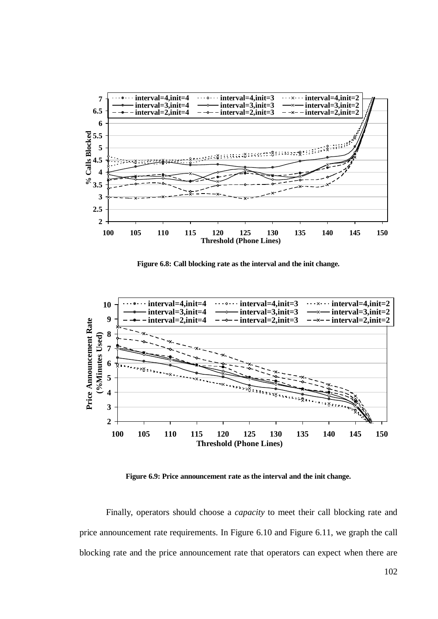

**Figure 6.8: Call blocking rate as the interval and the init change.**



**Figure 6.9: Price announcement rate as the interval and the init change.**

Finally, operators should choose a *capacity* to meet their call blocking rate and price announcement rate requirements. In Figure 6.10 and Figure 6.11, we graph the call blocking rate and the price announcement rate that operators can expect when there are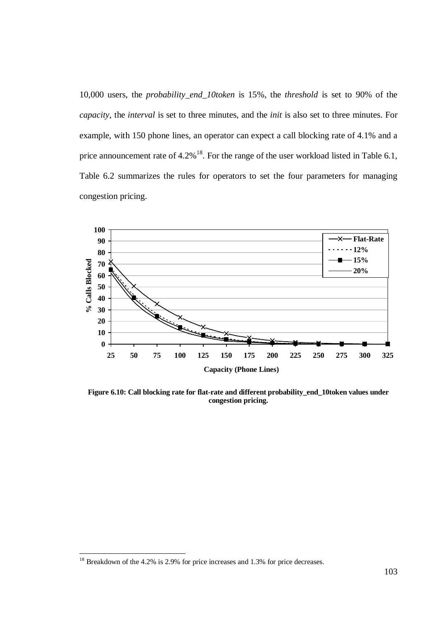10,000 users, the *probability\_end\_10token* is 15%, the *threshold* is set to 90% of the *capacity*, the *interval* is set to three minutes, and the *init* is also set to three minutes. For example, with 150 phone lines, an operator can expect a call blocking rate of 4.1% and a price announcement rate of  $4.2\%$ <sup>18</sup>. For the range of the user workload listed in Table 6.1, Table 6.2 summarizes the rules for operators to set the four parameters for managing congestion pricing.



**Figure 6.10: Call blocking rate for flat-rate and different probability\_end\_10token values under congestion pricing.**

<sup>&</sup>lt;sup>18</sup> Breakdown of the 4.2% is 2.9% for price increases and 1.3% for price decreases.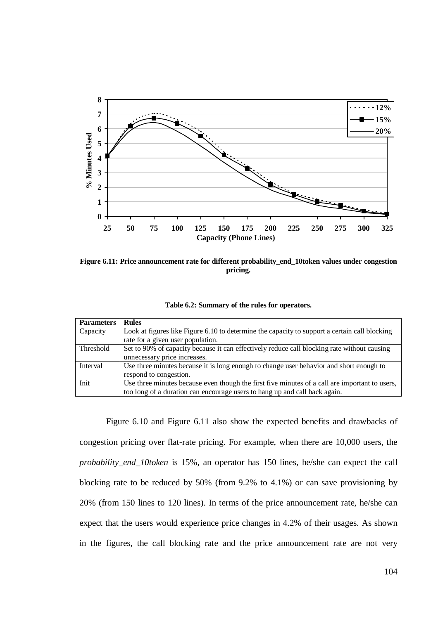

**Figure 6.11: Price announcement rate for different probability\_end\_10token values under congestion pricing.**

| Table 6.2: Summary of the rules for operators. |  |  |
|------------------------------------------------|--|--|
|------------------------------------------------|--|--|

| <b>Parameters</b> | <b>Rules</b>                                                                                   |
|-------------------|------------------------------------------------------------------------------------------------|
| Capacity          | Look at figures like Figure 6.10 to determine the capacity to support a certain call blocking  |
|                   | rate for a given user population.                                                              |
| Threshold         | Set to 90% of capacity because it can effectively reduce call blocking rate without causing    |
|                   | unnecessary price increases.                                                                   |
| Interval          | Use three minutes because it is long enough to change user behavior and short enough to        |
|                   | respond to congestion.                                                                         |
| Init              | Use three minutes because even though the first five minutes of a call are important to users, |
|                   | too long of a duration can encourage users to hang up and call back again.                     |

Figure 6.10 and Figure 6.11 also show the expected benefits and drawbacks of congestion pricing over flat-rate pricing. For example, when there are 10,000 users, the *probability\_end\_10token* is 15%, an operator has 150 lines, he/she can expect the call blocking rate to be reduced by 50% (from 9.2% to 4.1%) or can save provisioning by 20% (from 150 lines to 120 lines). In terms of the price announcement rate, he/she can expect that the users would experience price changes in 4.2% of their usages. As shown in the figures, the call blocking rate and the price announcement rate are not very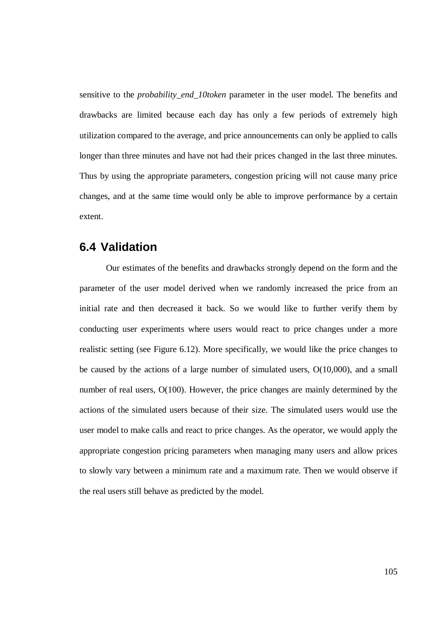sensitive to the *probability\_end\_10token* parameter in the user model. The benefits and drawbacks are limited because each day has only a few periods of extremely high utilization compared to the average, and price announcements can only be applied to calls longer than three minutes and have not had their prices changed in the last three minutes. Thus by using the appropriate parameters, congestion pricing will not cause many price changes, and at the same time would only be able to improve performance by a certain extent.

## **6.4 Validation**

Our estimates of the benefits and drawbacks strongly depend on the form and the parameter of the user model derived when we randomly increased the price from an initial rate and then decreased it back. So we would like to further verify them by conducting user experiments where users would react to price changes under a more realistic setting (see Figure 6.12). More specifically, we would like the price changes to be caused by the actions of a large number of simulated users, O(10,000), and a small number of real users, O(100). However, the price changes are mainly determined by the actions of the simulated users because of their size. The simulated users would use the user model to make calls and react to price changes. As the operator, we would apply the appropriate congestion pricing parameters when managing many users and allow prices to slowly vary between a minimum rate and a maximum rate. Then we would observe if the real users still behave as predicted by the model.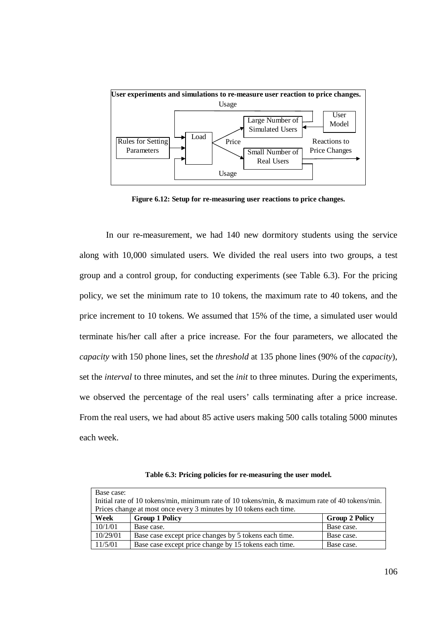

**Figure 6.12: Setup for re-measuring user reactions to price changes.**

In our re-measurement, we had 140 new dormitory students using the service along with 10,000 simulated users. We divided the real users into two groups, a test group and a control group, for conducting experiments (see Table 6.3). For the pricing policy, we set the minimum rate to 10 tokens, the maximum rate to 40 tokens, and the price increment to 10 tokens. We assumed that 15% of the time, a simulated user would terminate his/her call after a price increase. For the four parameters, we allocated the *capacity* with 150 phone lines, set the *threshold* at 135 phone lines (90% of the *capacity*), set the *interval* to three minutes, and set the *init* to three minutes. During the experiments, we observed the percentage of the real users' calls terminating after a price increase. From the real users, we had about 85 active users making 500 calls totaling 5000 minutes each week.

**Table 6.3: Pricing policies for re-measuring the user model.**

| Base case: | Initial rate of 10 tokens/min, minimum rate of 10 tokens/min, & maximum rate of 40 tokens/min.<br>Prices change at most once every 3 minutes by 10 tokens each time. |                       |
|------------|----------------------------------------------------------------------------------------------------------------------------------------------------------------------|-----------------------|
| Week       | <b>Group 1 Policy</b>                                                                                                                                                | <b>Group 2 Policy</b> |
| 10/1/01    | Base case.                                                                                                                                                           | Base case.            |
| 10/29/01   | Base case except price changes by 5 tokens each time.                                                                                                                | Base case.            |
| 11/5/01    | Base case except price change by 15 tokens each time.                                                                                                                | Base case.            |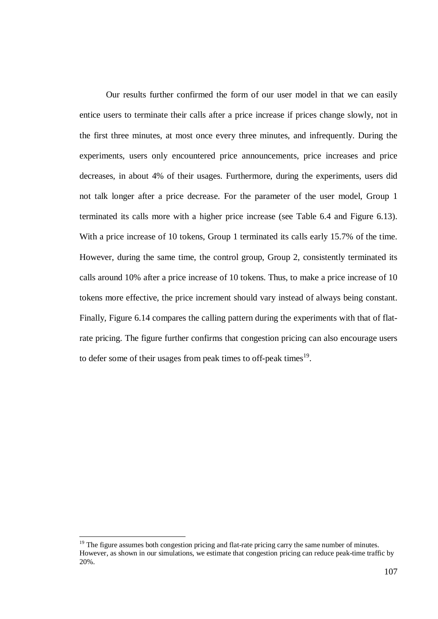Our results further confirmed the form of our user model in that we can easily entice users to terminate their calls after a price increase if prices change slowly, not in the first three minutes, at most once every three minutes, and infrequently. During the experiments, users only encountered price announcements, price increases and price decreases, in about 4% of their usages. Furthermore, during the experiments, users did not talk longer after a price decrease. For the parameter of the user model, Group 1 terminated its calls more with a higher price increase (see Table 6.4 and Figure 6.13). With a price increase of 10 tokens, Group 1 terminated its calls early 15.7% of the time. However, during the same time, the control group, Group 2, consistently terminated its calls around 10% after a price increase of 10 tokens. Thus, to make a price increase of 10 tokens more effective, the price increment should vary instead of always being constant. Finally, Figure 6.14 compares the calling pattern during the experiments with that of flatrate pricing. The figure further confirms that congestion pricing can also encourage users to defer some of their usages from peak times to off-peak times<sup>19</sup>.

<sup>&</sup>lt;sup>19</sup> The figure assumes both congestion pricing and flat-rate pricing carry the same number of minutes. However, as shown in our simulations, we estimate that congestion pricing can reduce peak-time traffic by 20%.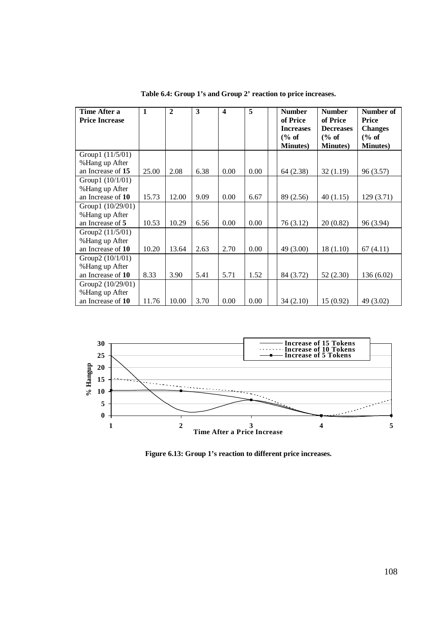| Time After a<br><b>Price Increase</b> | $\mathbf{1}$ | $\overline{2}$ | 3    | 4    | 5    | <b>Number</b><br>of Price<br><b>Increases</b><br>% of<br><b>Minutes</b> ) | <b>Number</b><br>of Price<br><b>Decreases</b><br>% of<br><b>Minutes</b> ) | Number of<br><b>Price</b><br><b>Changes</b><br>% of<br><b>Minutes</b> ) |
|---------------------------------------|--------------|----------------|------|------|------|---------------------------------------------------------------------------|---------------------------------------------------------------------------|-------------------------------------------------------------------------|
| Group1 $(11/5/01)$                    |              |                |      |      |      |                                                                           |                                                                           |                                                                         |
| %Hang up After                        |              |                |      |      |      |                                                                           |                                                                           |                                                                         |
| an Increase of 15                     | 25.00        | 2.08           | 6.38 | 0.00 | 0.00 | 64 (2.38)                                                                 | 32(1.19)                                                                  | 96 (3.57)                                                               |
| Group1 $(10/1/01)$                    |              |                |      |      |      |                                                                           |                                                                           |                                                                         |
| %Hang up After<br>an Increase of 10   | 15.73        | 12.00          | 9.09 | 0.00 | 6.67 | 89 (2.56)                                                                 | 40(1.15)                                                                  | 129(3.71)                                                               |
| Group1 (10/29/01)                     |              |                |      |      |      |                                                                           |                                                                           |                                                                         |
| %Hang up After                        |              |                |      |      |      |                                                                           |                                                                           |                                                                         |
| an Increase of 5                      | 10.53        | 10.29          | 6.56 | 0.00 | 0.00 | 76(3.12)                                                                  | 20(0.82)                                                                  | 96 (3.94)                                                               |
| Group2 (11/5/01)                      |              |                |      |      |      |                                                                           |                                                                           |                                                                         |
| %Hang up After                        |              |                |      |      |      |                                                                           |                                                                           |                                                                         |
| an Increase of 10                     | 10.20        | 13.64          | 2.63 | 2.70 | 0.00 | 49 (3.00)                                                                 | 18(1.10)                                                                  | 67 (4.11)                                                               |
| Group2 $(10/1/01)$                    |              |                |      |      |      |                                                                           |                                                                           |                                                                         |
| %Hang up After                        |              |                |      |      |      |                                                                           |                                                                           |                                                                         |
| an Increase of 10                     | 8.33         | 3.90           | 5.41 | 5.71 | 1.52 | 84 (3.72)                                                                 | 52(2.30)                                                                  | 136 (6.02)                                                              |
| Group2 (10/29/01)                     |              |                |      |      |      |                                                                           |                                                                           |                                                                         |
| %Hang up After                        |              |                |      |      |      |                                                                           |                                                                           |                                                                         |
| an Increase of 10                     | 11.76        | 10.00          | 3.70 | 0.00 | 0.00 | 34(2.10)                                                                  | 15(0.92)                                                                  | 49 (3.02)                                                               |

**Table 6.4: Group 1's and Group 2' reaction to price increases.**



**Figure 6.13: Group 1's reaction to different price increases.**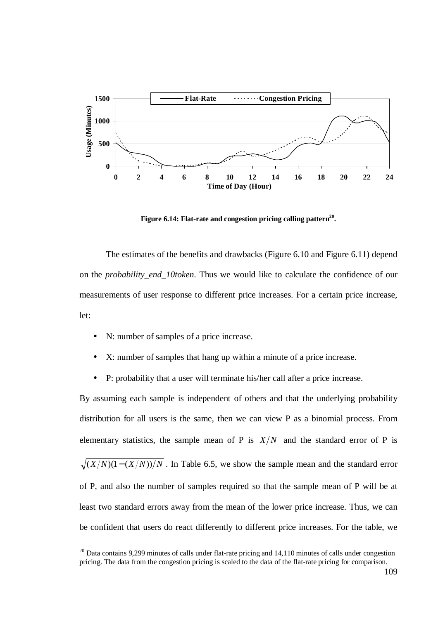

**Figure 6.14: Flat-rate and congestion pricing calling pattern 20 .**

The estimates of the benefits and drawbacks (Figure 6.10 and Figure 6.11) depend on the *probability\_end\_10token*. Thus we would like to calculate the confidence of our measurements of user response to different price increases. For a certain price increase, let:

- N: number of samples of a price increase.
- X: number of samples that hang up within a minute of a price increase.
- P: probability that a user will terminate his/her call after a price increase.

By assuming each sample is independent of others and that the underlying probability distribution for all users is the same, then we can view P as a binomial process. From elementary statistics, the sample mean of P is  $X/N$  and the standard error of P is  $\sqrt{(X/N)(1-(X/N))/N}$ . In Table 6.5, we show the sample mean and the standard error of P, and also the number of samples required so that the sample mean of P will be at least two standard errors away from the mean of the lower price increase. Thus, we can

be confident that users do react differently to different price increases. For the table, we

 $20$  Data contains 9,299 minutes of calls under flat-rate pricing and 14,110 minutes of calls under congestion pricing. The data from the congestion pricing is scaled to the data of the flat-rate pricing for comparison.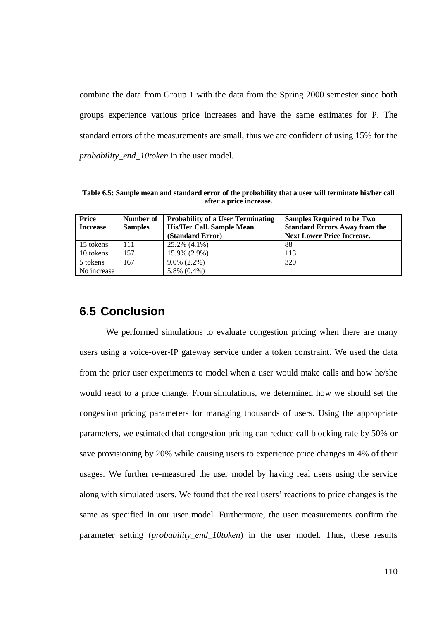combine the data from Group 1 with the data from the Spring 2000 semester since both groups experience various price increases and have the same estimates for P. The standard errors of the measurements are small, thus we are confident of using 15% for the *probability\_end\_10token* in the user model.

**Table 6.5: Sample mean and standard error of the probability that a user will terminate his/her call after a price increase.**

| Price           | Number of      | <b>Probability of a User Terminating</b> | <b>Samples Required to be Two</b>    |
|-----------------|----------------|------------------------------------------|--------------------------------------|
| <b>Increase</b> | <b>Samples</b> | His/Her Call. Sample Mean                | <b>Standard Errors Away from the</b> |
|                 |                | (Standard Error)                         | <b>Next Lower Price Increase.</b>    |
| 15 tokens       | 111            | 25.2% (4.1%)                             | 88                                   |
| 10 tokens       | 157            | 15.9% (2.9%)                             | 113                                  |
| 5 tokens        | 167            | $9.0\%$ (2.2%)                           | 320                                  |
| No increase     |                | $5.8\%$ $(0.4\%)$                        |                                      |

# **6.5 Conclusion**

We performed simulations to evaluate congestion pricing when there are many users using a voice-over-IP gateway service under a token constraint. We used the data from the prior user experiments to model when a user would make calls and how he/she would react to a price change. From simulations, we determined how we should set the congestion pricing parameters for managing thousands of users. Using the appropriate parameters, we estimated that congestion pricing can reduce call blocking rate by 50% or save provisioning by 20% while causing users to experience price changes in 4% of their usages. We further re-measured the user model by having real users using the service along with simulated users. We found that the real users' reactions to price changes is the same as specified in our user model. Furthermore, the user measurements confirm the parameter setting (*probability\_end\_10token*) in the user model. Thus, these results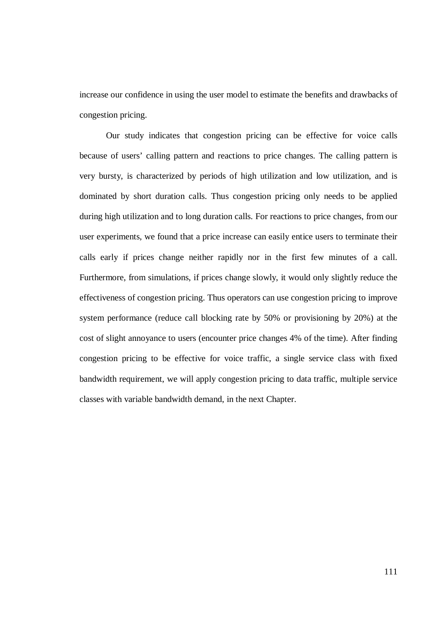increase our confidence in using the user model to estimate the benefits and drawbacks of congestion pricing.

Our study indicates that congestion pricing can be effective for voice calls because of users' calling pattern and reactions to price changes. The calling pattern is very bursty, is characterized by periods of high utilization and low utilization, and is dominated by short duration calls. Thus congestion pricing only needs to be applied during high utilization and to long duration calls. For reactions to price changes, from our user experiments, we found that a price increase can easily entice users to terminate their calls early if prices change neither rapidly nor in the first few minutes of a call. Furthermore, from simulations, if prices change slowly, it would only slightly reduce the effectiveness of congestion pricing. Thus operators can use congestion pricing to improve system performance (reduce call blocking rate by 50% or provisioning by 20%) at the cost of slight annoyance to users (encounter price changes 4% of the time). After finding congestion pricing to be effective for voice traffic, a single service class with fixed bandwidth requirement, we will apply congestion pricing to data traffic, multiple service classes with variable bandwidth demand, in the next Chapter.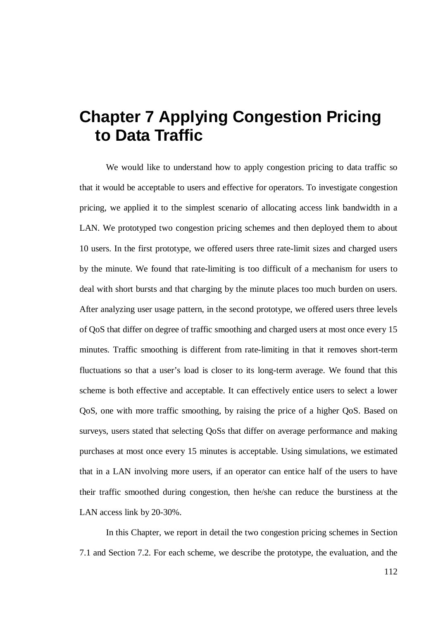# **Chapter 7 Applying Congestion Pricing to Data Traffic**

We would like to understand how to apply congestion pricing to data traffic so that it would be acceptable to users and effective for operators. To investigate congestion pricing, we applied it to the simplest scenario of allocating access link bandwidth in a LAN. We prototyped two congestion pricing schemes and then deployed them to about 10 users. In the first prototype, we offered users three rate-limit sizes and charged users by the minute. We found that rate-limiting is too difficult of a mechanism for users to deal with short bursts and that charging by the minute places too much burden on users. After analyzing user usage pattern, in the second prototype, we offered users three levels of QoS that differ on degree of traffic smoothing and charged users at most once every 15 minutes. Traffic smoothing is different from rate-limiting in that it removes short-term fluctuations so that a user's load is closer to its long-term average. We found that this scheme is both effective and acceptable. It can effectively entice users to select a lower QoS, one with more traffic smoothing, by raising the price of a higher QoS. Based on surveys, users stated that selecting QoSs that differ on average performance and making purchases at most once every 15 minutes is acceptable. Using simulations, we estimated that in a LAN involving more users, if an operator can entice half of the users to have their traffic smoothed during congestion, then he/she can reduce the burstiness at the LAN access link by 20-30%.

In this Chapter, we report in detail the two congestion pricing schemes in Section 7.1 and Section 7.2. For each scheme, we describe the prototype, the evaluation, and the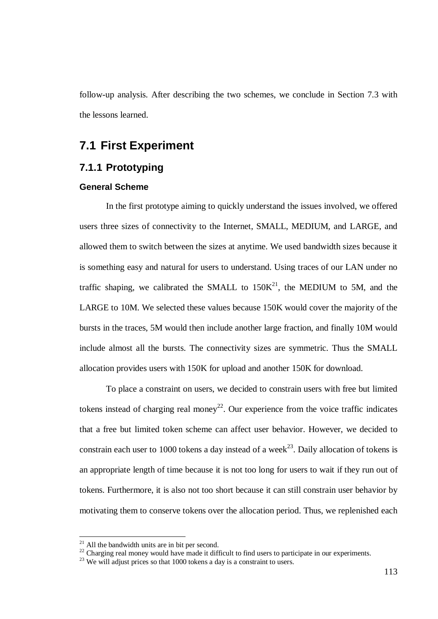follow-up analysis. After describing the two schemes, we conclude in Section 7.3 with the lessons learned.

# **7.1 First Experiment**

### **7.1.1 Prototyping**

#### **General Scheme**

In the first prototype aiming to quickly understand the issues involved, we offered users three sizes of connectivity to the Internet, SMALL, MEDIUM, and LARGE, and allowed them to switch between the sizes at anytime. We used bandwidth sizes because it is something easy and natural for users to understand. Using traces of our LAN under no traffic shaping, we calibrated the SMALL to  $150K<sup>21</sup>$ , the MEDIUM to 5M, and the LARGE to 10M. We selected these values because 150K would cover the majority of the bursts in the traces, 5M would then include another large fraction, and finally 10M would include almost all the bursts. The connectivity sizes are symmetric. Thus the SMALL allocation provides users with 150K for upload and another 150K for download.

To place a constraint on users, we decided to constrain users with free but limited tokens instead of charging real money<sup>22</sup>. Our experience from the voice traffic indicates that a free but limited token scheme can affect user behavior. However, we decided to constrain each user to 1000 tokens a day instead of a week<sup>23</sup>. Daily allocation of tokens is an appropriate length of time because it is not too long for users to wait if they run out of tokens. Furthermore, it is also not too short because it can still constrain user behavior by motivating them to conserve tokens over the allocation period. Thus, we replenished each

 $21$  All the bandwidth units are in bit per second.

<sup>&</sup>lt;sup>22</sup> Charging real money would have made it difficult to find users to participate in our experiments.

<sup>&</sup>lt;sup>23</sup> We will adjust prices so that 1000 tokens a day is a constraint to users.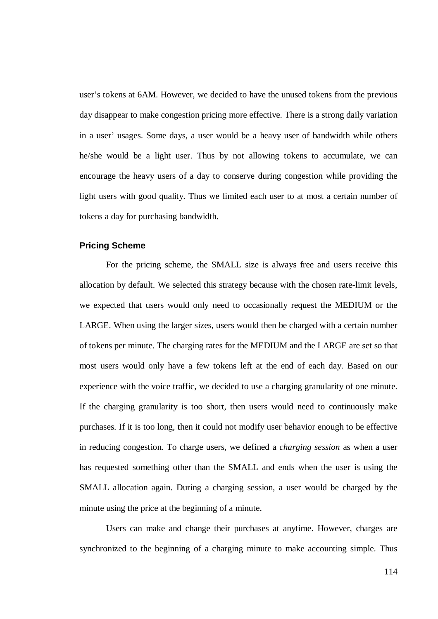user's tokens at 6AM. However, we decided to have the unused tokens from the previous day disappear to make congestion pricing more effective. There is a strong daily variation in a user' usages. Some days, a user would be a heavy user of bandwidth while others he/she would be a light user. Thus by not allowing tokens to accumulate, we can encourage the heavy users of a day to conserve during congestion while providing the light users with good quality. Thus we limited each user to at most a certain number of tokens a day for purchasing bandwidth.

#### **Pricing Scheme**

For the pricing scheme, the SMALL size is always free and users receive this allocation by default. We selected this strategy because with the chosen rate-limit levels, we expected that users would only need to occasionally request the MEDIUM or the LARGE. When using the larger sizes, users would then be charged with a certain number of tokens per minute. The charging rates for the MEDIUM and the LARGE are set so that most users would only have a few tokens left at the end of each day. Based on our experience with the voice traffic, we decided to use a charging granularity of one minute. If the charging granularity is too short, then users would need to continuously make purchases. If it is too long, then it could not modify user behavior enough to be effective in reducing congestion. To charge users, we defined a *charging session* as when a user has requested something other than the SMALL and ends when the user is using the SMALL allocation again. During a charging session, a user would be charged by the minute using the price at the beginning of a minute.

Users can make and change their purchases at anytime. However, charges are synchronized to the beginning of a charging minute to make accounting simple. Thus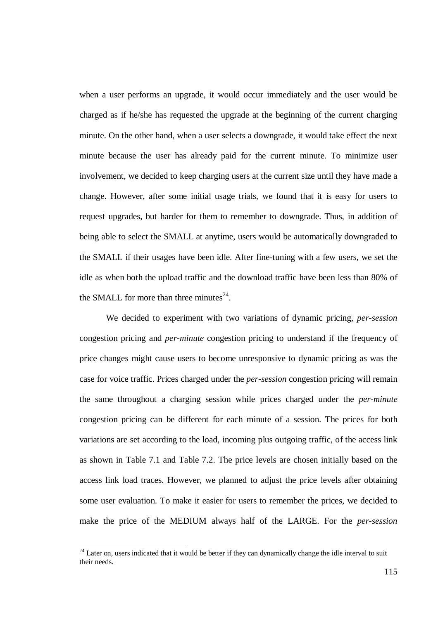when a user performs an upgrade, it would occur immediately and the user would be charged as if he/she has requested the upgrade at the beginning of the current charging minute. On the other hand, when a user selects a downgrade, it would take effect the next minute because the user has already paid for the current minute. To minimize user involvement, we decided to keep charging users at the current size until they have made a change. However, after some initial usage trials, we found that it is easy for users to request upgrades, but harder for them to remember to downgrade. Thus, in addition of being able to select the SMALL at anytime, users would be automatically downgraded to the SMALL if their usages have been idle. After fine-tuning with a few users, we set the idle as when both the upload traffic and the download traffic have been less than 80% of the SMALL for more than three minutes<sup>24</sup>.

We decided to experiment with two variations of dynamic pricing, *per-session* congestion pricing and *per-minute* congestion pricing to understand if the frequency of price changes might cause users to become unresponsive to dynamic pricing as was the case for voice traffic. Prices charged under the *per-session* congestion pricing will remain the same throughout a charging session while prices charged under the *per-minute* congestion pricing can be different for each minute of a session. The prices for both variations are set according to the load, incoming plus outgoing traffic, of the access link as shown in Table 7.1 and Table 7.2. The price levels are chosen initially based on the access link load traces. However, we planned to adjust the price levels after obtaining some user evaluation. To make it easier for users to remember the prices, we decided to make the price of the MEDIUM always half of the LARGE. For the *per-session*

<sup>&</sup>lt;sup>24</sup> Later on, users indicated that it would be better if they can dynamically change the idle interval to suit their needs.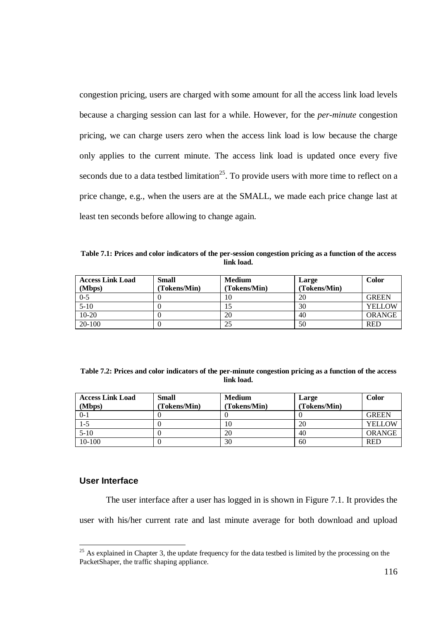congestion pricing, users are charged with some amount for all the access link load levels because a charging session can last for a while. However, for the *per-minute* congestion pricing, we can charge users zero when the access link load is low because the charge only applies to the current minute. The access link load is updated once every five seconds due to a data testbed limitation<sup>25</sup>. To provide users with more time to reflect on a price change, e.g., when the users are at the SMALL, we made each price change last at least ten seconds before allowing to change again.

**Table 7.1: Prices and color indicators of the per-session congestion pricing as a function of the access link load.**

| <b>Access Link Load</b><br>(Mbps) | Small<br>(Tokens/Min) | <b>Medium</b><br>(Tokens/Min) | Large<br>(Tokens/Min) | <b>Color</b>  |
|-----------------------------------|-----------------------|-------------------------------|-----------------------|---------------|
| $0 - 5$                           |                       | 10                            | 20                    | <b>GREEN</b>  |
| $5-10$                            |                       |                               | 30                    | <b>YELLOW</b> |
| $10-20$                           |                       | 20                            | 40                    | <b>ORANGE</b> |
| 20-100                            |                       | 25                            | 50                    | <b>RED</b>    |

| Table 7.2: Prices and color indicators of the per-minute congestion pricing as a function of the access |  |
|---------------------------------------------------------------------------------------------------------|--|
| link load.                                                                                              |  |

| <b>Access Link Load</b><br>(Mbps) | <b>Small</b><br>(Tokens/Min) | <b>Medium</b><br>(Tokens/Min) | Large<br>(Tokens/Min) | <b>Color</b>  |
|-----------------------------------|------------------------------|-------------------------------|-----------------------|---------------|
| $0 - 1$                           |                              |                               |                       | <b>GREEN</b>  |
| $1 - 5$                           |                              | 10                            | 20                    | <b>YELLOW</b> |
| $5-10$                            |                              | 20                            | 40                    | <b>ORANGE</b> |
| $10-100$                          |                              | 30                            | 60                    | <b>RED</b>    |

#### **User Interface**

The user interface after a user has logged in is shown in Figure 7.1. It provides the user with his/her current rate and last minute average for both download and upload

<sup>&</sup>lt;sup>25</sup> As explained in Chapter 3, the update frequency for the data testbed is limited by the processing on the PacketShaper, the traffic shaping appliance.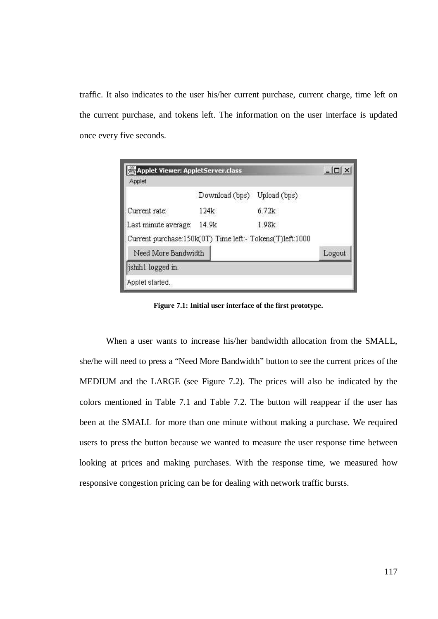traffic. It also indicates to the user his/her current purchase, current charge, time left on the current purchase, and tokens left. The information on the user interface is updated once every five seconds.

| Applet Viewer: AppletServer.class                        |                |              | $ \Box$ $\times$ |
|----------------------------------------------------------|----------------|--------------|------------------|
| Applet                                                   |                |              |                  |
|                                                          | Download (bps) | Upload (bps) |                  |
| Current rate:                                            | 124k           | 6.72k        |                  |
| Last minute average:                                     | 14.9k          | 1.98k        |                  |
| Current purchase:150k(0T) Time left:- Tokens(T)left:1000 |                |              |                  |
| Need More Bandwidth                                      |                |              | Logout           |
| jshih1 logged in.                                        |                |              |                  |
| Applet started.                                          |                |              |                  |

**Figure 7.1: Initial user interface of the first prototype.**

When a user wants to increase his/her bandwidth allocation from the SMALL, she/he will need to press a "Need More Bandwidth" button to see the current prices of the MEDIUM and the LARGE (see Figure 7.2). The prices will also be indicated by the colors mentioned in Table 7.1 and Table 7.2. The button will reappear if the user has been at the SMALL for more than one minute without making a purchase. We required users to press the button because we wanted to measure the user response time between looking at prices and making purchases. With the response time, we measured how responsive congestion pricing can be for dealing with network traffic bursts.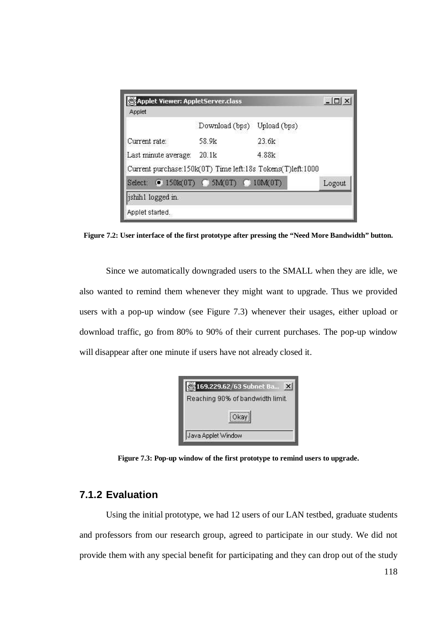| Applet Viewer: AppletServer.class                          |                             |       | $ \Box$ $\times$ |
|------------------------------------------------------------|-----------------------------|-------|------------------|
| Applet                                                     |                             |       |                  |
|                                                            | Download (bps) Upload (bps) |       |                  |
| Current rate:                                              | 58.9k                       | 23.6k |                  |
| Last minute average:                                       | 20.1k                       | 4.88k |                  |
| Current purchase:150k(0T) Time left:18s Tokens(T)left:1000 |                             |       |                  |
| Select: 0 150k(0T) (0 5M(0T) (0 10M(0T)                    |                             |       | Logout           |
| ishihl logged in.                                          |                             |       |                  |
| Applet started.                                            |                             |       |                  |

**Figure 7.2: User interface of the first prototype after pressing the "Need More Bandwidth" button.**

Since we automatically downgraded users to the SMALL when they are idle, we also wanted to remind them whenever they might want to upgrade. Thus we provided users with a pop-up window (see Figure 7.3) whenever their usages, either upload or download traffic, go from 80% to 90% of their current purchases. The pop-up window will disappear after one minute if users have not already closed it.

|                    | 3169.229.62/63 Subnet Ba<br>$\times$ |
|--------------------|--------------------------------------|
|                    | Reaching 90% of bandwidth limit.     |
|                    | Okay                                 |
| Java Applet Window |                                      |

**Figure 7.3: Pop-up window of the first prototype to remind users to upgrade.**

## **7.1.2 Evaluation**

Using the initial prototype, we had 12 users of our LAN testbed, graduate students and professors from our research group, agreed to participate in our study. We did not provide them with any special benefit for participating and they can drop out of the study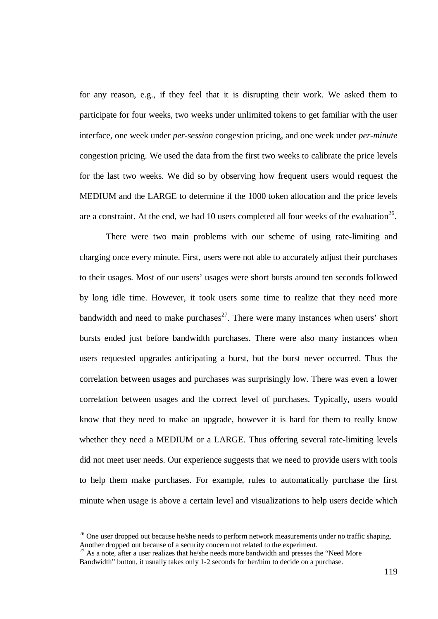for any reason, e.g., if they feel that it is disrupting their work. We asked them to participate for four weeks, two weeks under unlimited tokens to get familiar with the user interface, one week under *per-session* congestion pricing, and one week under *per-minute* congestion pricing. We used the data from the first two weeks to calibrate the price levels for the last two weeks. We did so by observing how frequent users would request the MEDIUM and the LARGE to determine if the 1000 token allocation and the price levels are a constraint. At the end, we had 10 users completed all four weeks of the evaluation<sup>26</sup>.

There were two main problems with our scheme of using rate-limiting and charging once every minute. First, users were not able to accurately adjust their purchases to their usages. Most of our users' usages were short bursts around ten seconds followed by long idle time. However, it took users some time to realize that they need more bandwidth and need to make purchases<sup>27</sup>. There were many instances when users' short bursts ended just before bandwidth purchases. There were also many instances when users requested upgrades anticipating a burst, but the burst never occurred. Thus the correlation between usages and purchases was surprisingly low. There was even a lower correlation between usages and the correct level of purchases. Typically, users would know that they need to make an upgrade, however it is hard for them to really know whether they need a MEDIUM or a LARGE. Thus offering several rate-limiting levels did not meet user needs. Our experience suggests that we need to provide users with tools to help them make purchases. For example, rules to automatically purchase the first minute when usage is above a certain level and visualizations to help users decide which

<sup>&</sup>lt;sup>26</sup> One user dropped out because he/she needs to perform network measurements under no traffic shaping. Another dropped out because of a security concern not related to the experiment.

<sup>&</sup>lt;sup>27</sup> As a note, after a user realizes that he/she needs more bandwidth and presses the "Need More" Bandwidth" button, it usually takes only 1-2 seconds for her/him to decide on a purchase.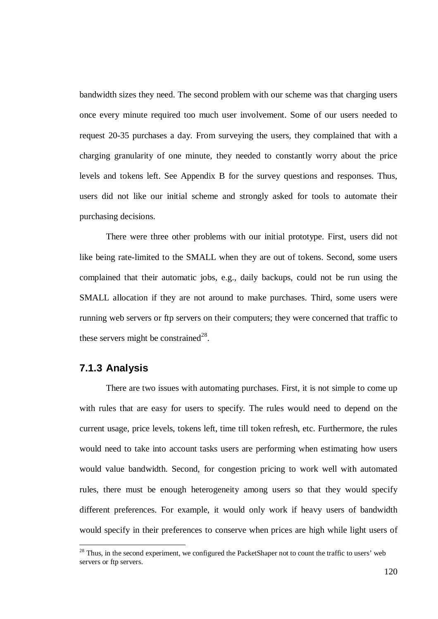bandwidth sizes they need. The second problem with our scheme was that charging users once every minute required too much user involvement. Some of our users needed to request 20-35 purchases a day. From surveying the users, they complained that with a charging granularity of one minute, they needed to constantly worry about the price levels and tokens left. See Appendix B for the survey questions and responses. Thus, users did not like our initial scheme and strongly asked for tools to automate their purchasing decisions.

There were three other problems with our initial prototype. First, users did not like being rate-limited to the SMALL when they are out of tokens. Second, some users complained that their automatic jobs, e.g., daily backups, could not be run using the SMALL allocation if they are not around to make purchases. Third, some users were running web servers or ftp servers on their computers; they were concerned that traffic to these servers might be constrained<sup>28</sup>.

#### **7.1.3 Analysis**

There are two issues with automating purchases. First, it is not simple to come up with rules that are easy for users to specify. The rules would need to depend on the current usage, price levels, tokens left, time till token refresh, etc. Furthermore, the rules would need to take into account tasks users are performing when estimating how users would value bandwidth. Second, for congestion pricing to work well with automated rules, there must be enough heterogeneity among users so that they would specify different preferences. For example, it would only work if heavy users of bandwidth would specify in their preferences to conserve when prices are high while light users of

<sup>&</sup>lt;sup>28</sup> Thus, in the second experiment, we configured the PacketShaper not to count the traffic to users' web servers or ftp servers.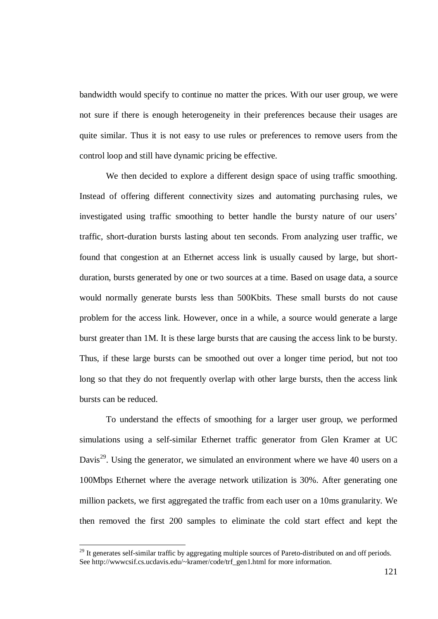bandwidth would specify to continue no matter the prices. With our user group, we were not sure if there is enough heterogeneity in their preferences because their usages are quite similar. Thus it is not easy to use rules or preferences to remove users from the control loop and still have dynamic pricing be effective.

We then decided to explore a different design space of using traffic smoothing. Instead of offering different connectivity sizes and automating purchasing rules, we investigated using traffic smoothing to better handle the bursty nature of our users' traffic, short-duration bursts lasting about ten seconds. From analyzing user traffic, we found that congestion at an Ethernet access link is usually caused by large, but shortduration, bursts generated by one or two sources at a time. Based on usage data, a source would normally generate bursts less than 500Kbits. These small bursts do not cause problem for the access link. However, once in a while, a source would generate a large burst greater than 1M. It is these large bursts that are causing the access link to be bursty. Thus, if these large bursts can be smoothed out over a longer time period, but not too long so that they do not frequently overlap with other large bursts, then the access link bursts can be reduced.

To understand the effects of smoothing for a larger user group, we performed simulations using a self-similar Ethernet traffic generator from Glen Kramer at UC Davis<sup>29</sup>. Using the generator, we simulated an environment where we have 40 users on a 100Mbps Ethernet where the average network utilization is 30%. After generating one million packets, we first aggregated the traffic from each user on a 10ms granularity. We then removed the first 200 samples to eliminate the cold start effect and kept the

<sup>&</sup>lt;sup>29</sup> It generates self-similar traffic by aggregating multiple sources of Pareto-distributed on and off periods. See http://www.csif.cs.ucdavis.edu/~kramer/code/trf\_gen1.html for more information.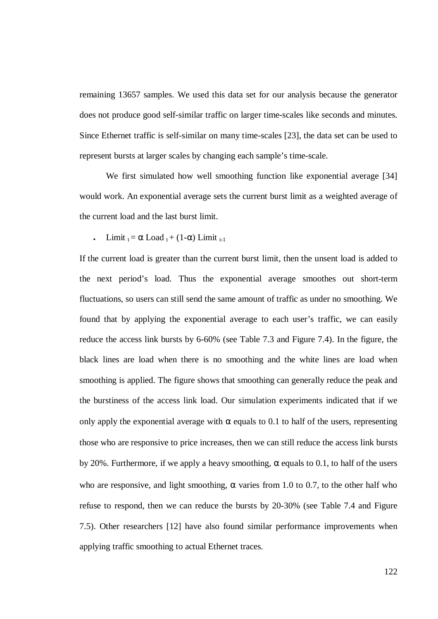remaining 13657 samples. We used this data set for our analysis because the generator does not produce good self-similar traffic on larger time-scales like seconds and minutes. Since Ethernet traffic is self-similar on many time-scales [23], the data set can be used to represent bursts at larger scales by changing each sample's time-scale.

We first simulated how well smoothing function like exponential average [34] would work. An exponential average sets the current burst limit as a weighted average of the current load and the last burst limit.

Limit  $_{t} = \alpha$  Load  $_{t} + (1-\alpha)$  Limit  $_{t-1}$ 

If the current load is greater than the current burst limit, then the unsent load is added to the next period's load. Thus the exponential average smoothes out short-term fluctuations, so users can still send the same amount of traffic as under no smoothing. We found that by applying the exponential average to each user's traffic, we can easily reduce the access link bursts by 6-60% (see Table 7.3 and Figure 7.4). In the figure, the black lines are load when there is no smoothing and the white lines are load when smoothing is applied. The figure shows that smoothing can generally reduce the peak and the burstiness of the access link load. Our simulation experiments indicated that if we only apply the exponential average with  $\alpha$  equals to 0.1 to half of the users, representing those who are responsive to price increases, then we can still reduce the access link bursts by 20%. Furthermore, if we apply a heavy smoothing,  $\alpha$  equals to 0.1, to half of the users who are responsive, and light smoothing,  $\alpha$  varies from 1.0 to 0.7, to the other half who refuse to respond, then we can reduce the bursts by 20-30% (see Table 7.4 and Figure 7.5). Other researchers [12] have also found similar performance improvements when applying traffic smoothing to actual Ethernet traces.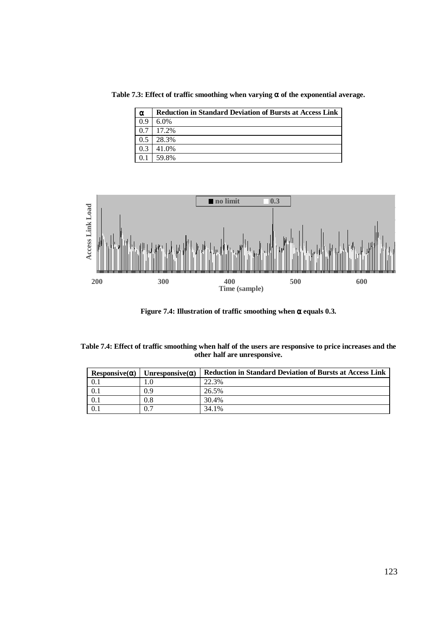**Table 7.3: Effect of traffic smoothing when varying** α **of the exponential average.**

| $\alpha$ | <b>Reduction in Standard Deviation of Bursts at Access Link</b> |
|----------|-----------------------------------------------------------------|
| 0.9      | $6.0\%$                                                         |
| 0.7      | 17.2%                                                           |
| 0.5      | 28.3%                                                           |
| 0.3      | 41.0%                                                           |
|          | 59.8%                                                           |



**Figure 7.4: Illustration of traffic smoothing when** α **equals 0.3.**

| Table 7.4: Effect of traffic smoothing when half of the users are responsive to price increases and the |
|---------------------------------------------------------------------------------------------------------|
| other half are unresponsive.                                                                            |

| $Resposure(\alpha)$ | Unresponsive $(\alpha)$ | <b>Reduction in Standard Deviation of Bursts at Access Link</b> |
|---------------------|-------------------------|-----------------------------------------------------------------|
|                     |                         | 22.3%                                                           |
| 0.1                 | 0.9                     | 26.5%                                                           |
|                     | 0.8                     | 30.4%                                                           |
|                     |                         | 34.1%                                                           |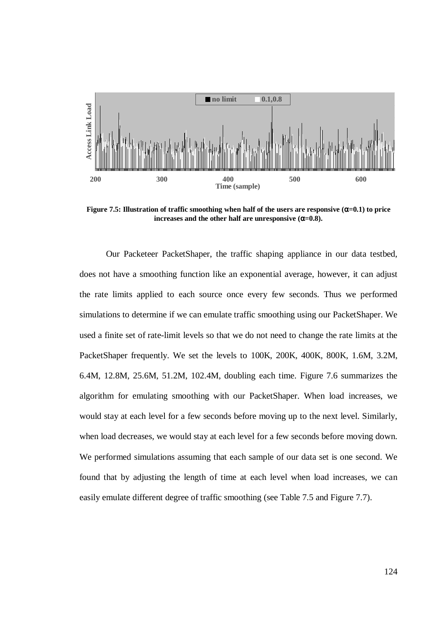

**Figure** 7.5: Illustration of traffic smoothing when half of the users are responsive  $(\alpha=0.1)$  to price **increases** and the other half are unresponsive  $(\alpha=0.8)$ .

Our Packeteer PacketShaper, the traffic shaping appliance in our data testbed, does not have a smoothing function like an exponential average, however, it can adjust the rate limits applied to each source once every few seconds. Thus we performed simulations to determine if we can emulate traffic smoothing using our PacketShaper. We used a finite set of rate-limit levels so that we do not need to change the rate limits at the PacketShaper frequently. We set the levels to 100K, 200K, 400K, 800K, 1.6M, 3.2M, 6.4M, 12.8M, 25.6M, 51.2M, 102.4M, doubling each time. Figure 7.6 summarizes the algorithm for emulating smoothing with our PacketShaper. When load increases, we would stay at each level for a few seconds before moving up to the next level. Similarly, when load decreases, we would stay at each level for a few seconds before moving down. We performed simulations assuming that each sample of our data set is one second. We found that by adjusting the length of time at each level when load increases, we can easily emulate different degree of traffic smoothing (see Table 7.5 and Figure 7.7).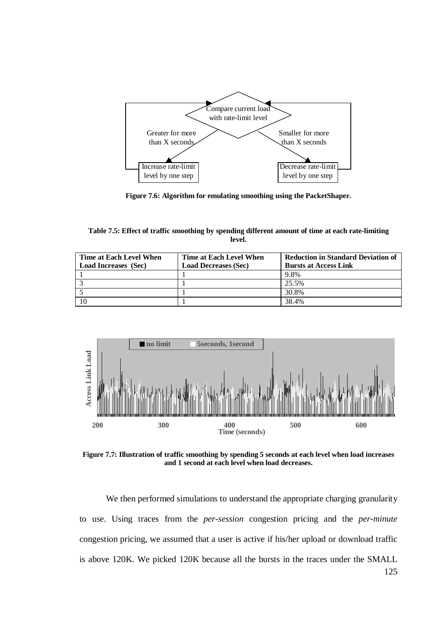

**Figure 7.6: Algorithm for emulating smoothing using the PacketShaper.**

**Table 7.5: Effect of traffic smoothing by spending different amount of time at each rate-limiting level.**

| Time at Each Level When     | Time at Each Level When     | <b>Reduction in Standard Deviation of</b> |  |  |  |
|-----------------------------|-----------------------------|-------------------------------------------|--|--|--|
| <b>Load Increases</b> (Sec) | <b>Load Decreases (Sec)</b> | <b>Bursts at Access Link</b>              |  |  |  |
|                             |                             | 9.8%                                      |  |  |  |
|                             |                             | 25.5%                                     |  |  |  |
|                             |                             | 30.8%                                     |  |  |  |
|                             |                             | 38.4%                                     |  |  |  |



**Figure 7.7: Illustration of traffic smoothing by spending 5 seconds at each level when load increases and 1 second at each level when load decreases.**

We then performed simulations to understand the appropriate charging granularity to use. Using traces from the *per-session* congestion pricing and the *per-minute* congestion pricing, we assumed that a user is active if his/her upload or download traffic is above 120K. We picked 120K because all the bursts in the traces under the SMALL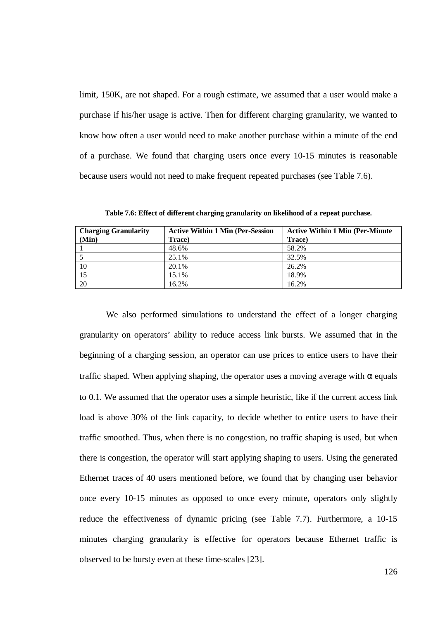limit, 150K, are not shaped. For a rough estimate, we assumed that a user would make a purchase if his/her usage is active. Then for different charging granularity, we wanted to know how often a user would need to make another purchase within a minute of the end of a purchase. We found that charging users once every 10-15 minutes is reasonable because users would not need to make frequent repeated purchases (see Table 7.6).

**Charging Granularity (Min) Active Within 1 Min (Per-Session Trace) Active Within 1 Min (Per-Minute Trace)** 1 48.6% 58.2% 5 25.1% 32.5% 10 20.1% 26.2% 15 15.1% 18.9% 20 16.2% 16.2%

**Table 7.6: Effect of different charging granularity on likelihood of a repeat purchase.**

We also performed simulations to understand the effect of a longer charging granularity on operators' ability to reduce access link bursts. We assumed that in the beginning of a charging session, an operator can use prices to entice users to have their traffic shaped. When applying shaping, the operator uses a moving average with  $\alpha$  equals to 0.1. We assumed that the operator uses a simple heuristic, like if the current access link load is above 30% of the link capacity, to decide whether to entice users to have their traffic smoothed. Thus, when there is no congestion, no traffic shaping is used, but when there is congestion, the operator will start applying shaping to users. Using the generated Ethernet traces of 40 users mentioned before, we found that by changing user behavior once every 10-15 minutes as opposed to once every minute, operators only slightly reduce the effectiveness of dynamic pricing (see Table 7.7). Furthermore, a 10-15 minutes charging granularity is effective for operators because Ethernet traffic is observed to be bursty even at these time-scales [23].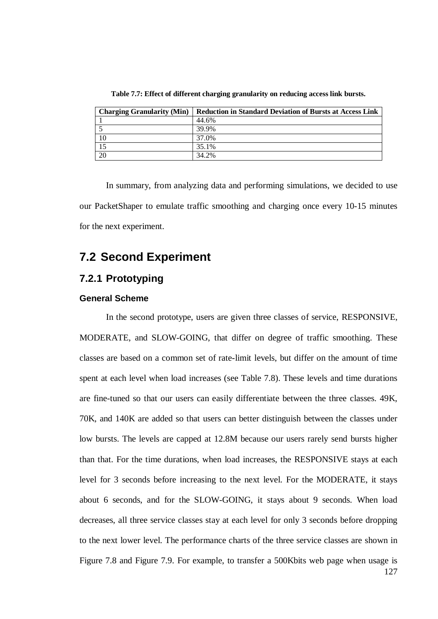| <b>Charging Granularity (Min)</b> | <b>Reduction in Standard Deviation of Bursts at Access Link</b> |
|-----------------------------------|-----------------------------------------------------------------|
|                                   | 44.6%                                                           |
|                                   | 39.9%                                                           |
| 10                                | 37.0%                                                           |
|                                   | 35.1%                                                           |
| 20                                | 34.2%                                                           |

**Table 7.7: Effect of different charging granularity on reducing access link bursts.**

In summary, from analyzing data and performing simulations, we decided to use our PacketShaper to emulate traffic smoothing and charging once every 10-15 minutes for the next experiment.

# **7.2 Second Experiment**

## **7.2.1 Prototyping**

#### **General Scheme**

In the second prototype, users are given three classes of service, RESPONSIVE, MODERATE, and SLOW-GOING, that differ on degree of traffic smoothing. These classes are based on a common set of rate-limit levels, but differ on the amount of time spent at each level when load increases (see Table 7.8). These levels and time durations are fine-tuned so that our users can easily differentiate between the three classes. 49K, 70K, and 140K are added so that users can better distinguish between the classes under low bursts. The levels are capped at 12.8M because our users rarely send bursts higher than that. For the time durations, when load increases, the RESPONSIVE stays at each level for 3 seconds before increasing to the next level. For the MODERATE, it stays about 6 seconds, and for the SLOW-GOING, it stays about 9 seconds. When load decreases, all three service classes stay at each level for only 3 seconds before dropping to the next lower level. The performance charts of the three service classes are shown in Figure 7.8 and Figure 7.9. For example, to transfer a 500Kbits web page when usage is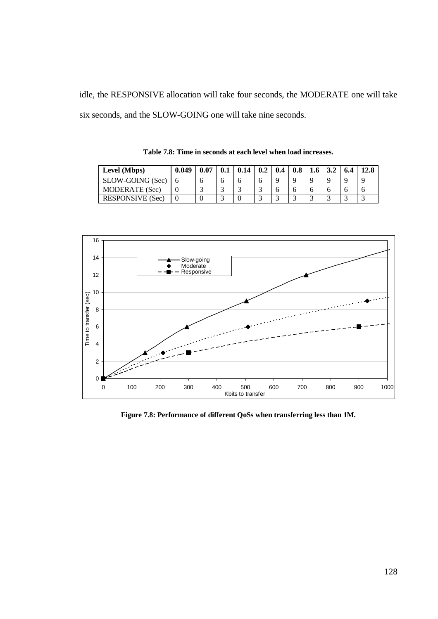idle, the RESPONSIVE allocation will take four seconds, the MODERATE one will take six seconds, and the SLOW-GOING one will take nine seconds.

| Level (Mbps)     | 0.049 | 0.07 | 0.14 | 0.2 | 0.4 | 0.8      | 1.6 | J.4 | 6.4 | 12.8 |
|------------------|-------|------|------|-----|-----|----------|-----|-----|-----|------|
| SLOW-GOING (Sec) |       |      |      |     |     | $\Omega$ |     |     |     |      |
| MODERATE (Sec)   |       |      |      |     |     |          |     |     |     |      |
| RESPONSIVE (Sec) |       |      |      |     |     |          |     |     |     |      |

**Table 7.8: Time in seconds at each level when load increases.**



**Figure 7.8: Performance of different QoSs when transferring less than 1M.**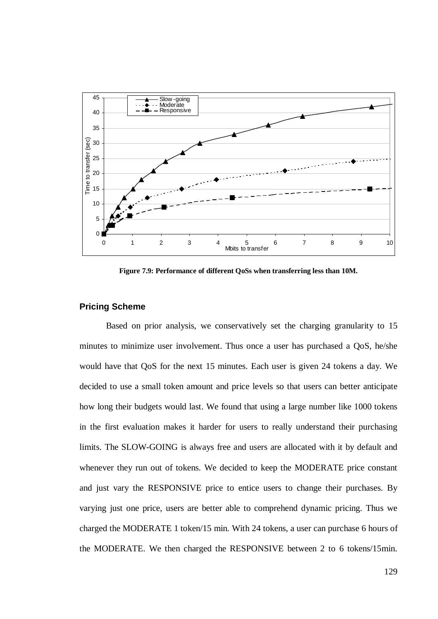

**Figure 7.9: Performance of different QoSs when transferring less than 10M.**

#### **Pricing Scheme**

Based on prior analysis, we conservatively set the charging granularity to 15 minutes to minimize user involvement. Thus once a user has purchased a QoS, he/she would have that QoS for the next 15 minutes. Each user is given 24 tokens a day. We decided to use a small token amount and price levels so that users can better anticipate how long their budgets would last. We found that using a large number like 1000 tokens in the first evaluation makes it harder for users to really understand their purchasing limits. The SLOW-GOING is always free and users are allocated with it by default and whenever they run out of tokens. We decided to keep the MODERATE price constant and just vary the RESPONSIVE price to entice users to change their purchases. By varying just one price, users are better able to comprehend dynamic pricing. Thus we charged the MODERATE 1 token/15 min. With 24 tokens, a user can purchase 6 hours of the MODERATE. We then charged the RESPONSIVE between 2 to 6 tokens/15min.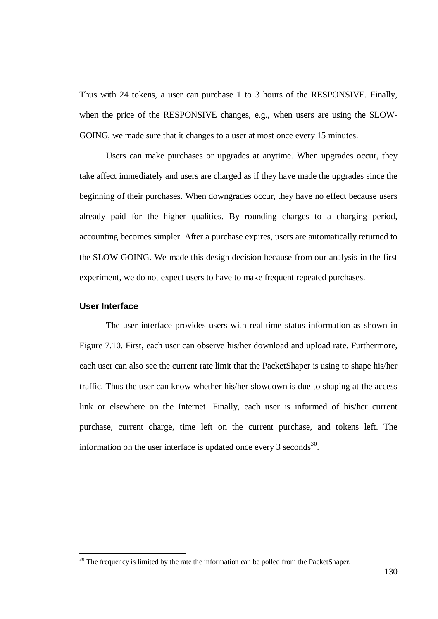Thus with 24 tokens, a user can purchase 1 to 3 hours of the RESPONSIVE. Finally, when the price of the RESPONSIVE changes, e.g., when users are using the SLOW-GOING, we made sure that it changes to a user at most once every 15 minutes.

Users can make purchases or upgrades at anytime. When upgrades occur, they take affect immediately and users are charged as if they have made the upgrades since the beginning of their purchases. When downgrades occur, they have no effect because users already paid for the higher qualities. By rounding charges to a charging period, accounting becomes simpler. After a purchase expires, users are automatically returned to the SLOW-GOING. We made this design decision because from our analysis in the first experiment, we do not expect users to have to make frequent repeated purchases.

#### **User Interface**

The user interface provides users with real-time status information as shown in Figure 7.10. First, each user can observe his/her download and upload rate. Furthermore, each user can also see the current rate limit that the PacketShaper is using to shape his/her traffic. Thus the user can know whether his/her slowdown is due to shaping at the access link or elsewhere on the Internet. Finally, each user is informed of his/her current purchase, current charge, time left on the current purchase, and tokens left. The information on the user interface is updated once every 3 seconds<sup>30</sup>.

<sup>&</sup>lt;sup>30</sup> The frequency is limited by the rate the information can be polled from the PacketShaper.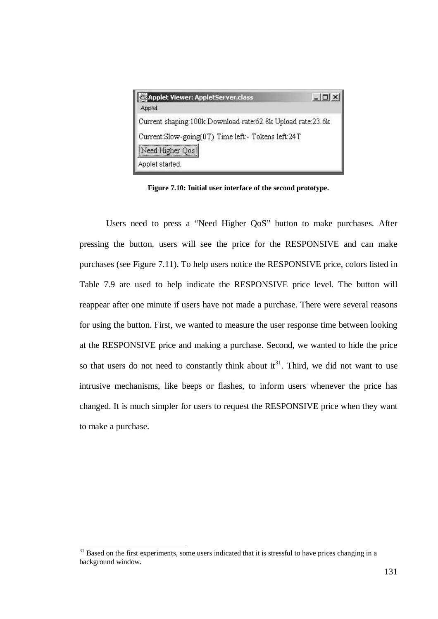| Applet Viewer: AppletServer.class<br>Applet                |  |
|------------------------------------------------------------|--|
| Current shaping:100k Download rate:62.8k Upload rate:23.6k |  |
| Current:Slow-going(0T) Time left:- Tokens left:24T         |  |
| Need Higher Qos                                            |  |
| Applet started.                                            |  |

**Figure 7.10: Initial user interface of the second prototype.**

Users need to press a "Need Higher QoS" button to make purchases. After pressing the button, users will see the price for the RESPONSIVE and can make purchases (see Figure 7.11). To help users notice the RESPONSIVE price, colors listed in Table 7.9 are used to help indicate the RESPONSIVE price level. The button will reappear after one minute if users have not made a purchase. There were several reasons for using the button. First, we wanted to measure the user response time between looking at the RESPONSIVE price and making a purchase. Second, we wanted to hide the price so that users do not need to constantly think about  $it<sup>31</sup>$ . Third, we did not want to use intrusive mechanisms, like beeps or flashes, to inform users whenever the price has changed. It is much simpler for users to request the RESPONSIVE price when they want to make a purchase.

<sup>&</sup>lt;sup>31</sup> Based on the first experiments, some users indicated that it is stressful to have prices changing in a background window.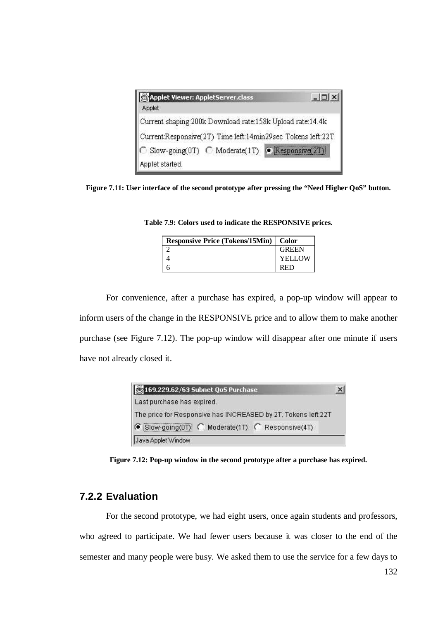| Applet Viewer: AppletServer.class                           |  |
|-------------------------------------------------------------|--|
| Applet                                                      |  |
| Current shaping:200k Download rate:158k Upload rate:14.4k   |  |
| Current:Responsive(2T) Time left:14min29sec Tokens left:22T |  |
| C Slow-going(0T) C Moderate(1T) C Responsive(2T)            |  |
| Applet started.                                             |  |

**Figure 7.11: User interface of the second prototype after pressing the "Need Higher QoS" button.**

| <b>Responsive Price (Tokens/15Min)   Color</b> |               |
|------------------------------------------------|---------------|
|                                                | <b>GREEN</b>  |
|                                                | <b>YELLOW</b> |
|                                                | RED           |

**Table 7.9: Colors used to indicate the RESPONSIVE prices.**

For convenience, after a purchase has expired, a pop-up window will appear to inform users of the change in the RESPONSIVE price and to allow them to make another purchase (see Figure 7.12). The pop-up window will disappear after one minute if users have not already closed it.

| 3169.229.62/63 Subnet QoS Purchase                            |  |
|---------------------------------------------------------------|--|
| Last purchase has expired.                                    |  |
| The price for Responsive has INCREASED by 2T. Tokens left:22T |  |
| G Slow-going(0T) C Moderate(1T) C Responsive(4T)              |  |
| Java Applet Window                                            |  |

**Figure 7.12: Pop-up window in the second prototype after a purchase has expired.**

### **7.2.2 Evaluation**

For the second prototype, we had eight users, once again students and professors, who agreed to participate. We had fewer users because it was closer to the end of the semester and many people were busy. We asked them to use the service for a few days to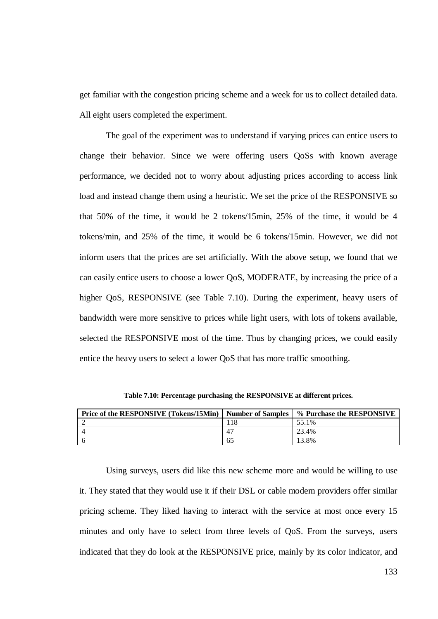get familiar with the congestion pricing scheme and a week for us to collect detailed data. All eight users completed the experiment.

The goal of the experiment was to understand if varying prices can entice users to change their behavior. Since we were offering users QoSs with known average performance, we decided not to worry about adjusting prices according to access link load and instead change them using a heuristic. We set the price of the RESPONSIVE so that 50% of the time, it would be 2 tokens/15min, 25% of the time, it would be 4 tokens/min, and 25% of the time, it would be 6 tokens/15min. However, we did not inform users that the prices are set artificially. With the above setup, we found that we can easily entice users to choose a lower QoS, MODERATE, by increasing the price of a higher QoS, RESPONSIVE (see Table 7.10). During the experiment, heavy users of bandwidth were more sensitive to prices while light users, with lots of tokens available, selected the RESPONSIVE most of the time. Thus by changing prices, we could easily entice the heavy users to select a lower QoS that has more traffic smoothing.

| Price of the RESPONSIVE (Tokens/15Min) | <b>Number of Samples</b> | % Purchase the RESPONSIVE |
|----------------------------------------|--------------------------|---------------------------|
|                                        |                          | 55.1%                     |
|                                        | 4                        | 23.4%                     |
|                                        | 60                       | 3.8%                      |

**Table 7.10: Percentage purchasing the RESPONSIVE at different prices.**

Using surveys, users did like this new scheme more and would be willing to use it. They stated that they would use it if their DSL or cable modem providers offer similar pricing scheme. They liked having to interact with the service at most once every 15 minutes and only have to select from three levels of QoS. From the surveys, users indicated that they do look at the RESPONSIVE price, mainly by its color indicator, and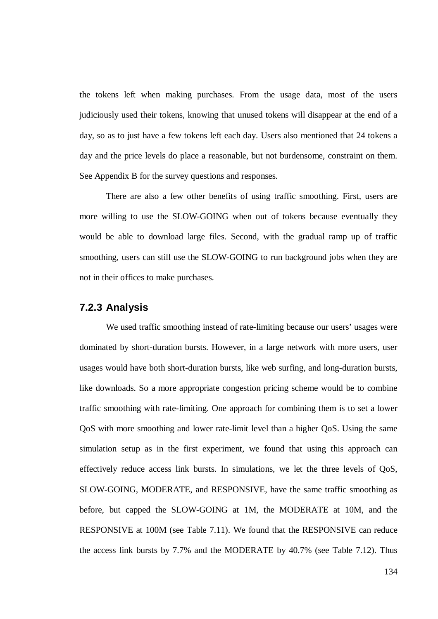the tokens left when making purchases. From the usage data, most of the users judiciously used their tokens, knowing that unused tokens will disappear at the end of a day, so as to just have a few tokens left each day. Users also mentioned that 24 tokens a day and the price levels do place a reasonable, but not burdensome, constraint on them. See Appendix B for the survey questions and responses.

There are also a few other benefits of using traffic smoothing. First, users are more willing to use the SLOW-GOING when out of tokens because eventually they would be able to download large files. Second, with the gradual ramp up of traffic smoothing, users can still use the SLOW-GOING to run background jobs when they are not in their offices to make purchases.

#### **7.2.3 Analysis**

We used traffic smoothing instead of rate-limiting because our users' usages were dominated by short-duration bursts. However, in a large network with more users, user usages would have both short-duration bursts, like web surfing, and long-duration bursts, like downloads. So a more appropriate congestion pricing scheme would be to combine traffic smoothing with rate-limiting. One approach for combining them is to set a lower QoS with more smoothing and lower rate-limit level than a higher QoS. Using the same simulation setup as in the first experiment, we found that using this approach can effectively reduce access link bursts. In simulations, we let the three levels of QoS, SLOW-GOING, MODERATE, and RESPONSIVE, have the same traffic smoothing as before, but capped the SLOW-GOING at 1M, the MODERATE at 10M, and the RESPONSIVE at 100M (see Table 7.11). We found that the RESPONSIVE can reduce the access link bursts by 7.7% and the MODERATE by 40.7% (see Table 7.12). Thus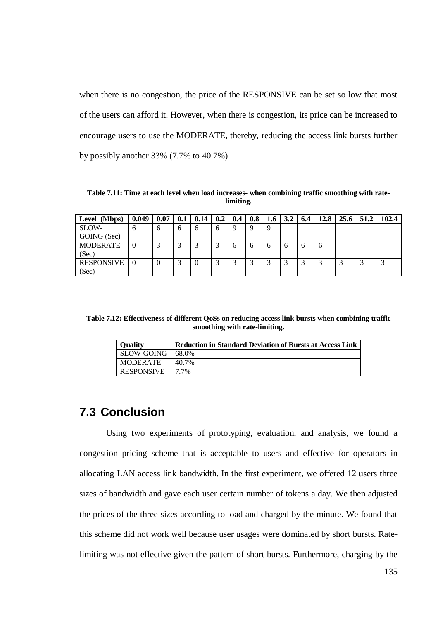when there is no congestion, the price of the RESPONSIVE can be set so low that most of the users can afford it. However, when there is congestion, its price can be increased to encourage users to use the MODERATE, thereby, reducing the access link bursts further by possibly another 33% (7.7% to 40.7%).

**Table 7.11: Time at each level when load increases- when combining traffic smoothing with ratelimiting.**

| Level (Mbps)      | 0.049    | 0.07 | 0.1 | 0.14 | 0.2     | 0.4          | 0.8 | 1.6 | 3.2            | 6.4          | 12.8 | 25.6 | 51.2 | 102.4 |
|-------------------|----------|------|-----|------|---------|--------------|-----|-----|----------------|--------------|------|------|------|-------|
| SLOW-             | o        | o    | h.  | h    | 6       | 9            | 9   | 9   |                |              |      |      |      |       |
| GOING (Sec)       |          |      |     |      |         |              |     |     |                |              |      |      |      |       |
| <b>MODERATE</b>   |          |      |     |      | ⌒<br>لہ | 6            | 6   | 6   | $\mathfrak{h}$ | $\mathbf{a}$ | 6    |      |      |       |
| (Sec)             |          |      |     |      |         |              |     |     |                |              |      |      |      |       |
| <b>RESPONSIVE</b> | $\Omega$ | 0    |     |      | ◠<br>ت  | $\sim$<br>J. | 3   | 3   | ⌒<br>Ć         | 3            | 2    |      |      | لى    |
| (Sec)             |          |      |     |      |         |              |     |     |                |              |      |      |      |       |

**Table 7.12: Effectiveness of different QoSs on reducing access link bursts when combining traffic smoothing with rate-limiting.**

| <b>Quality</b>     | <b>Reduction in Standard Deviation of Bursts at Access Link</b> |
|--------------------|-----------------------------------------------------------------|
| SLOW-GOING   68.0% |                                                                 |
| MODERATE           | 40.7%                                                           |
| RESPONSIVE         | $17.7\%$                                                        |

### **7.3 Conclusion**

Using two experiments of prototyping, evaluation, and analysis, we found a congestion pricing scheme that is acceptable to users and effective for operators in allocating LAN access link bandwidth. In the first experiment, we offered 12 users three sizes of bandwidth and gave each user certain number of tokens a day. We then adjusted the prices of the three sizes according to load and charged by the minute. We found that this scheme did not work well because user usages were dominated by short bursts. Ratelimiting was not effective given the pattern of short bursts. Furthermore, charging by the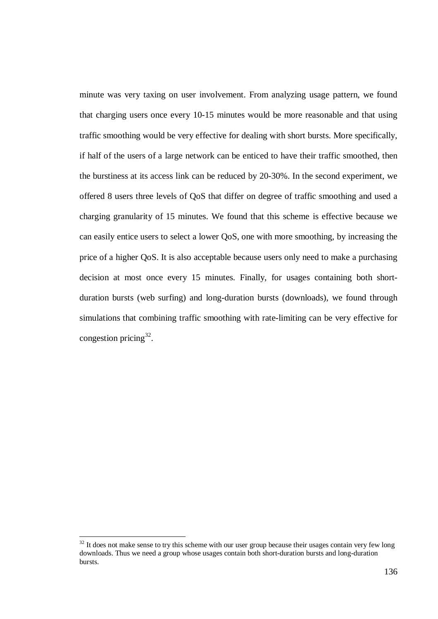minute was very taxing on user involvement. From analyzing usage pattern, we found that charging users once every 10-15 minutes would be more reasonable and that using traffic smoothing would be very effective for dealing with short bursts. More specifically, if half of the users of a large network can be enticed to have their traffic smoothed, then the burstiness at its access link can be reduced by 20-30%. In the second experiment, we offered 8 users three levels of QoS that differ on degree of traffic smoothing and used a charging granularity of 15 minutes. We found that this scheme is effective because we can easily entice users to select a lower QoS, one with more smoothing, by increasing the price of a higher QoS. It is also acceptable because users only need to make a purchasing decision at most once every 15 minutes. Finally, for usages containing both shortduration bursts (web surfing) and long-duration bursts (downloads), we found through simulations that combining traffic smoothing with rate-limiting can be very effective for congestion pricing<sup>32</sup>.

 $32$  It does not make sense to try this scheme with our user group because their usages contain very few long downloads. Thus we need a group whose usages contain both short-duration bursts and long-duration bursts.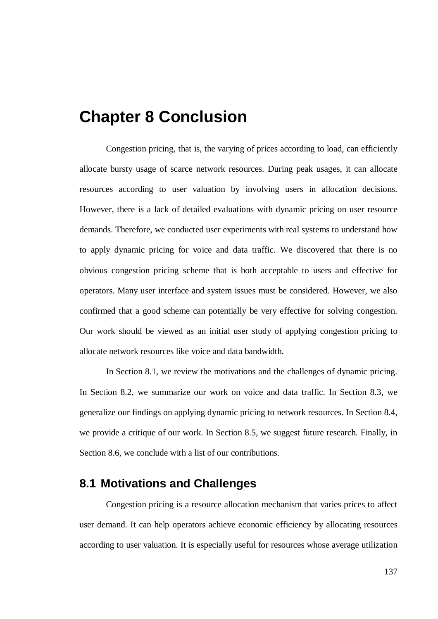# **Chapter 8 Conclusion**

Congestion pricing, that is, the varying of prices according to load, can efficiently allocate bursty usage of scarce network resources. During peak usages, it can allocate resources according to user valuation by involving users in allocation decisions. However, there is a lack of detailed evaluations with dynamic pricing on user resource demands. Therefore, we conducted user experiments with real systems to understand how to apply dynamic pricing for voice and data traffic. We discovered that there is no obvious congestion pricing scheme that is both acceptable to users and effective for operators. Many user interface and system issues must be considered. However, we also confirmed that a good scheme can potentially be very effective for solving congestion. Our work should be viewed as an initial user study of applying congestion pricing to allocate network resources like voice and data bandwidth.

In Section 8.1, we review the motivations and the challenges of dynamic pricing. In Section 8.2, we summarize our work on voice and data traffic. In Section 8.3, we generalize our findings on applying dynamic pricing to network resources. In Section 8.4, we provide a critique of our work. In Section 8.5, we suggest future research. Finally, in Section 8.6, we conclude with a list of our contributions.

### **8.1 Motivations and Challenges**

Congestion pricing is a resource allocation mechanism that varies prices to affect user demand. It can help operators achieve economic efficiency by allocating resources according to user valuation. It is especially useful for resources whose average utilization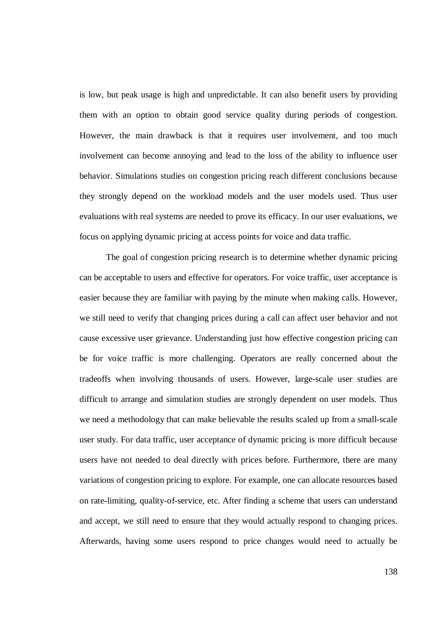is low, but peak usage is high and unpredictable. It can also benefit users by providing them with an option to obtain good service quality during periods of congestion. However, the main drawback is that it requires user involvement, and too much involvement can become annoying and lead to the loss of the ability to influence user behavior. Simulations studies on congestion pricing reach different conclusions because they strongly depend on the workload models and the user models used. Thus user evaluations with real systems are needed to prove its efficacy. In our user evaluations, we focus on applying dynamic pricing at access points for voice and data traffic.

The goal of congestion pricing research is to determine whether dynamic pricing can be acceptable to users and effective for operators. For voice traffic, user acceptance is easier because they are familiar with paying by the minute when making calls. However, we still need to verify that changing prices during a call can affect user behavior and not cause excessive user grievance. Understanding just how effective congestion pricing can be for voice traffic is more challenging. Operators are really concerned about the tradeoffs when involving thousands of users. However, large-scale user studies are difficult to arrange and simulation studies are strongly dependent on user models. Thus we need a methodology that can make believable the results scaled up from a small-scale user study. For data traffic, user acceptance of dynamic pricing is more difficult because users have not needed to deal directly with prices before. Furthermore, there are many variations of congestion pricing to explore. For example, one can allocate resources based on rate-limiting, quality-of-service, etc. After finding a scheme that users can understand and accept, we still need to ensure that they would actually respond to changing prices. Afterwards, having some users respond to price changes would need to actually be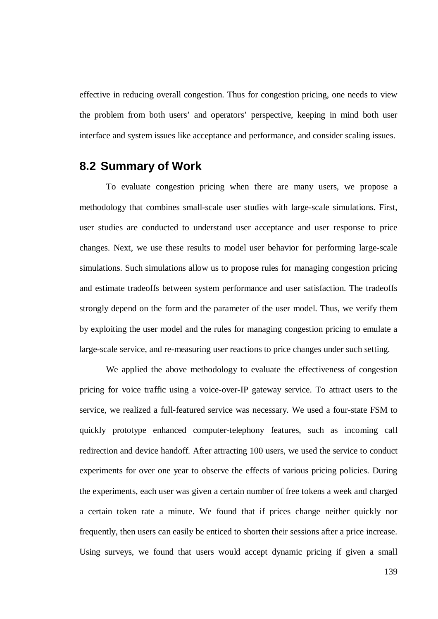effective in reducing overall congestion. Thus for congestion pricing, one needs to view the problem from both users' and operators' perspective, keeping in mind both user interface and system issues like acceptance and performance, and consider scaling issues.

### **8.2 Summary of Work**

To evaluate congestion pricing when there are many users, we propose a methodology that combines small-scale user studies with large-scale simulations. First, user studies are conducted to understand user acceptance and user response to price changes. Next, we use these results to model user behavior for performing large-scale simulations. Such simulations allow us to propose rules for managing congestion pricing and estimate tradeoffs between system performance and user satisfaction. The tradeoffs strongly depend on the form and the parameter of the user model. Thus, we verify them by exploiting the user model and the rules for managing congestion pricing to emulate a large-scale service, and re-measuring user reactions to price changes under such setting.

We applied the above methodology to evaluate the effectiveness of congestion pricing for voice traffic using a voice-over-IP gateway service. To attract users to the service, we realized a full-featured service was necessary. We used a four-state FSM to quickly prototype enhanced computer-telephony features, such as incoming call redirection and device handoff. After attracting 100 users, we used the service to conduct experiments for over one year to observe the effects of various pricing policies. During the experiments, each user was given a certain number of free tokens a week and charged a certain token rate a minute. We found that if prices change neither quickly nor frequently, then users can easily be enticed to shorten their sessions after a price increase. Using surveys, we found that users would accept dynamic pricing if given a small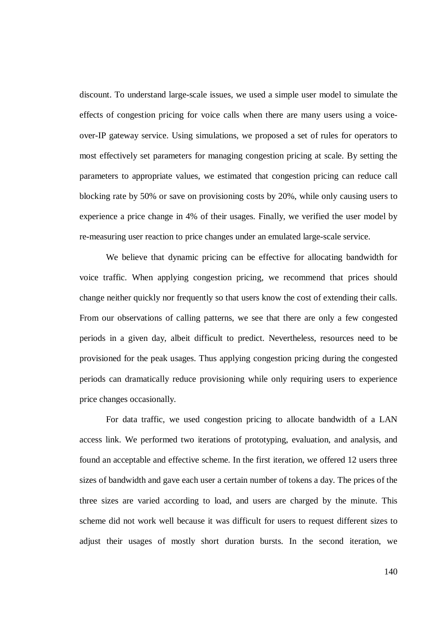discount. To understand large-scale issues, we used a simple user model to simulate the effects of congestion pricing for voice calls when there are many users using a voiceover-IP gateway service. Using simulations, we proposed a set of rules for operators to most effectively set parameters for managing congestion pricing at scale. By setting the parameters to appropriate values, we estimated that congestion pricing can reduce call blocking rate by 50% or save on provisioning costs by 20%, while only causing users to experience a price change in 4% of their usages. Finally, we verified the user model by re-measuring user reaction to price changes under an emulated large-scale service.

We believe that dynamic pricing can be effective for allocating bandwidth for voice traffic. When applying congestion pricing, we recommend that prices should change neither quickly nor frequently so that users know the cost of extending their calls. From our observations of calling patterns, we see that there are only a few congested periods in a given day, albeit difficult to predict. Nevertheless, resources need to be provisioned for the peak usages. Thus applying congestion pricing during the congested periods can dramatically reduce provisioning while only requiring users to experience price changes occasionally.

For data traffic, we used congestion pricing to allocate bandwidth of a LAN access link. We performed two iterations of prototyping, evaluation, and analysis, and found an acceptable and effective scheme. In the first iteration, we offered 12 users three sizes of bandwidth and gave each user a certain number of tokens a day. The prices of the three sizes are varied according to load, and users are charged by the minute. This scheme did not work well because it was difficult for users to request different sizes to adjust their usages of mostly short duration bursts. In the second iteration, we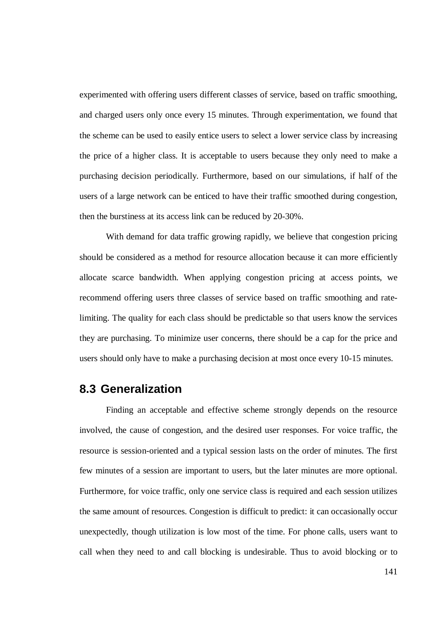experimented with offering users different classes of service, based on traffic smoothing, and charged users only once every 15 minutes. Through experimentation, we found that the scheme can be used to easily entice users to select a lower service class by increasing the price of a higher class. It is acceptable to users because they only need to make a purchasing decision periodically. Furthermore, based on our simulations, if half of the users of a large network can be enticed to have their traffic smoothed during congestion, then the burstiness at its access link can be reduced by 20-30%.

With demand for data traffic growing rapidly, we believe that congestion pricing should be considered as a method for resource allocation because it can more efficiently allocate scarce bandwidth. When applying congestion pricing at access points, we recommend offering users three classes of service based on traffic smoothing and ratelimiting. The quality for each class should be predictable so that users know the services they are purchasing. To minimize user concerns, there should be a cap for the price and users should only have to make a purchasing decision at most once every 10-15 minutes.

#### **8.3 Generalization**

Finding an acceptable and effective scheme strongly depends on the resource involved, the cause of congestion, and the desired user responses. For voice traffic, the resource is session-oriented and a typical session lasts on the order of minutes. The first few minutes of a session are important to users, but the later minutes are more optional. Furthermore, for voice traffic, only one service class is required and each session utilizes the same amount of resources. Congestion is difficult to predict: it can occasionally occur unexpectedly, though utilization is low most of the time. For phone calls, users want to call when they need to and call blocking is undesirable. Thus to avoid blocking or to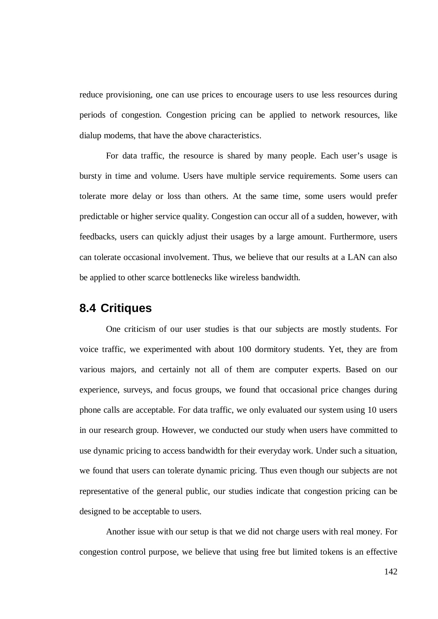reduce provisioning, one can use prices to encourage users to use less resources during periods of congestion. Congestion pricing can be applied to network resources, like dialup modems, that have the above characteristics.

For data traffic, the resource is shared by many people. Each user's usage is bursty in time and volume. Users have multiple service requirements. Some users can tolerate more delay or loss than others. At the same time, some users would prefer predictable or higher service quality. Congestion can occur all of a sudden, however, with feedbacks, users can quickly adjust their usages by a large amount. Furthermore, users can tolerate occasional involvement. Thus, we believe that our results at a LAN can also be applied to other scarce bottlenecks like wireless bandwidth.

### **8.4 Critiques**

One criticism of our user studies is that our subjects are mostly students. For voice traffic, we experimented with about 100 dormitory students. Yet, they are from various majors, and certainly not all of them are computer experts. Based on our experience, surveys, and focus groups, we found that occasional price changes during phone calls are acceptable. For data traffic, we only evaluated our system using 10 users in our research group. However, we conducted our study when users have committed to use dynamic pricing to access bandwidth for their everyday work. Under such a situation, we found that users can tolerate dynamic pricing. Thus even though our subjects are not representative of the general public, our studies indicate that congestion pricing can be designed to be acceptable to users.

Another issue with our setup is that we did not charge users with real money. For congestion control purpose, we believe that using free but limited tokens is an effective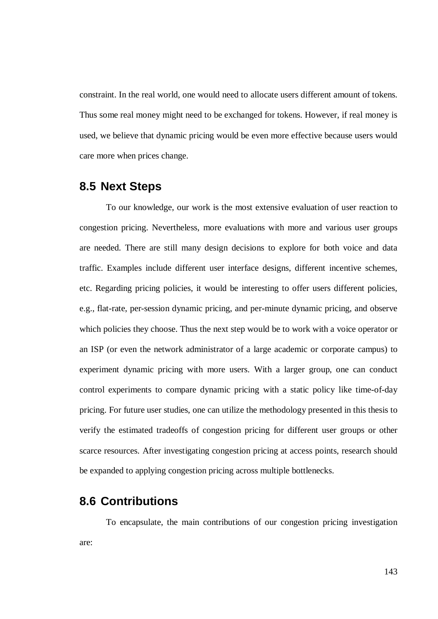constraint. In the real world, one would need to allocate users different amount of tokens. Thus some real money might need to be exchanged for tokens. However, if real money is used, we believe that dynamic pricing would be even more effective because users would care more when prices change.

#### **8.5 Next Steps**

To our knowledge, our work is the most extensive evaluation of user reaction to congestion pricing. Nevertheless, more evaluations with more and various user groups are needed. There are still many design decisions to explore for both voice and data traffic. Examples include different user interface designs, different incentive schemes, etc. Regarding pricing policies, it would be interesting to offer users different policies, e.g., flat-rate, per-session dynamic pricing, and per-minute dynamic pricing, and observe which policies they choose. Thus the next step would be to work with a voice operator or an ISP (or even the network administrator of a large academic or corporate campus) to experiment dynamic pricing with more users. With a larger group, one can conduct control experiments to compare dynamic pricing with a static policy like time-of-day pricing. For future user studies, one can utilize the methodology presented in this thesis to verify the estimated tradeoffs of congestion pricing for different user groups or other scarce resources. After investigating congestion pricing at access points, research should be expanded to applying congestion pricing across multiple bottlenecks.

### **8.6 Contributions**

To encapsulate, the main contributions of our congestion pricing investigation are: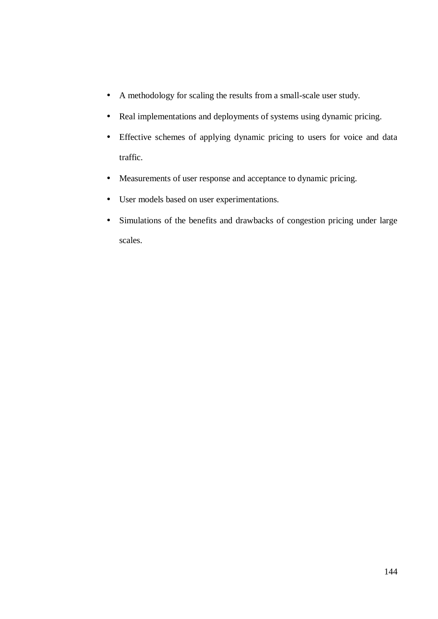- A methodology for scaling the results from a small-scale user study.
- Real implementations and deployments of systems using dynamic pricing.
- Effective schemes of applying dynamic pricing to users for voice and data traffic.
- Measurements of user response and acceptance to dynamic pricing.
- User models based on user experimentations.
- Simulations of the benefits and drawbacks of congestion pricing under large scales.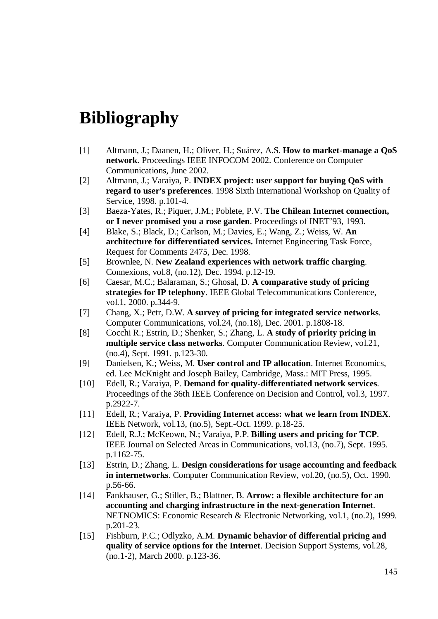# **Bibliography**

- [1] Altmann, J.; Daanen, H.; Oliver, H.; Suárez, A.S. **How to market-manage a QoS network**. Proceedings IEEE INFOCOM 2002. Conference on Computer Communications, June 2002.
- [2] Altmann, J.; Varaiya, P. **INDEX project: user support for buying QoS with regard to user's preferences**. 1998 Sixth International Workshop on Quality of Service, 1998. p.101-4.
- [3] Baeza-Yates, R.; Piquer, J.M.; Poblete, P.V. **The Chilean Internet connection, or I never promised you a rose garden**. Proceedings of INET'93, 1993.
- [4] Blake, S.; Black, D.; Carlson, M.; Davies, E.; Wang, Z.; Weiss, W. **An architecture for differentiated services.** Internet Engineering Task Force, Request for Comments 2475, Dec. 1998.
- [5] Brownlee, N. **New Zealand experiences with network traffic charging**. Connexions, vol.8, (no.12), Dec. 1994. p.12-19.
- [6] Caesar, M.C.; Balaraman, S.; Ghosal, D. **A comparative study of pricing strategies for IP telephony**. IEEE Global Telecommunications Conference, vol.1, 2000. p.344-9.
- [7] Chang, X.; Petr, D.W. **A survey of pricing for integrated service networks**. Computer Communications, vol.24, (no.18), Dec. 2001. p.1808-18.
- [8] Cocchi R.; Estrin, D.; Shenker, S.; Zhang, L. **A study of priority pricing in multiple service class networks**. Computer Communication Review, vol.21, (no.4), Sept. 1991. p.123-30.
- [9] Danielsen, K.; Weiss, M. **User control and IP allocation**. Internet Economics, ed. Lee McKnight and Joseph Bailey, Cambridge, Mass.: MIT Press, 1995.
- [10] Edell, R.; Varaiya, P. **Demand for quality-differentiated network services**. Proceedings of the 36th IEEE Conference on Decision and Control, vol.3, 1997. p.2922-7.
- [11] Edell, R.; Varaiya, P. **Providing Internet access: what we learn from INDEX**. IEEE Network, vol.13, (no.5), Sept.-Oct. 1999. p.18-25.
- [12] Edell, R.J.; McKeown, N.; Varaiya, P.P. **Billing users and pricing for TCP**. IEEE Journal on Selected Areas in Communications, vol.13, (no.7), Sept. 1995. p.1162-75.
- [13] Estrin, D.; Zhang, L. **Design considerations for usage accounting and feedback in internetworks**. Computer Communication Review, vol.20, (no.5), Oct. 1990. p.56-66.
- [14] Fankhauser, G.; Stiller, B.; Blattner, B. **Arrow: a flexible architecture for an accounting and charging infrastructure in the next-generation Internet**. NETNOMICS: Economic Research & Electronic Networking, vol.1, (no.2), 1999. p.201-23.
- [15] Fishburn, P.C.; Odlyzko, A.M. **Dynamic behavior of differential pricing and quality of service options for the Internet**. Decision Support Systems, vol.28, (no.1-2), March 2000. p.123-36.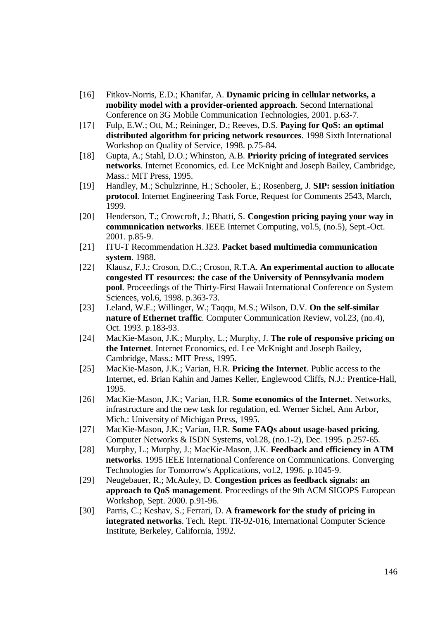- [16] Fitkov-Norris, E.D.; Khanifar, A. **Dynamic pricing in cellular networks, a mobility model with a provider-oriented approach**. Second International Conference on 3G Mobile Communication Technologies, 2001. p.63-7.
- [17] Fulp, E.W.; Ott, M.; Reininger, D.; Reeves, D.S. **Paying for QoS: an optimal distributed algorithm for pricing network resources**. 1998 Sixth International Workshop on Quality of Service, 1998. p.75-84.
- [18] Gupta, A.; Stahl, D.O.; Whinston, A.B. **Priority pricing of integrated services networks**. Internet Economics, ed. Lee McKnight and Joseph Bailey, Cambridge, Mass.: MIT Press, 1995.
- [19] Handley, M.; Schulzrinne, H.; Schooler, E.; Rosenberg, J. **SIP: session initiation protocol**. Internet Engineering Task Force, Request for Comments 2543, March, 1999.
- [20] Henderson, T.; Crowcroft, J.; Bhatti, S. **Congestion pricing paying your way in communication networks**. IEEE Internet Computing, vol.5, (no.5), Sept.-Oct. 2001. p.85-9.
- [21] ITU-T Recommendation H.323. **Packet based multimedia communication system**. 1988.
- [22] Klausz, F.J.; Croson, D.C.; Croson, R.T.A. **An experimental auction to allocate congested IT resources: the case of the University of Pennsylvania modem pool**. Proceedings of the Thirty-First Hawaii International Conference on System Sciences, vol.6, 1998. p.363-73.
- [23] Leland, W.E.; Willinger, W.; Taqqu, M.S.; Wilson, D.V. **On the self-similar nature of Ethernet traffic**. Computer Communication Review, vol.23, (no.4), Oct. 1993. p.183-93.
- [24] MacKie-Mason, J.K.; Murphy, L.; Murphy, J. **The role of responsive pricing on the Internet**. Internet Economics, ed. Lee McKnight and Joseph Bailey, Cambridge, Mass.: MIT Press, 1995.
- [25] MacKie-Mason, J.K.; Varian, H.R. **Pricing the Internet**. Public access to the Internet, ed. Brian Kahin and James Keller, Englewood Cliffs, N.J.: Prentice-Hall, 1995.
- [26] MacKie-Mason, J.K.; Varian, H.R. **Some economics of the Internet**. Networks, infrastructure and the new task for regulation, ed. Werner Sichel, Ann Arbor, Mich.: University of Michigan Press, 1995.
- [27] MacKie-Mason, J.K.; Varian, H.R. **Some FAQs about usage-based pricing**. Computer Networks & ISDN Systems, vol.28, (no.1-2), Dec. 1995. p.257-65.
- [28] Murphy, L.; Murphy, J.; MacKie-Mason, J.K. **Feedback and efficiency in ATM networks**. 1995 IEEE International Conference on Communications. Converging Technologies for Tomorrow's Applications, vol.2, 1996. p.1045-9.
- [29] Neugebauer, R.; McAuley, D. **Congestion prices as feedback signals: an approach to QoS management**. Proceedings of the 9th ACM SIGOPS European Workshop, Sept. 2000. p.91-96.
- [30] Parris, C.; Keshav, S.; Ferrari, D. **A framework for the study of pricing in integrated networks**. Tech. Rept. TR-92-016, International Computer Science Institute, Berkeley, California, 1992.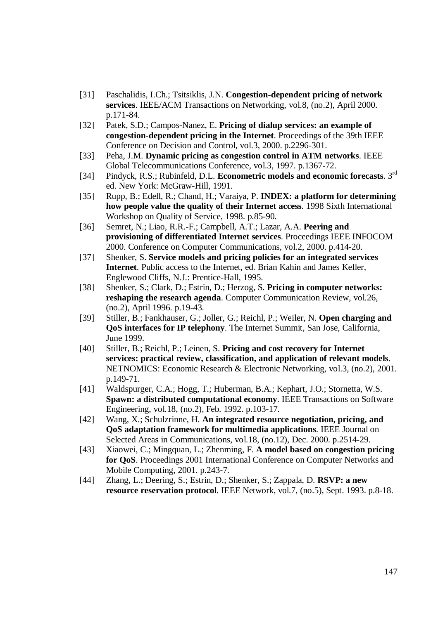- [31] Paschalidis, I.Ch.; Tsitsiklis, J.N. **Congestion-dependent pricing of network services**. IEEE/ACM Transactions on Networking, vol.8, (no.2), April 2000. p.171-84.
- [32] Patek, S.D.; Campos-Nanez, E. **Pricing of dialup services: an example of congestion-dependent pricing in the Internet**. Proceedings of the 39th IEEE Conference on Decision and Control, vol.3, 2000. p.2296-301.
- [33] Peha, J.M. **Dynamic pricing as congestion control in ATM networks**. IEEE Global Telecommunications Conference, vol.3, 1997. p.1367-72.
- [34] Pindyck, R.S.; Rubinfeld, D.L. **Econometric models and economic forecasts**. 3 rd ed. New York: McGraw-Hill, 1991.
- [35] Rupp, B.; Edell, R.; Chand, H.; Varaiya, P. **INDEX: a platform for determining how people value the quality of their Internet access**. 1998 Sixth International Workshop on Quality of Service, 1998. p.85-90.
- [36] Semret, N.; Liao, R.R.-F.; Campbell, A.T.; Lazar, A.A. **Peering and provisioning of differentiated Internet services**. Proceedings IEEE INFOCOM 2000. Conference on Computer Communications, vol.2, 2000. p.414-20.
- [37] Shenker, S. **Service models and pricing policies for an integrated services Internet**. Public access to the Internet, ed. Brian Kahin and James Keller, Englewood Cliffs, N.J.: Prentice-Hall, 1995.
- [38] Shenker, S.; Clark, D.; Estrin, D.; Herzog, S. **Pricing in computer networks: reshaping the research agenda**. Computer Communication Review, vol.26, (no.2), April 1996. p.19-43.
- [39] Stiller, B.; Fankhauser, G.; Joller, G.; Reichl, P.; Weiler, N. **Open charging and QoS interfaces for IP telephony**. The Internet Summit, San Jose, California, June 1999.
- [40] Stiller, B.; Reichl, P.; Leinen, S. **Pricing and cost recovery for Internet services: practical review, classification, and application of relevant models**. NETNOMICS: Economic Research & Electronic Networking, vol.3, (no.2), 2001. p.149-71.
- [41] Waldspurger, C.A.; Hogg, T.; Huberman, B.A.; Kephart, J.O.; Stornetta, W.S. **Spawn: a distributed computational economy**. IEEE Transactions on Software Engineering, vol.18, (no.2), Feb. 1992. p.103-17.
- [42] Wang, X.; Schulzrinne, H. **An integrated resource negotiation, pricing, and QoS adaptation framework for multimedia applications**. IEEE Journal on Selected Areas in Communications, vol.18, (no.12), Dec. 2000. p.2514-29.
- [43] Xiaowei, C.; Mingquan, L.; Zhenming, F. **A model based on congestion pricing for QoS**. Proceedings 2001 International Conference on Computer Networks and Mobile Computing, 2001. p.243-7.
- [44] Zhang, L.; Deering, S.; Estrin, D.; Shenker, S.; Zappala, D. **RSVP: a new resource reservation protocol**. IEEE Network, vol.7, (no.5), Sept. 1993. p.8-18.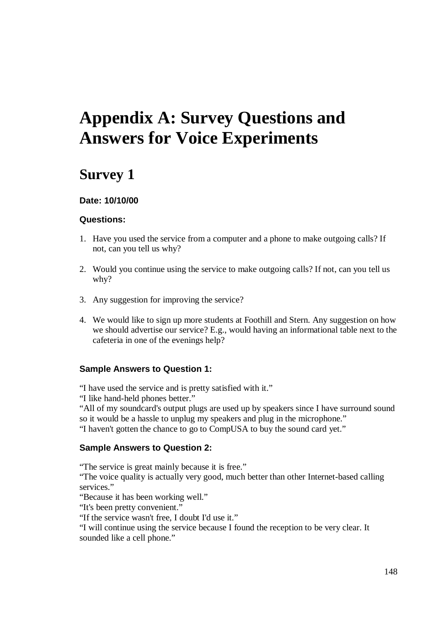# **Appendix A: Survey Questions and Answers for Voice Experiments**

## **Survey 1**

#### **Date: 10/10/00**

#### **Questions:**

- 1. Have you used the service from a computer and a phone to make outgoing calls? If not, can you tell us why?
- 2. Would you continue using the service to make outgoing calls? If not, can you tell us why?
- 3. Any suggestion for improving the service?
- 4. We would like to sign up more students at Foothill and Stern. Any suggestion on how we should advertise our service? E.g., would having an informational table next to the cafeteria in one of the evenings help?

#### **Sample Answers to Question 1:**

"I have used the service and is pretty satisfied with it."

"I like hand-held phones better."

"All of my soundcard's output plugs are used up by speakers since I have surround sound so it would be a hassle to unplug my speakers and plug in the microphone."

"I haven't gotten the chance to go to CompUSA to buy the sound card yet."

#### **Sample Answers to Question 2:**

"The service is great mainly because it is free."

"The voice quality is actually very good, much better than other Internet-based calling services."

"Because it has been working well."

"It's been pretty convenient."

"If the service wasn't free, I doubt I'd use it."

"I will continue using the service because I found the reception to be very clear. It sounded like a cell phone."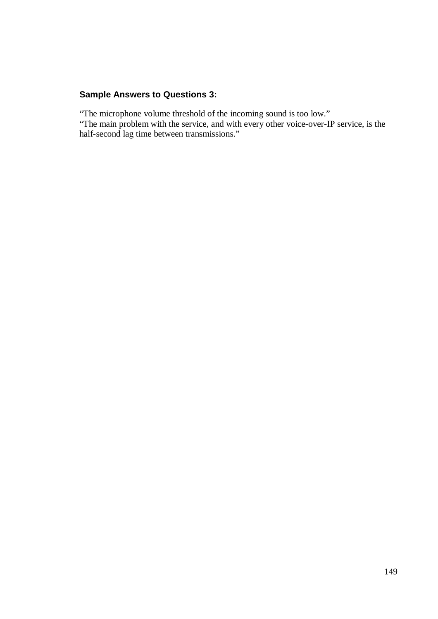#### **Sample Answers to Questions 3:**

"The microphone volume threshold of the incoming sound is too low."

"The main problem with the service, and with every other voice-over-IP service, is the half-second lag time between transmissions."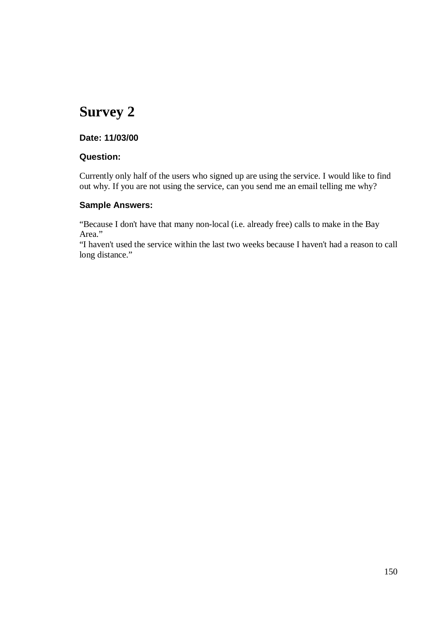#### **Date: 11/03/00**

#### **Question:**

Currently only half of the users who signed up are using the service. I would like to find out why. If you are not using the service, can you send me an email telling me why?

#### **Sample Answers:**

"Because I don't have that many non-local (i.e. already free) calls to make in the Bay Area."

"I haven't used the service within the last two weeks because I haven't had a reason to call long distance."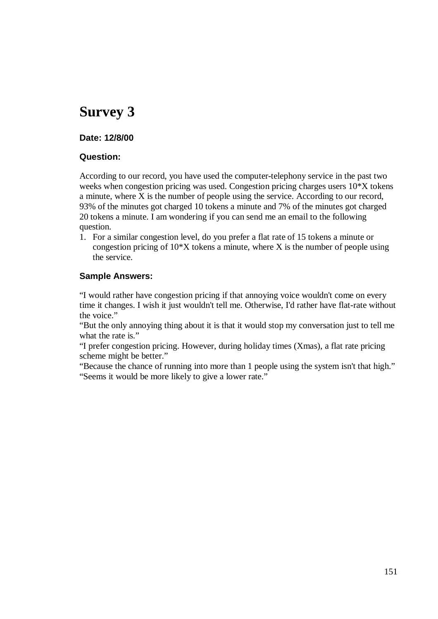#### **Date: 12/8/00**

#### **Question:**

According to our record, you have used the computer-telephony service in the past two weeks when congestion pricing was used. Congestion pricing charges users 10\*X tokens a minute, where X is the number of people using the service. According to our record, 93% of the minutes got charged 10 tokens a minute and 7% of the minutes got charged 20 tokens a minute. I am wondering if you can send me an email to the following question.

1. For a similar congestion level, do you prefer a flat rate of 15 tokens a minute or congestion pricing of  $10^*$ X tokens a minute, where X is the number of people using the service.

#### **Sample Answers:**

"I would rather have congestion pricing if that annoying voice wouldn't come on every time it changes. I wish it just wouldn't tell me. Otherwise, I'd rather have flat-rate without the voice."

"But the only annoying thing about it is that it would stop my conversation just to tell me what the rate is."

"I prefer congestion pricing. However, during holiday times (Xmas), a flat rate pricing scheme might be better."

"Because the chance of running into more than 1 people using the system isn't that high." "Seems it would be more likely to give a lower rate."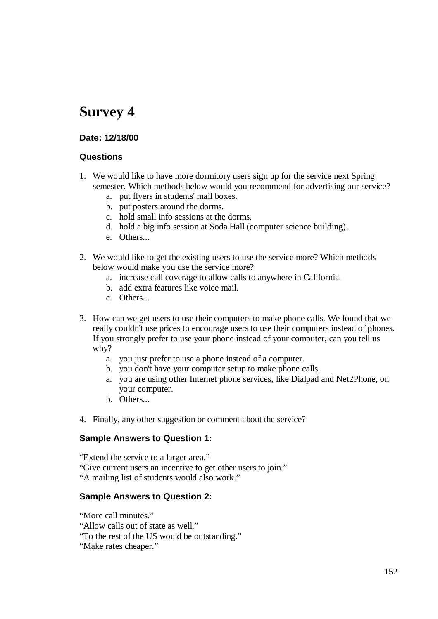#### **Date: 12/18/00**

#### **Questions**

- 1. We would like to have more dormitory users sign up for the service next Spring semester. Which methods below would you recommend for advertising our service?
	- a. put flyers in students' mail boxes.
	- b. put posters around the dorms.
	- c. hold small info sessions at the dorms.
	- d. hold a big info session at Soda Hall (computer science building).
	- e. Others...
- 2. We would like to get the existing users to use the service more? Which methods below would make you use the service more?
	- a. increase call coverage to allow calls to anywhere in California.
	- b. add extra features like voice mail.
	- c. Others...
- 3. How can we get users to use their computers to make phone calls. We found that we really couldn't use prices to encourage users to use their computers instead of phones. If you strongly prefer to use your phone instead of your computer, can you tell us why?
	- a. you just prefer to use a phone instead of a computer.
	- b. you don't have your computer setup to make phone calls.
	- a. you are using other Internet phone services, like Dialpad and Net2Phone, on your computer.
	- b. Others...
- 4. Finally, any other suggestion or comment about the service?

#### **Sample Answers to Question 1:**

"Extend the service to a larger area." "Give current users an incentive to get other users to join." "A mailing list of students would also work."

#### **Sample Answers to Question 2:**

"More call minutes." "Allow calls out of state as well." "To the rest of the US would be outstanding." "Make rates cheaper."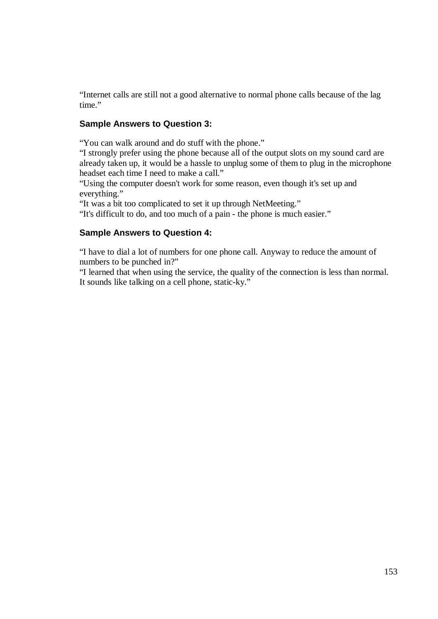"Internet calls are still not a good alternative to normal phone calls because of the lag time."

#### **Sample Answers to Question 3:**

"You can walk around and do stuff with the phone."

"I strongly prefer using the phone because all of the output slots on my sound card are already taken up, it would be a hassle to unplug some of them to plug in the microphone headset each time I need to make a call."

"Using the computer doesn't work for some reason, even though it's set up and everything."

"It was a bit too complicated to set it up through NetMeeting."

"It's difficult to do, and too much of a pain - the phone is much easier."

#### **Sample Answers to Question 4:**

"I have to dial a lot of numbers for one phone call. Anyway to reduce the amount of numbers to be punched in?"

"I learned that when using the service, the quality of the connection is less than normal. It sounds like talking on a cell phone, static-ky."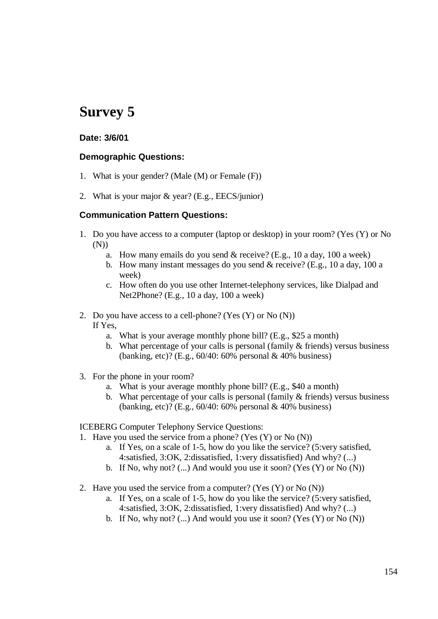#### **Date: 3/6/01**

#### **Demographic Questions:**

- 1. What is your gender? (Male (M) or Female (F))
- 2. What is your major & year? (E.g., EECS/junior)

#### **Communication Pattern Questions:**

- 1. Do you have access to a computer (laptop or desktop) in your room? (Yes (Y) or No (N))
	- a. How many emails do you send & receive? (E.g., 10 a day, 100 a week)
	- b. How many instant messages do you send & receive? (E.g., 10 a day, 100 a week)
	- c. How often do you use other Internet-telephony services, like Dialpad and Net2Phone? (E.g., 10 a day, 100 a week)
- 2. Do you have access to a cell-phone? (Yes (Y) or No (N)) If Yes,
	- a. What is your average monthly phone bill? (E.g., \$25 a month)
	- b. What percentage of your calls is personal (family & friends) versus business (banking, etc)? (E.g., 60/40: 60% personal & 40% business)
- 3. For the phone in your room?
	- a. What is your average monthly phone bill? (E.g., \$40 a month)
	- b. What percentage of your calls is personal (family & friends) versus business (banking, etc)? (E.g., 60/40: 60% personal & 40% business)

ICEBERG Computer Telephony Service Questions:

- 1. Have you used the service from a phone? (Yes (Y) or No (N))
	- a. If Yes, on a scale of 1-5, how do you like the service? (5:very satisfied, 4:satisfied, 3:OK, 2:dissatisfied, 1:very dissatisfied) And why? (...)
	- b. If No, why not?  $(...)$  And would you use it soon? (Yes  $(Y)$  or No  $(N)$ )
- 2. Have you used the service from a computer? (Yes  $(Y)$  or No  $(N)$ )
	- a. If Yes, on a scale of 1-5, how do you like the service? (5:very satisfied, 4:satisfied, 3:OK, 2:dissatisfied, 1:very dissatisfied) And why? (...)
	- b. If No, why not?  $(...)$  And would you use it soon? (Yes  $(Y)$  or No  $(N)$ )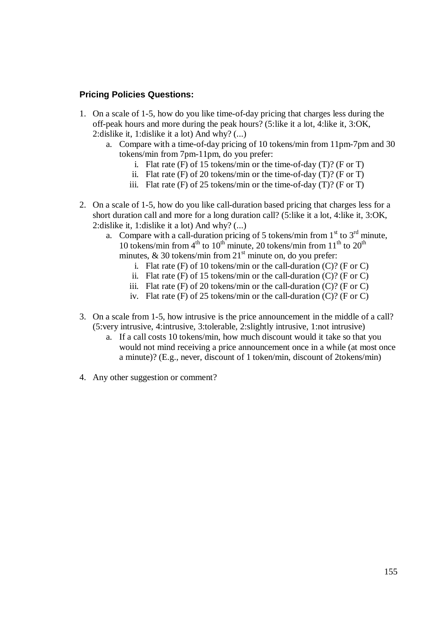#### **Pricing Policies Questions:**

- 1. On a scale of 1-5, how do you like time-of-day pricing that charges less during the off-peak hours and more during the peak hours? (5:like it a lot, 4:like it, 3:OK, 2:dislike it, 1:dislike it a lot) And why? (...)
	- a. Compare with a time-of-day pricing of 10 tokens/min from 11pm-7pm and 30 tokens/min from 7pm-11pm, do you prefer:
		- i. Flat rate  $(F)$  of 15 tokens/min or the time-of-day  $(T)$ ? (F or T)
		- ii. Flat rate  $(F)$  of 20 tokens/min or the time-of-day  $(T)$ ? (F or T)
		- iii. Flat rate  $(F)$  of 25 tokens/min or the time-of-day  $(T)$ ?  $(F$  or  $T)$
- 2. On a scale of 1-5, how do you like call-duration based pricing that charges less for a short duration call and more for a long duration call? (5:like it a lot, 4:like it, 3:OK, 2:dislike it, 1:dislike it a lot) And why? (...)
	- a. Compare with a call-duration pricing of 5 tokens/min from  $1<sup>st</sup>$  to  $3<sup>rd</sup>$  minute, 10 tokens/min from  $4<sup>th</sup>$  to  $10<sup>th</sup>$  minute, 20 tokens/min from  $11<sup>th</sup>$  to  $20<sup>th</sup>$ minutes,  $\&$  30 tokens/min from  $21<sup>st</sup>$  minute on, do you prefer:
		- i. Flat rate  $(F)$  of 10 tokens/min or the call-duration  $(C)$ ? (F or C)
		- ii. Flat rate  $(F)$  of 15 tokens/min or the call-duration  $(C)$ ? (F or C)
		- iii. Flat rate  $(F)$  of 20 tokens/min or the call-duration  $(C)$ ? (F or C)
		- iv. Flat rate  $(F)$  of 25 tokens/min or the call-duration  $(C)$ ? (F or C)
- 3. On a scale from 1-5, how intrusive is the price announcement in the middle of a call? (5:very intrusive, 4:intrusive, 3:tolerable, 2:slightly intrusive, 1:not intrusive)
	- a. If a call costs 10 tokens/min, how much discount would it take so that you would not mind receiving a price announcement once in a while (at most once a minute)? (E.g., never, discount of 1 token/min, discount of 2tokens/min)
- 4. Any other suggestion or comment?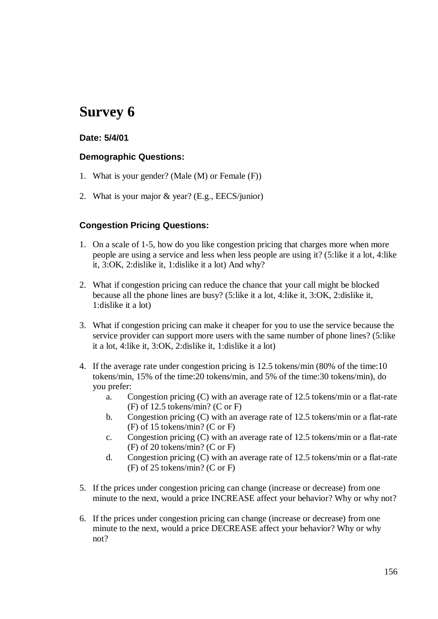#### **Date: 5/4/01**

#### **Demographic Questions:**

- 1. What is your gender? (Male (M) or Female (F))
- 2. What is your major & year? (E.g., EECS/junior)

#### **Congestion Pricing Questions:**

- 1. On a scale of 1-5, how do you like congestion pricing that charges more when more people are using a service and less when less people are using it? (5:like it a lot, 4:like it, 3:OK, 2:dislike it, 1:dislike it a lot) And why?
- 2. What if congestion pricing can reduce the chance that your call might be blocked because all the phone lines are busy? (5:like it a lot, 4:like it, 3:OK, 2:dislike it, 1:dislike it a lot)
- 3. What if congestion pricing can make it cheaper for you to use the service because the service provider can support more users with the same number of phone lines? (5:like it a lot, 4:like it, 3:OK, 2:dislike it, 1:dislike it a lot)
- 4. If the average rate under congestion pricing is 12.5 tokens/min (80% of the time:10 tokens/min, 15% of the time:20 tokens/min, and 5% of the time:30 tokens/min), do you prefer:
	- a. Congestion pricing (C) with an average rate of 12.5 tokens/min or a flat-rate (F) of 12.5 tokens/min? (C or F)
	- b. Congestion pricing (C) with an average rate of 12.5 tokens/min or a flat-rate (F) of 15 tokens/min? (C or F)
	- c. Congestion pricing (C) with an average rate of 12.5 tokens/min or a flat-rate (F) of 20 tokens/min? (C or F)
	- d. Congestion pricing (C) with an average rate of 12.5 tokens/min or a flat-rate (F) of 25 tokens/min? (C or F)
- 5. If the prices under congestion pricing can change (increase or decrease) from one minute to the next, would a price INCREASE affect your behavior? Why or why not?
- 6. If the prices under congestion pricing can change (increase or decrease) from one minute to the next, would a price DECREASE affect your behavior? Why or why not?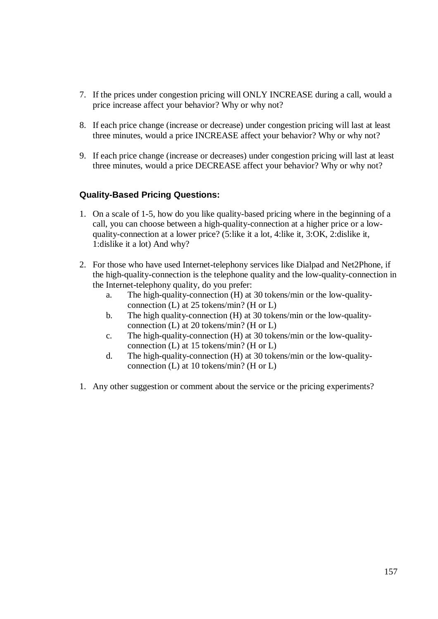- 7. If the prices under congestion pricing will ONLY INCREASE during a call, would a price increase affect your behavior? Why or why not?
- 8. If each price change (increase or decrease) under congestion pricing will last at least three minutes, would a price INCREASE affect your behavior? Why or why not?
- 9. If each price change (increase or decreases) under congestion pricing will last at least three minutes, would a price DECREASE affect your behavior? Why or why not?

#### **Quality-Based Pricing Questions:**

- 1. On a scale of 1-5, how do you like quality-based pricing where in the beginning of a call, you can choose between a high-quality-connection at a higher price or a lowquality-connection at a lower price? (5:like it a lot, 4:like it, 3:OK, 2:dislike it, 1:dislike it a lot) And why?
- 2. For those who have used Internet-telephony services like Dialpad and Net2Phone, if the high-quality-connection is the telephone quality and the low-quality-connection in the Internet-telephony quality, do you prefer:
	- a. The high-quality-connection (H) at 30 tokens/min or the low-qualityconnection (L) at 25 tokens/min? (H or L)
	- b. The high quality-connection (H) at 30 tokens/min or the low-qualityconnection (L) at 20 tokens/min? (H or L)
	- c. The high-quality-connection (H) at 30 tokens/min or the low-qualityconnection (L) at 15 tokens/min? (H or L)
	- d. The high-quality-connection (H) at 30 tokens/min or the low-qualityconnection (L) at 10 tokens/min? (H or L)
- 1. Any other suggestion or comment about the service or the pricing experiments?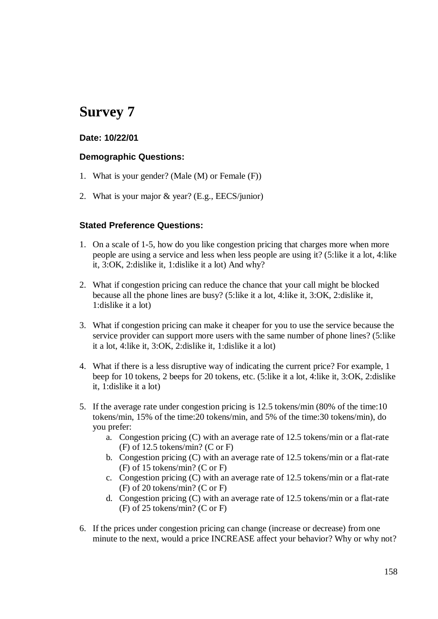#### **Date: 10/22/01**

#### **Demographic Questions:**

- 1. What is your gender? (Male (M) or Female (F))
- 2. What is your major & year? (E.g., EECS/junior)

#### **Stated Preference Questions:**

- 1. On a scale of 1-5, how do you like congestion pricing that charges more when more people are using a service and less when less people are using it? (5:like it a lot, 4:like it, 3:OK, 2:dislike it, 1:dislike it a lot) And why?
- 2. What if congestion pricing can reduce the chance that your call might be blocked because all the phone lines are busy? (5:like it a lot, 4:like it, 3:OK, 2:dislike it, 1:dislike it a lot)
- 3. What if congestion pricing can make it cheaper for you to use the service because the service provider can support more users with the same number of phone lines? (5:like it a lot, 4:like it, 3:OK, 2:dislike it, 1:dislike it a lot)
- 4. What if there is a less disruptive way of indicating the current price? For example, 1 beep for 10 tokens, 2 beeps for 20 tokens, etc. (5:like it a lot, 4:like it, 3:OK, 2:dislike it, 1:dislike it a lot)
- 5. If the average rate under congestion pricing is 12.5 tokens/min (80% of the time:10 tokens/min, 15% of the time:20 tokens/min, and 5% of the time:30 tokens/min), do you prefer:
	- a. Congestion pricing (C) with an average rate of 12.5 tokens/min or a flat-rate (F) of 12.5 tokens/min? (C or F)
	- b. Congestion pricing (C) with an average rate of 12.5 tokens/min or a flat-rate (F) of 15 tokens/min? (C or F)
	- c. Congestion pricing (C) with an average rate of 12.5 tokens/min or a flat-rate (F) of 20 tokens/min? (C or F)
	- d. Congestion pricing (C) with an average rate of 12.5 tokens/min or a flat-rate (F) of 25 tokens/min? (C or F)
- 6. If the prices under congestion pricing can change (increase or decrease) from one minute to the next, would a price INCREASE affect your behavior? Why or why not?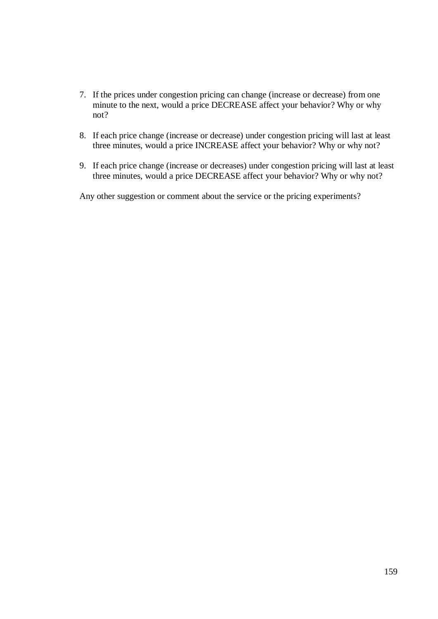- 7. If the prices under congestion pricing can change (increase or decrease) from one minute to the next, would a price DECREASE affect your behavior? Why or why not?
- 8. If each price change (increase or decrease) under congestion pricing will last at least three minutes, would a price INCREASE affect your behavior? Why or why not?
- 9. If each price change (increase or decreases) under congestion pricing will last at least three minutes, would a price DECREASE affect your behavior? Why or why not?

Any other suggestion or comment about the service or the pricing experiments?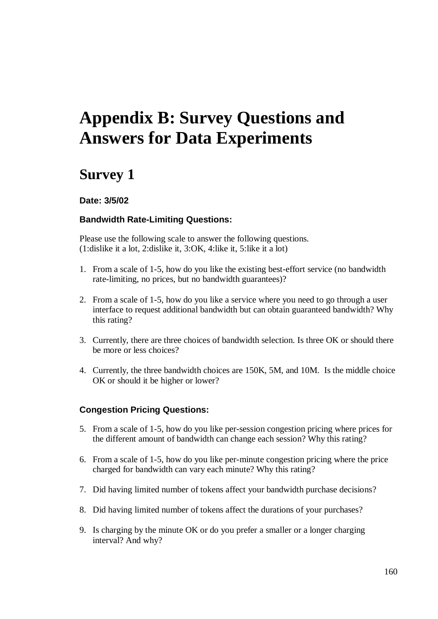# **Appendix B: Survey Questions and Answers for Data Experiments**

## **Survey 1**

#### **Date: 3/5/02**

#### **Bandwidth Rate-Limiting Questions:**

Please use the following scale to answer the following questions. (1:dislike it a lot, 2:dislike it, 3:OK, 4:like it, 5:like it a lot)

- 1. From a scale of 1-5, how do you like the existing best-effort service (no bandwidth rate-limiting, no prices, but no bandwidth guarantees)?
- 2. From a scale of 1-5, how do you like a service where you need to go through a user interface to request additional bandwidth but can obtain guaranteed bandwidth? Why this rating?
- 3. Currently, there are three choices of bandwidth selection. Is three OK or should there be more or less choices?
- 4. Currently, the three bandwidth choices are 150K, 5M, and 10M. Is the middle choice OK or should it be higher or lower?

#### **Congestion Pricing Questions:**

- 5. From a scale of 1-5, how do you like per-session congestion pricing where prices for the different amount of bandwidth can change each session? Why this rating?
- 6. From a scale of 1-5, how do you like per-minute congestion pricing where the price charged for bandwidth can vary each minute? Why this rating?
- 7. Did having limited number of tokens affect your bandwidth purchase decisions?
- 8. Did having limited number of tokens affect the durations of your purchases?
- 9. Is charging by the minute OK or do you prefer a smaller or a longer charging interval? And why?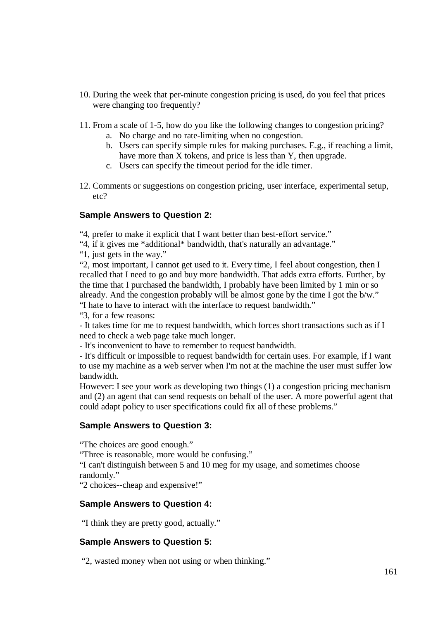- 10. During the week that per-minute congestion pricing is used, do you feel that prices were changing too frequently?
- 11. From a scale of 1-5, how do you like the following changes to congestion pricing?
	- a. No charge and no rate-limiting when no congestion.
	- b. Users can specify simple rules for making purchases. E.g., if reaching a limit, have more than X tokens, and price is less than Y, then upgrade.
	- c. Users can specify the timeout period for the idle timer.
- 12. Comments or suggestions on congestion pricing, user interface, experimental setup, etc?

#### **Sample Answers to Question 2:**

"4, prefer to make it explicit that I want better than best-effort service."

- "4, if it gives me \*additional\* bandwidth, that's naturally an advantage."
- "1, just gets in the way."

"2, most important, I cannot get used to it. Every time, I feel about congestion, then I recalled that I need to go and buy more bandwidth. That adds extra efforts. Further, by the time that I purchased the bandwidth, I probably have been limited by 1 min or so already. And the congestion probably will be almost gone by the time I got the b/w." "I hate to have to interact with the interface to request bandwidth."

"3, for a few reasons:

- It takes time for me to request bandwidth, which forces short transactions such as if I need to check a web page take much longer.

- It's inconvenient to have to remember to request bandwidth.

- It's difficult or impossible to request bandwidth for certain uses. For example, if I want to use my machine as a web server when I'm not at the machine the user must suffer low bandwidth.

However: I see your work as developing two things (1) a congestion pricing mechanism and (2) an agent that can send requests on behalf of the user. A more powerful agent that could adapt policy to user specifications could fix all of these problems."

#### **Sample Answers to Question 3:**

"The choices are good enough."

"Three is reasonable, more would be confusing."

"I can't distinguish between 5 and 10 meg for my usage, and sometimes choose randomly."

"2 choices--cheap and expensive!"

#### **Sample Answers to Question 4:**

"I think they are pretty good, actually."

#### **Sample Answers to Question 5:**

"2, wasted money when not using or when thinking."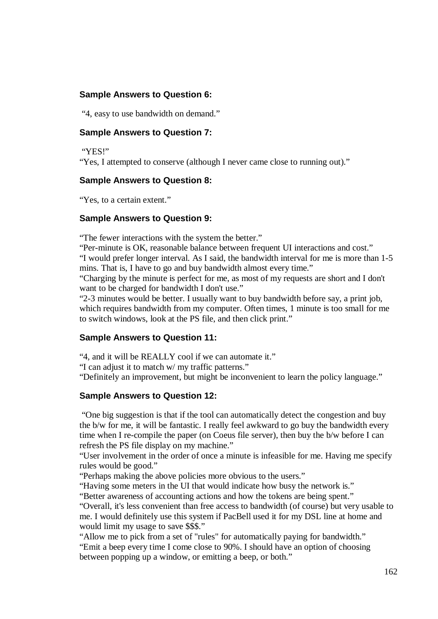#### **Sample Answers to Question 6:**

"4, easy to use bandwidth on demand."

#### **Sample Answers to Question 7:**

"YES!"

"Yes, I attempted to conserve (although I never came close to running out)."

#### **Sample Answers to Question 8:**

"Yes, to a certain extent."

#### **Sample Answers to Question 9:**

"The fewer interactions with the system the better."

"Per-minute is OK, reasonable balance between frequent UI interactions and cost." "I would prefer longer interval. As I said, the bandwidth interval for me is more than 1-5 mins. That is, I have to go and buy bandwidth almost every time."

"Charging by the minute is perfect for me, as most of my requests are short and I don't want to be charged for bandwidth I don't use."

"2-3 minutes would be better. I usually want to buy bandwidth before say, a print job, which requires bandwidth from my computer. Often times, 1 minute is too small for me to switch windows, look at the PS file, and then click print."

#### **Sample Answers to Question 11:**

"4, and it will be REALLY cool if we can automate it."

"I can adjust it to match w/ my traffic patterns."

"Definitely an improvement, but might be inconvenient to learn the policy language."

#### **Sample Answers to Question 12:**

"One big suggestion is that if the tool can automatically detect the congestion and buy the b/w for me, it will be fantastic. I really feel awkward to go buy the bandwidth every time when I re-compile the paper (on Coeus file server), then buy the b/w before I can refresh the PS file display on my machine."

"User involvement in the order of once a minute is infeasible for me. Having me specify rules would be good."

"Perhaps making the above policies more obvious to the users."

"Having some meters in the UI that would indicate how busy the network is."

"Better awareness of accounting actions and how the tokens are being spent."

"Overall, it's less convenient than free access to bandwidth (of course) but very usable to me. I would definitely use this system if PacBell used it for my DSL line at home and would limit my usage to save \$\$\$."

"Allow me to pick from a set of "rules" for automatically paying for bandwidth." "Emit a beep every time I come close to 90%. I should have an option of choosing between popping up a window, or emitting a beep, or both."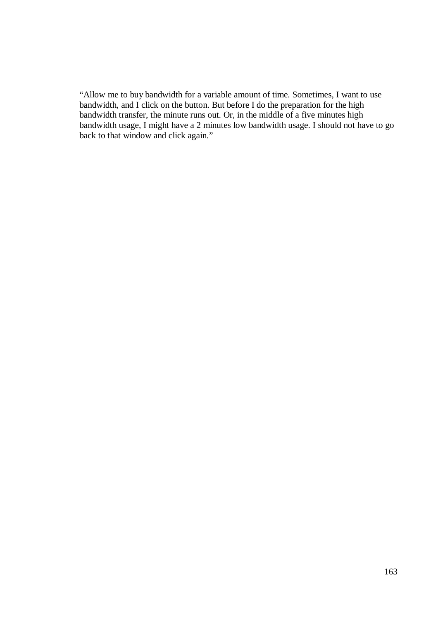"Allow me to buy bandwidth for a variable amount of time. Sometimes, I want to use bandwidth, and I click on the button. But before I do the preparation for the high bandwidth transfer, the minute runs out. Or, in the middle of a five minutes high bandwidth usage, I might have a 2 minutes low bandwidth usage. I should not have to go back to that window and click again."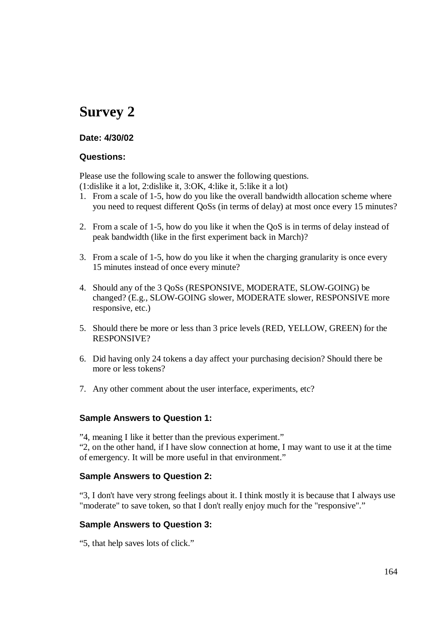#### **Date: 4/30/02**

#### **Questions:**

Please use the following scale to answer the following questions. (1:dislike it a lot, 2:dislike it, 3:OK, 4:like it, 5:like it a lot)

- 1. From a scale of 1-5, how do you like the overall bandwidth allocation scheme where you need to request different QoSs (in terms of delay) at most once every 15 minutes?
- 2. From a scale of 1-5, how do you like it when the QoS is in terms of delay instead of peak bandwidth (like in the first experiment back in March)?
- 3. From a scale of 1-5, how do you like it when the charging granularity is once every 15 minutes instead of once every minute?
- 4. Should any of the 3 QoSs (RESPONSIVE, MODERATE, SLOW-GOING) be changed? (E.g., SLOW-GOING slower, MODERATE slower, RESPONSIVE more responsive, etc.)
- 5. Should there be more or less than 3 price levels (RED, YELLOW, GREEN) for the RESPONSIVE?
- 6. Did having only 24 tokens a day affect your purchasing decision? Should there be more or less tokens?
- 7. Any other comment about the user interface, experiments, etc?

#### **Sample Answers to Question 1:**

"4, meaning I like it better than the previous experiment." "2, on the other hand, if I have slow connection at home, I may want to use it at the time of emergency. It will be more useful in that environment."

#### **Sample Answers to Question 2:**

"3, I don't have very strong feelings about it. I think mostly it is because that I always use "moderate" to save token, so that I don't really enjoy much for the "responsive"."

#### **Sample Answers to Question 3:**

"5, that help saves lots of click."